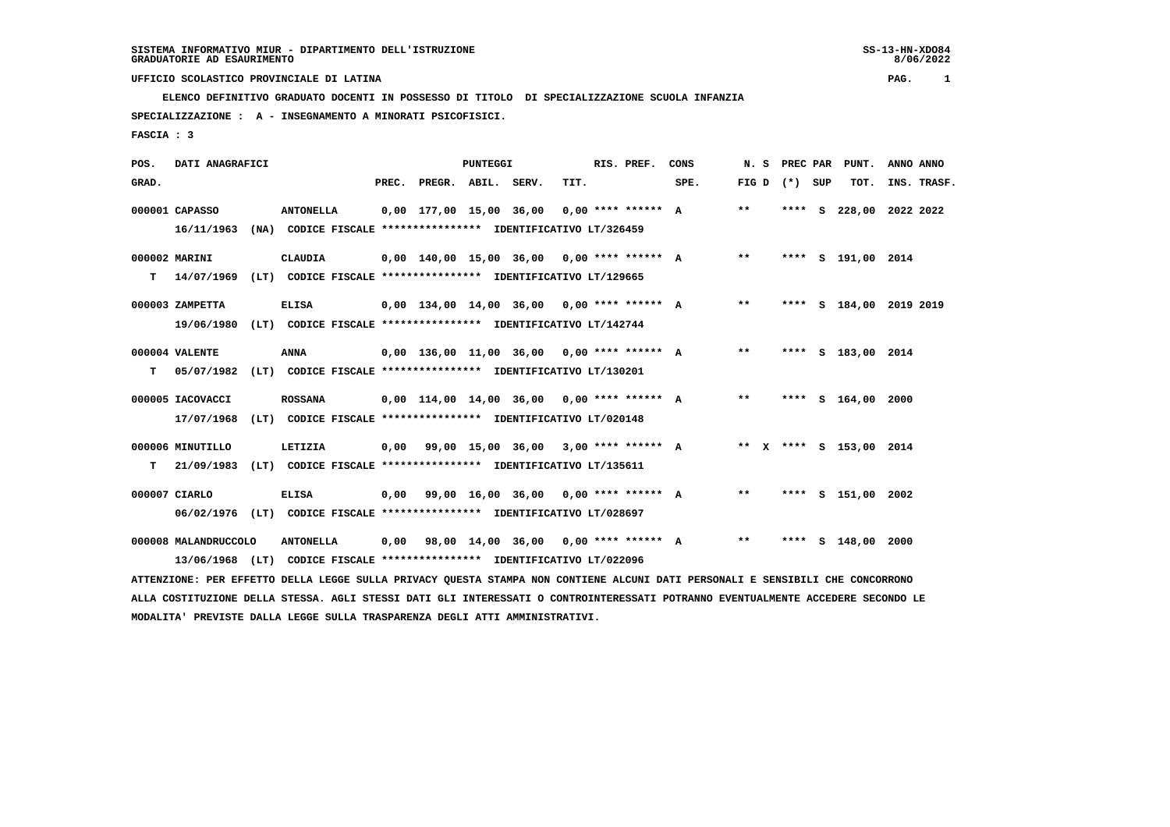**ELENCO DEFINITIVO GRADUATO DOCENTI IN POSSESSO DI TITOLO DI SPECIALIZZAZIONE SCUOLA INFANZIA SPECIALIZZAZIONE : A - INSEGNAMENTO A MINORATI PSICOFISICI.**

 **FASCIA : 3**

| POS.  | DATI ANAGRAFICI      |      |                                                               |       |                                              | <b>PUNTEGGI</b> |      | RIS. PREF. | CONS                                       | N.S   |                   | PREC PAR PUNT.          | ANNO ANNO               |
|-------|----------------------|------|---------------------------------------------------------------|-------|----------------------------------------------|-----------------|------|------------|--------------------------------------------|-------|-------------------|-------------------------|-------------------------|
| GRAD. |                      |      |                                                               | PREC. | PREGR. ABIL. SERV.                           |                 | TIT. |            | SPE.                                       |       | FIG $D$ $(*)$ SUP | TOT.                    | INS. TRASF.             |
|       | 000001 CAPASSO       |      | <b>ANTONELLA</b>                                              |       |                                              |                 |      |            | 0,00 177,00 15,00 36,00 0,00 **** ****** A | $* *$ |                   |                         | **** S 228,00 2022 2022 |
|       | 16/11/1963           |      | (NA) CODICE FISCALE **************** IDENTIFICATIVO LT/326459 |       |                                              |                 |      |            |                                            |       |                   |                         |                         |
|       | 000002 MARINI        |      | CLAUDIA                                                       |       |                                              |                 |      |            | 0,00 140,00 15,00 36,00 0,00 **** ****** A | $* *$ |                   | **** S 191,00 2014      |                         |
| т     | 14/07/1969           |      | (LT) CODICE FISCALE **************** IDENTIFICATIVO LT/129665 |       |                                              |                 |      |            |                                            |       |                   |                         |                         |
|       | 000003 ZAMPETTA      |      | <b>ELISA</b>                                                  |       |                                              |                 |      |            | 0,00 134,00 14,00 36,00 0,00 **** ****** A | $***$ | ****              |                         | S 184,00 2019 2019      |
|       | 19/06/1980           | (LT) | CODICE FISCALE **************** IDENTIFICATIVO LT/142744      |       |                                              |                 |      |            |                                            |       |                   |                         |                         |
|       | 000004 VALENTE       |      | ANNA                                                          |       | $0.00$ 136,00 11,00 36,00 0,00 **** ****** A |                 |      |            |                                            | $***$ |                   | **** S 183,00 2014      |                         |
| т     | 05/07/1982           |      | (LT) CODICE FISCALE **************** IDENTIFICATIVO LT/130201 |       |                                              |                 |      |            |                                            |       |                   |                         |                         |
|       | 000005 IACOVACCI     |      | <b>ROSSANA</b>                                                |       |                                              |                 |      |            | 0,00 114,00 14,00 36,00 0,00 **** ****** A | $***$ |                   | **** S 164,00 2000      |                         |
|       | 17/07/1968           | (LT) | CODICE FISCALE **************** IDENTIFICATIVO LT/020148      |       |                                              |                 |      |            |                                            |       |                   |                         |                         |
|       | 000006 MINUTILLO     |      | LETIZIA                                                       |       |                                              |                 |      |            | 0,00 99,00 15,00 36,00 3,00 **** ****** A  |       |                   | ** X **** S 153,00 2014 |                         |
| т     | 21/09/1983           |      | (LT) CODICE FISCALE **************** IDENTIFICATIVO LT/135611 |       |                                              |                 |      |            |                                            |       |                   |                         |                         |
|       | 000007 CIARLO        |      | <b>ELISA</b>                                                  |       | $0.00$ 99.00 16.00 36.00 0.00 **** ****** A  |                 |      |            |                                            | $***$ |                   | **** S 151,00 2002      |                         |
|       | 06/02/1976           | (LT) | CODICE FISCALE **************** IDENTIFICATIVO LT/028697      |       |                                              |                 |      |            |                                            |       |                   |                         |                         |
|       | 000008 MALANDRUCCOLO |      | <b>ANTONELLA</b>                                              |       | $0,00$ 98,00 14,00 36,00 0,00 **** ****** A  |                 |      |            |                                            | $* *$ | ****              | s 148,00                | 2000                    |

 **13/06/1968 (LT) CODICE FISCALE \*\*\*\*\*\*\*\*\*\*\*\*\*\*\*\* IDENTIFICATIVO LT/022096**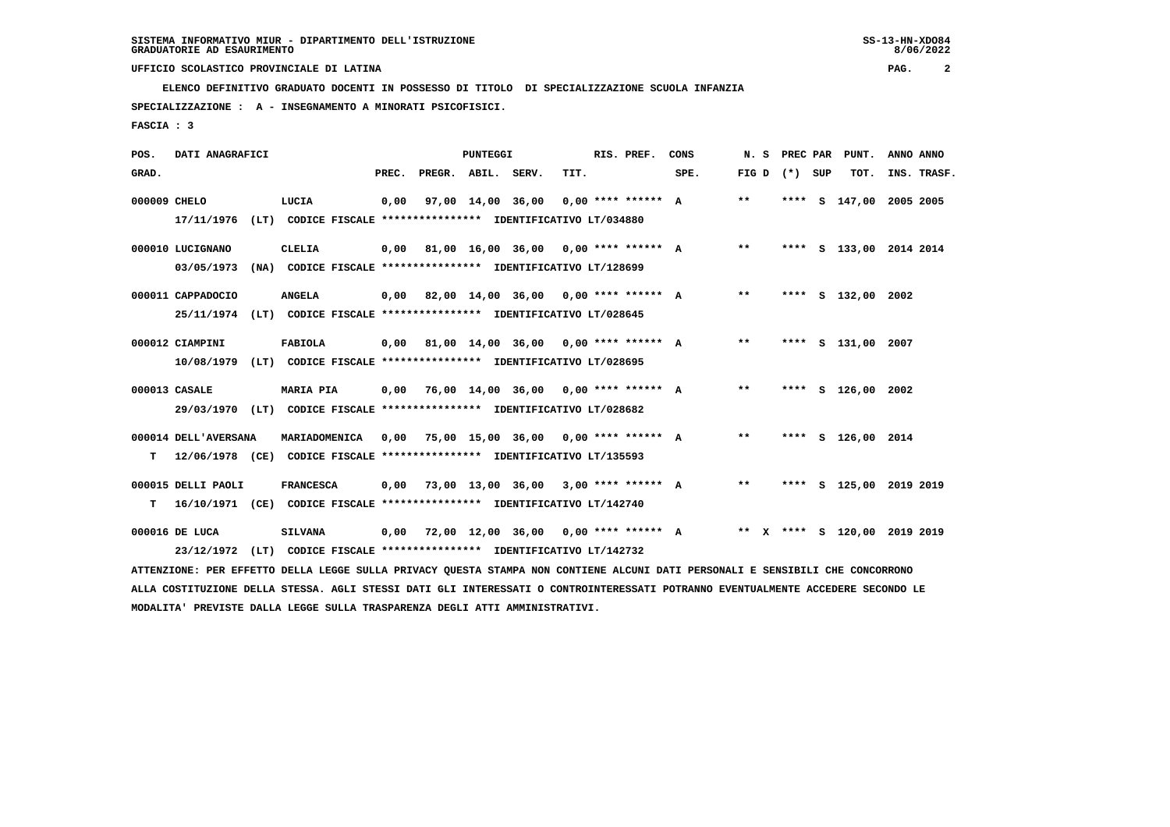**ELENCO DEFINITIVO GRADUATO DOCENTI IN POSSESSO DI TITOLO DI SPECIALIZZAZIONE SCUOLA INFANZIA**

 **SPECIALIZZAZIONE : A - INSEGNAMENTO A MINORATI PSICOFISICI.**

 **FASCIA : 3**

| POS.         | DATI ANAGRAFICI                |                                                                                                                                                                                                                             |       |                    | <b>PUNTEGGI</b> |                                             |      | RIS. PREF. | CONS                                      | N.S             |  | PREC PAR PUNT.               | ANNO ANNO |             |
|--------------|--------------------------------|-----------------------------------------------------------------------------------------------------------------------------------------------------------------------------------------------------------------------------|-------|--------------------|-----------------|---------------------------------------------|------|------------|-------------------------------------------|-----------------|--|------------------------------|-----------|-------------|
| GRAD.        |                                |                                                                                                                                                                                                                             | PREC. | PREGR. ABIL. SERV. |                 |                                             | TIT. |            | SPE.                                      | FIG D $(*)$ SUP |  | тот.                         |           | INS. TRASF. |
| 000009 CHELO | 17/11/1976                     | LUCIA<br>(LT) CODICE FISCALE **************** IDENTIFICATIVO LT/034880                                                                                                                                                      | 0,00  |                    |                 | 97,00 14,00 36,00 0,00 **** ****** A        |      |            |                                           | $***$           |  | **** S 147,00 2005 2005      |           |             |
|              | 000010 LUCIGNANO<br>03/05/1973 | CLELIA<br>(NA) CODICE FISCALE **************** IDENTIFICATIVO LT/128699                                                                                                                                                     |       |                    |                 |                                             |      |            | 0,00 81,00 16,00 36,00 0,00 **** ****** A | $***$           |  | **** S 133,00 2014 2014      |           |             |
|              | 000011 CAPPADOCIO              | <b>ANGELA</b><br>25/11/1974 (LT) CODICE FISCALE *************** IDENTIFICATIVO LT/028645                                                                                                                                    |       |                    |                 |                                             |      |            | 0,00 82,00 14,00 36,00 0,00 **** ****** A | $***$           |  | **** S 132,00 2002           |           |             |
|              | 000012 CIAMPINI<br>10/08/1979  | FABIOLA<br>(LT) CODICE FISCALE **************** IDENTIFICATIVO LT/028695                                                                                                                                                    |       |                    |                 | $0,00$ 81,00 14,00 36,00 0,00 **** ****** A |      |            |                                           | $***$           |  | **** S 131,00 2007           |           |             |
|              | 000013 CASALE                  | <b>MARIA PIA</b><br>29/03/1970 (LT) CODICE FISCALE *************** IDENTIFICATIVO LT/028682                                                                                                                                 |       |                    |                 | $0,00$ 76,00 14,00 36,00 0,00 **** ****** A |      |            |                                           | $**$            |  | **** S 126,00 2002           |           |             |
| т            | 000014 DELL'AVERSANA           | MARIADOMENICA<br>12/06/1978 (CE) CODICE FISCALE **************** IDENTIFICATIVO LT/135593                                                                                                                                   | 0,00  |                    |                 | 75,00 15,00 36,00 0,00 **** ****** A        |      |            |                                           | $***$           |  | **** S 126,00 2014           |           |             |
| т            | 000015 DELLI PAOLI             | <b>FRANCESCA</b><br>16/10/1971 (CE) CODICE FISCALE **************** IDENTIFICATIVO LT/142740                                                                                                                                | 0,00  |                    |                 | 73,00 13,00 36,00 3,00 **** ****** A        |      |            |                                           | $***$           |  | **** S 125,00 2019 2019      |           |             |
|              | 000016 DE LUCA                 | <b>SILVANA</b><br>23/12/1972 (LT) CODICE FISCALE **************** IDENTIFICATIVO LT/142732<br>ATTENZIONE: PER EFFETTO DELLA LEGGE SULLA PRIVACY QUESTA STAMPA NON CONTIENE ALCUNI DATI PERSONALI E SENSIBILI CHE CONCORRONO |       |                    |                 | $0,00$ 72,00 12,00 36,00 0,00 **** ****** A |      |            |                                           |                 |  | ** X **** S 120.00 2019 2019 |           |             |
|              |                                |                                                                                                                                                                                                                             |       |                    |                 |                                             |      |            |                                           |                 |  |                              |           |             |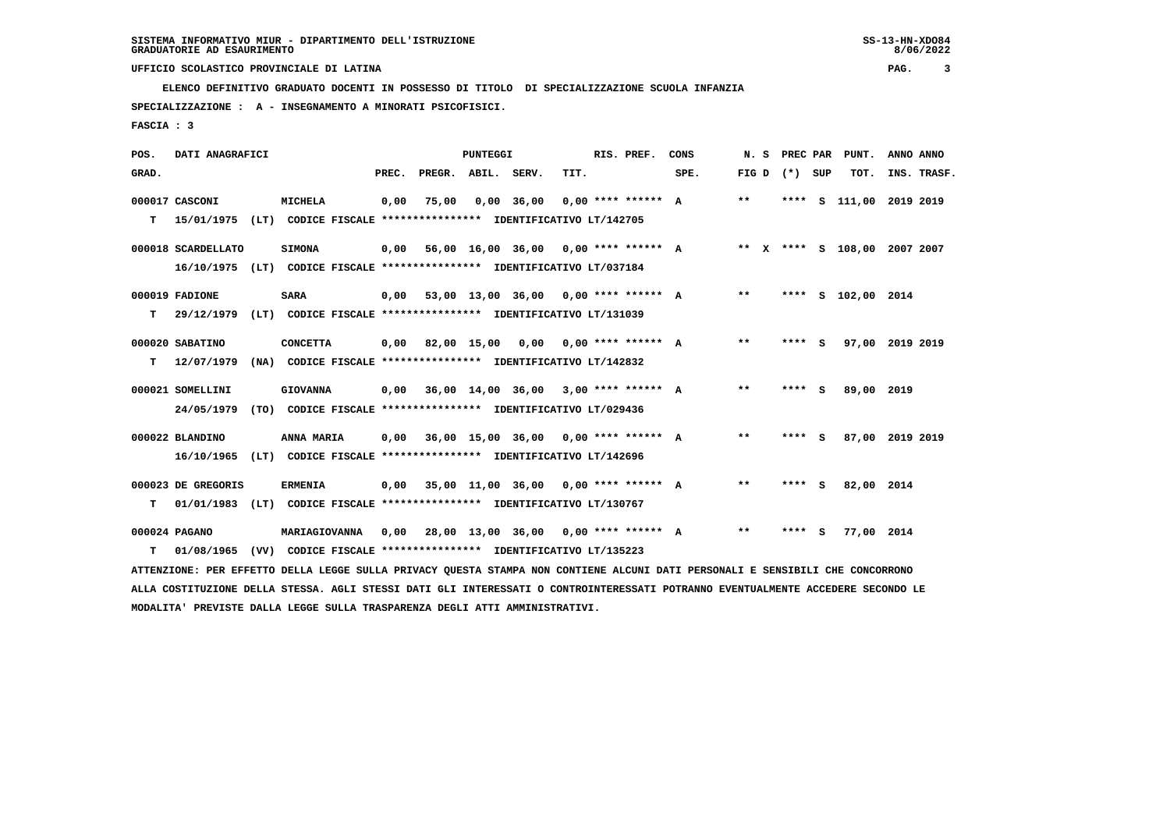**ELENCO DEFINITIVO GRADUATO DOCENTI IN POSSESSO DI TITOLO DI SPECIALIZZAZIONE SCUOLA INFANZIA**

 **SPECIALIZZAZIONE : A - INSEGNAMENTO A MINORATI PSICOFISICI.**

 **FASCIA : 3**

| POS.  | DATI ANAGRAFICI    |                                                                                                                               |       |                    | <b>PUNTEGGI</b> |                                             |      | RIS. PREF.           | CONS | N. S  | PREC PAR          | PUNT.                        | ANNO ANNO |             |
|-------|--------------------|-------------------------------------------------------------------------------------------------------------------------------|-------|--------------------|-----------------|---------------------------------------------|------|----------------------|------|-------|-------------------|------------------------------|-----------|-------------|
| GRAD. |                    |                                                                                                                               | PREC. | PREGR. ABIL. SERV. |                 |                                             | TIT. |                      | SPE. |       | FIG $D$ $(*)$ SUP | TOT.                         |           | INS. TRASF. |
|       | 000017 CASCONI     | MICHELA                                                                                                                       | 0,00  | 75,00              |                 | $0,00$ 36,00                                |      | $0,00$ **** ****** A |      | $***$ | ****              | S 111,00 2019 2019           |           |             |
| т     | 15/01/1975         | (LT) CODICE FISCALE **************** IDENTIFICATIVO LT/142705                                                                 |       |                    |                 |                                             |      |                      |      |       |                   |                              |           |             |
|       | 000018 SCARDELLATO | <b>SIMONA</b>                                                                                                                 | 0,00  |                    |                 | 56,00 16,00 36,00 0,00 **** ****** A        |      |                      |      |       |                   | ** X **** S 108,00 2007 2007 |           |             |
|       |                    | 16/10/1975 (LT) CODICE FISCALE *************** IDENTIFICATIVO LT/037184                                                       |       |                    |                 |                                             |      |                      |      |       |                   |                              |           |             |
|       | 000019 FADIONE     | <b>SARA</b>                                                                                                                   | 0,00  |                    |                 | 53,00 13,00 36,00 0,00 **** ****** A        |      |                      |      | $* *$ |                   | **** S 102,00 2014           |           |             |
| т     | 29/12/1979         | (LT) CODICE FISCALE **************** IDENTIFICATIVO LT/131039                                                                 |       |                    |                 |                                             |      |                      |      |       |                   |                              |           |             |
|       | 000020 SABATINO    | <b>CONCETTA</b>                                                                                                               | 0,00  |                    |                 | 82,00 15,00 0,00 0,00 **** ****** A         |      |                      |      | $* *$ | **** S            | 97,00 2019 2019              |           |             |
| т     | 12/07/1979         | (NA) CODICE FISCALE **************** IDENTIFICATIVO LT/142832                                                                 |       |                    |                 |                                             |      |                      |      |       |                   |                              |           |             |
|       | 000021 SOMELLINI   | <b>GIOVANNA</b>                                                                                                               | 0,00  |                    |                 | 36,00 14,00 36,00 3,00 **** ****** A        |      |                      |      | $***$ | **** S            | 89,00 2019                   |           |             |
|       | 24/05/1979         | (TO) CODICE FISCALE **************** IDENTIFICATIVO LT/029436                                                                 |       |                    |                 |                                             |      |                      |      |       |                   |                              |           |             |
|       | 000022 BLANDINO    | ANNA MARIA                                                                                                                    | 0,00  |                    |                 | 36,00 15,00 36,00 0,00 **** ****** A        |      |                      |      | $***$ | **** S            | 87,00 2019 2019              |           |             |
|       | 16/10/1965         | (LT) CODICE FISCALE **************** IDENTIFICATIVO LT/142696                                                                 |       |                    |                 |                                             |      |                      |      |       |                   |                              |           |             |
|       | 000023 DE GREGORIS | <b>ERMENIA</b>                                                                                                                |       |                    |                 | $0,00$ 35,00 11,00 36,00 0,00 **** ****** A |      |                      |      | $* *$ | **** S            | 82,00 2014                   |           |             |
| т     |                    | 01/01/1983 (LT) CODICE FISCALE **************** IDENTIFICATIVO LT/130767                                                      |       |                    |                 |                                             |      |                      |      |       |                   |                              |           |             |
|       | 000024 PAGANO      | MARIAGIOVANNA                                                                                                                 | 0,00  |                    |                 | 28,00 13,00 36,00 0,00 **** ****** A        |      |                      |      | $***$ | **** S            | 77,00 2014                   |           |             |
| т     | 01/08/1965         | (VV) CODICE FISCALE **************** IDENTIFICATIVO LT/135223                                                                 |       |                    |                 |                                             |      |                      |      |       |                   |                              |           |             |
|       |                    | ATTENZIONE: PER EFFETTO DELLA LEGGE SULLA PRIVACY QUESTA STAMPA NON CONTIENE ALCUNI DATI PERSONALI E SENSIBILI CHE CONCORRONO |       |                    |                 |                                             |      |                      |      |       |                   |                              |           |             |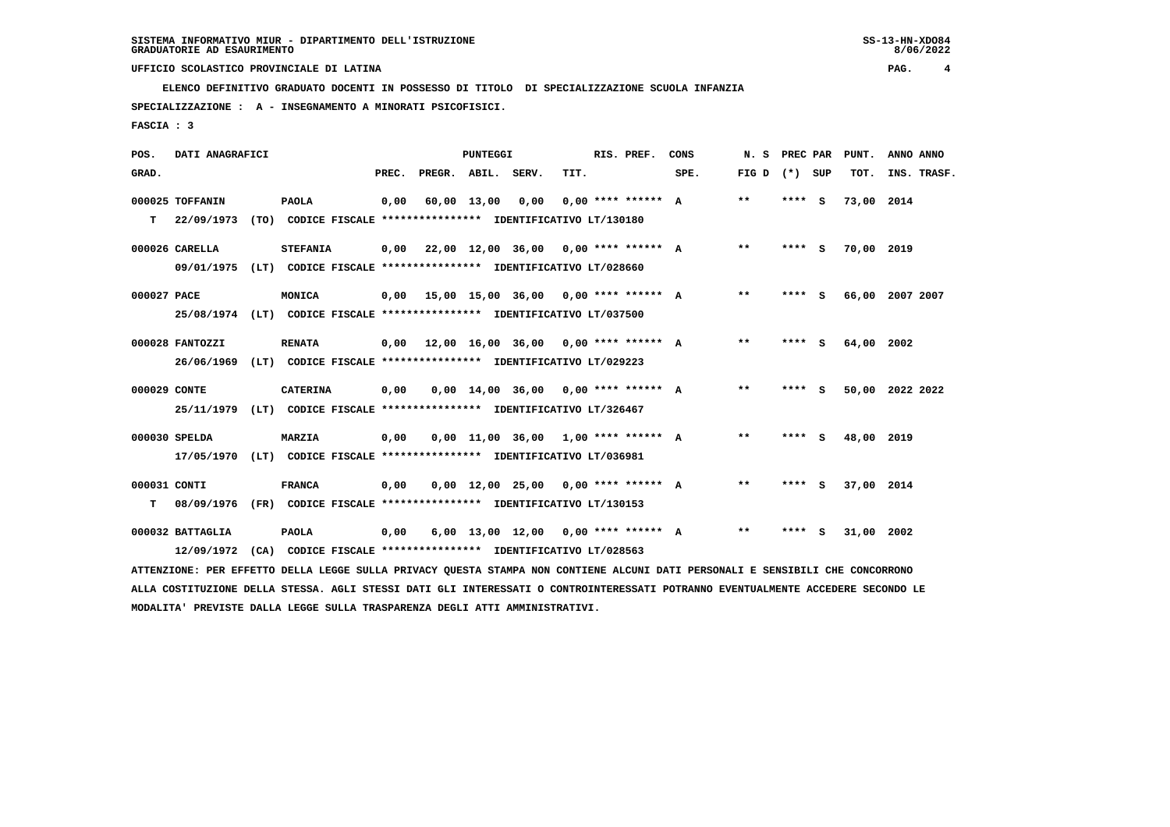**ELENCO DEFINITIVO GRADUATO DOCENTI IN POSSESSO DI TITOLO DI SPECIALIZZAZIONE SCUOLA INFANZIA**

 **SPECIALIZZAZIONE : A - INSEGNAMENTO A MINORATI PSICOFISICI.**

 **FASCIA : 3**

| POS.         | DATI ANAGRAFICI  |                                                                                                                               |       |                    | PUNTEGGI    |                                             |      | RIS. PREF.           | CONS | N. S         | PREC PAR |     | PUNT.      | ANNO ANNO       |
|--------------|------------------|-------------------------------------------------------------------------------------------------------------------------------|-------|--------------------|-------------|---------------------------------------------|------|----------------------|------|--------------|----------|-----|------------|-----------------|
| GRAD.        |                  |                                                                                                                               | PREC. | PREGR. ABIL. SERV. |             |                                             | TIT. |                      | SPE. | FIG D        | (*) SUP  |     | TOT.       | INS. TRASF.     |
|              | 000025 TOFFANIN  | <b>PAOLA</b>                                                                                                                  | 0,00  |                    | 60,00 13,00 | 0,00                                        |      | $0.00$ **** ****** A |      | $\star\star$ | $***$ S  |     | 73,00 2014 |                 |
| т            | 22/09/1973       | (TO) CODICE FISCALE **************** IDENTIFICATIVO LT/130180                                                                 |       |                    |             |                                             |      |                      |      |              |          |     |            |                 |
|              | 000026 CARELLA   | <b>STEFANIA</b>                                                                                                               |       |                    |             | $0.00$ 22.00 12.00 36.00 0.00 **** ****** A |      |                      |      | $***$        | $***$ S  |     | 70,00 2019 |                 |
|              | 09/01/1975       | (LT) CODICE FISCALE **************** IDENTIFICATIVO LT/028660                                                                 |       |                    |             |                                             |      |                      |      |              |          |     |            |                 |
| 000027 PACE  |                  | MONICA                                                                                                                        |       |                    |             | $0,00$ 15,00 15,00 36,00 0,00 **** ****** A |      |                      |      | $* *$        | **** S   |     |            | 66,00 2007 2007 |
|              | 25/08/1974       | (LT) CODICE FISCALE **************** IDENTIFICATIVO LT/037500                                                                 |       |                    |             |                                             |      |                      |      |              |          |     |            |                 |
|              | 000028 FANTOZZI  | <b>RENATA</b>                                                                                                                 |       |                    |             | $0,00$ 12,00 16,00 36,00 0,00 **** ****** A |      |                      |      | $* *$        | **** S   |     | 64,00 2002 |                 |
|              | 26/06/1969       | (LT) CODICE FISCALE **************** IDENTIFICATIVO LT/029223                                                                 |       |                    |             |                                             |      |                      |      |              |          |     |            |                 |
| 000029 CONTE |                  | <b>CATERINA</b>                                                                                                               | 0,00  |                    |             | $0.00$ 14.00 36.00 0.00 **** ****** A       |      |                      |      | $* *$        | **** S   |     |            | 50,00 2022 2022 |
|              | 25/11/1979       | (LT) CODICE FISCALE **************** IDENTIFICATIVO LT/326467                                                                 |       |                    |             |                                             |      |                      |      |              |          |     |            |                 |
|              | 000030 SPELDA    | <b>MARZIA</b>                                                                                                                 | 0,00  |                    |             | $0,00$ 11,00 36,00 1,00 **** ****** A       |      |                      |      | $* *$        | **** S   |     | 48,00 2019 |                 |
|              | 17/05/1970       | (LT) CODICE FISCALE **************** IDENTIFICATIVO LT/036981                                                                 |       |                    |             |                                             |      |                      |      |              |          |     |            |                 |
| 000031 CONTI |                  | <b>FRANCA</b>                                                                                                                 | 0,00  |                    |             | $0,00$ 12,00 25,00 0,00 **** ****** A       |      |                      |      | $***$        | **** S   |     | 37,00 2014 |                 |
| т            | 08/09/1976       | (FR) CODICE FISCALE **************** IDENTIFICATIVO LT/130153                                                                 |       |                    |             |                                             |      |                      |      |              |          |     |            |                 |
|              | 000032 BATTAGLIA | <b>PAOLA</b>                                                                                                                  | 0,00  |                    |             | $6,00$ 13,00 12,00 0,00 **** ****** A       |      |                      |      | $* *$        | ****     | - S | 31,00      | 2002            |
|              | 12/09/1972       | (CA) CODICE FISCALE **************** IDENTIFICATIVO LT/028563                                                                 |       |                    |             |                                             |      |                      |      |              |          |     |            |                 |
|              |                  | ATTENZIONE: PER EFFETTO DELLA LEGGE SULLA PRIVACY QUESTA STAMPA NON CONTIENE ALCUNI DATI PERSONALI E SENSIBILI CHE CONCORRONO |       |                    |             |                                             |      |                      |      |              |          |     |            |                 |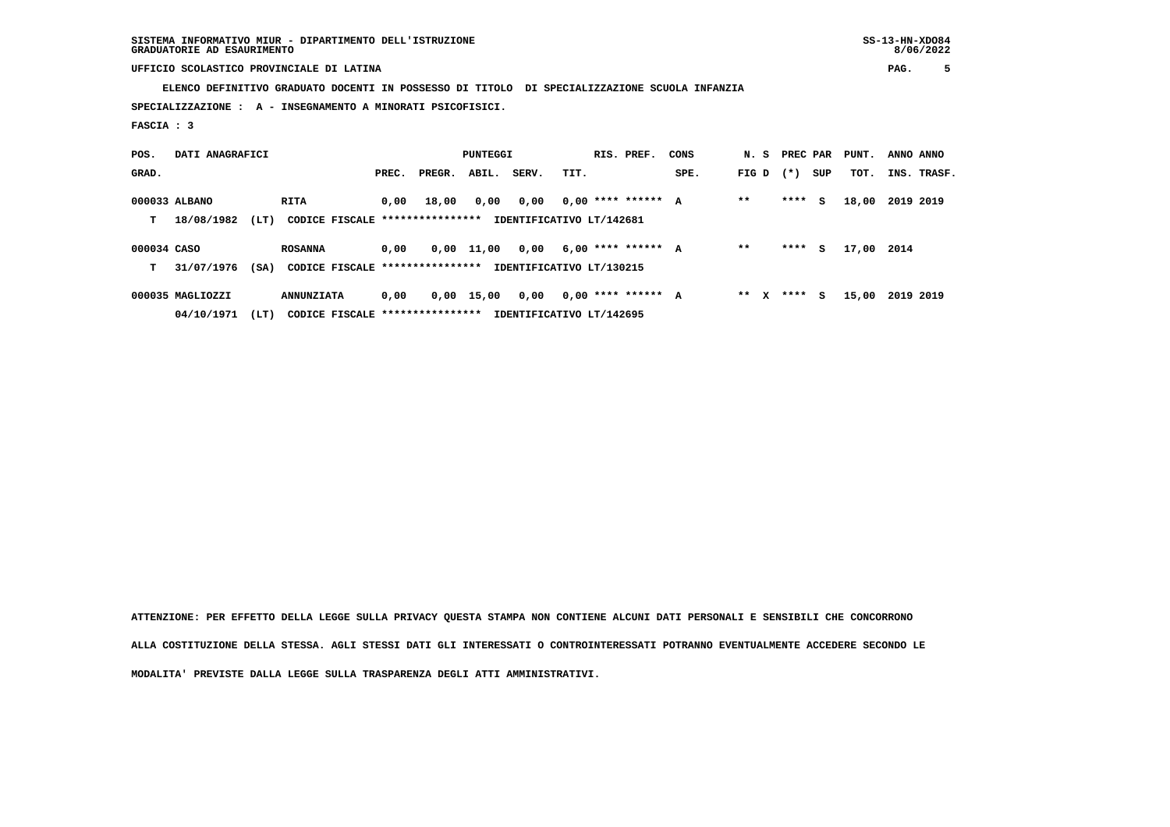**ELENCO DEFINITIVO GRADUATO DOCENTI IN POSSESSO DI TITOLO DI SPECIALIZZAZIONE SCUOLA INFANZIA**

 **SPECIALIZZAZIONE : A - INSEGNAMENTO A MINORATI PSICOFISICI.**

 **FASCIA : 3**

| POS.        | DATI ANAGRAFICI  |      |                                  |       |        | <b>PUNTEGGI</b> |                          |      | RIS. PREF.           | CONS | N. S PREC PAR |        |     | PUNT. | ANNO ANNO |             |
|-------------|------------------|------|----------------------------------|-------|--------|-----------------|--------------------------|------|----------------------|------|---------------|--------|-----|-------|-----------|-------------|
| GRAD.       |                  |      |                                  | PREC. | PREGR. | ABIL.           | SERV.                    | TIT. |                      | SPE. | FIG D         | $(* )$ | SUP | TOT.  |           | INS. TRASF. |
|             | 000033 ALBANO    |      | RITA                             | 0.00  | 18,00  | 0,00            | 0,00                     |      | $0,00$ **** ****** A |      | $* *$         | ****   | s   | 18,00 | 2019 2019 |             |
| т           | 18/08/1982       | (LT) | CODICE FISCALE ****************  |       |        |                 | IDENTIFICATIVO LT/142681 |      |                      |      |               |        |     |       |           |             |
| 000034 CASO |                  |      | <b>ROSANNA</b>                   | 0.00  |        | $0,00$ 11,00    | 0,00                     |      | $6,00$ **** ****** A |      | $* *$         | ****   | s   | 17,00 | 2014      |             |
| т           | 31/07/1976       | (SA) | CODICE FISCALE ****************  |       |        |                 | IDENTIFICATIVO LT/130215 |      |                      |      |               |        |     |       |           |             |
|             | 000035 MAGLIOZZI |      | <b>ANNUNZIATA</b>                | 0,00  |        | 0,00 15,00      | 0,00                     |      | $0.00$ **** ****** A |      | $***$ X       | ****   | s   | 15,00 | 2019 2019 |             |
|             | 04/10/1971       | (LT) | CODICE FISCALE ***************** |       |        |                 | IDENTIFICATIVO LT/142695 |      |                      |      |               |        |     |       |           |             |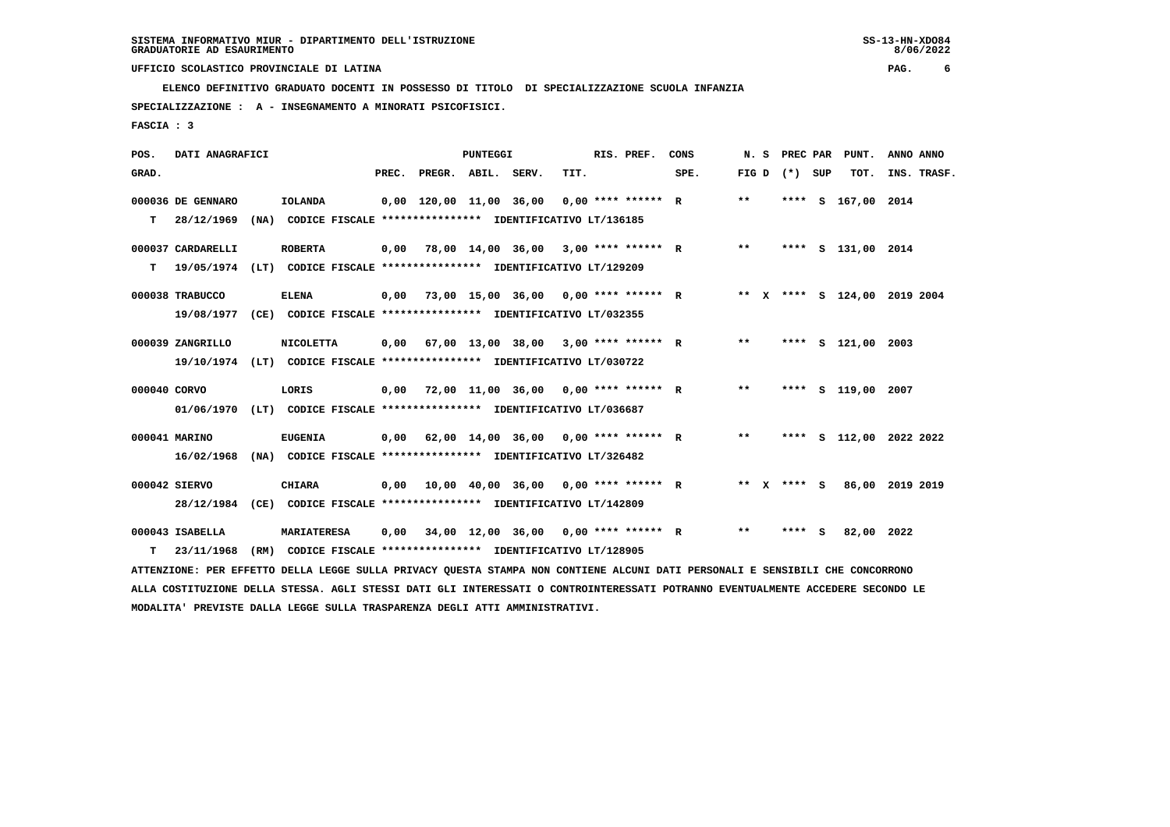**ELENCO DEFINITIVO GRADUATO DOCENTI IN POSSESSO DI TITOLO DI SPECIALIZZAZIONE SCUOLA INFANZIA**

 **SPECIALIZZAZIONE : A - INSEGNAMENTO A MINORATI PSICOFISICI.**

 **FASCIA : 3**

| POS.         | DATI ANAGRAFICI   |                                                                                                                                 |       |                                      | PUNTEGGI |                                                   |      | RIS. PREF.           | CONS | N.S   | <b>PREC PAR</b> |   | PUNT.                        | ANNO ANNO |             |
|--------------|-------------------|---------------------------------------------------------------------------------------------------------------------------------|-------|--------------------------------------|----------|---------------------------------------------------|------|----------------------|------|-------|-----------------|---|------------------------------|-----------|-------------|
| GRAD.        |                   |                                                                                                                                 | PREC. | PREGR. ABIL. SERV.                   |          |                                                   | TIT. |                      | SPE. | FIG D | (*) SUP         |   | TOT.                         |           | INS. TRASF. |
|              | 000036 DE GENNARO | <b>IOLANDA</b>                                                                                                                  |       | 0,00 120,00 11,00 36,00              |          |                                                   |      | $0,00$ **** ****** R |      | $***$ | ****            | s | 167,00                       | 2014      |             |
| т            | 28/12/1969        | (NA) CODICE FISCALE **************** IDENTIFICATIVO LT/136185                                                                   |       |                                      |          |                                                   |      |                      |      |       |                 |   |                              |           |             |
|              | 000037 CARDARELLI | <b>ROBERTA</b>                                                                                                                  | 0,00  | 78,00 14,00 36,00 3,00 **** ****** R |          |                                                   |      |                      |      | $***$ |                 |   | **** S 131,00 2014           |           |             |
| т            | 19/05/1974        | (LT) CODICE FISCALE **************** IDENTIFICATIVO LT/129209                                                                   |       |                                      |          |                                                   |      |                      |      |       |                 |   |                              |           |             |
|              | 000038 TRABUCCO   | <b>ELENA</b>                                                                                                                    | 0,00  | 73,00 15,00 36,00 0,00 **** ****** R |          |                                                   |      |                      |      |       |                 |   | ** X **** S 124,00 2019 2004 |           |             |
|              | 19/08/1977        | (CE) CODICE FISCALE **************** IDENTIFICATIVO LT/032355                                                                   |       |                                      |          |                                                   |      |                      |      |       |                 |   |                              |           |             |
|              | 000039 ZANGRILLO  | <b>NICOLETTA</b>                                                                                                                | 0,00  | 67,00 13,00 38,00 3,00 **** ****** R |          |                                                   |      |                      |      | $***$ |                 |   | **** S 121,00 2003           |           |             |
|              | 19/10/1974        | (LT) CODICE FISCALE **************** IDENTIFICATIVO LT/030722                                                                   |       |                                      |          |                                                   |      |                      |      |       |                 |   |                              |           |             |
| 000040 CORVO |                   | LORIS                                                                                                                           | 0,00  | 72,00 11,00 36,00 0,00 **** ****** R |          |                                                   |      |                      |      | $* *$ |                 |   | **** S 119,00 2007           |           |             |
|              | 01/06/1970        | (LT) CODICE FISCALE **************** IDENTIFICATIVO LT/036687                                                                   |       |                                      |          |                                                   |      |                      |      |       |                 |   |                              |           |             |
|              | 000041 MARINO     | <b>EUGENIA</b>                                                                                                                  | 0,00  | 62,00 14,00 36,00 0,00 **** ****** R |          |                                                   |      |                      |      | $* *$ |                 |   | **** S 112,00 2022 2022      |           |             |
|              | 16/02/1968        | (NA) CODICE FISCALE **************** IDENTIFICATIVO LT/326482                                                                   |       |                                      |          |                                                   |      |                      |      |       |                 |   |                              |           |             |
|              | 000042 SIERVO     | <b>CHIARA</b>                                                                                                                   | 0,00  |                                      |          | $10,00$ $40,00$ $36,00$ $0,00$ $***$ **** ***** R |      |                      |      |       | ** x **** S     |   | 86,00 2019 2019              |           |             |
|              | 28/12/1984        | (CE) CODICE FISCALE **************** IDENTIFICATIVO LT/142809                                                                   |       |                                      |          |                                                   |      |                      |      |       |                 |   |                              |           |             |
|              | 000043 ISABELLA   | <b>MARIATERESA</b>                                                                                                              | 0,00  | 34,00 12,00 36,00 0,00 **** ****** R |          |                                                   |      |                      |      | $* *$ | **** S          |   | 82,00 2022                   |           |             |
| т            | 23/11/1968        | (RM) CODICE FISCALE **************** IDENTIFICATIVO LT/128905                                                                   |       |                                      |          |                                                   |      |                      |      |       |                 |   |                              |           |             |
|              |                   | ATTENZIONE: PER EFFETTO DELLA LEGGE SULLA PRIVACY QUESTA STAMPA NON CONTIENE ALCUNI DATI PERSONALI E SENSIBILI CHE CONCORRONO   |       |                                      |          |                                                   |      |                      |      |       |                 |   |                              |           |             |
|              |                   | ALLA COSTITUZIONE DELLA STESSA. AGLI STESSI DATI GLI INTERESSATI O CONTROINTERESSATI POTRANNO EVENTUALMENTE ACCEDERE SECONDO LE |       |                                      |          |                                                   |      |                      |      |       |                 |   |                              |           |             |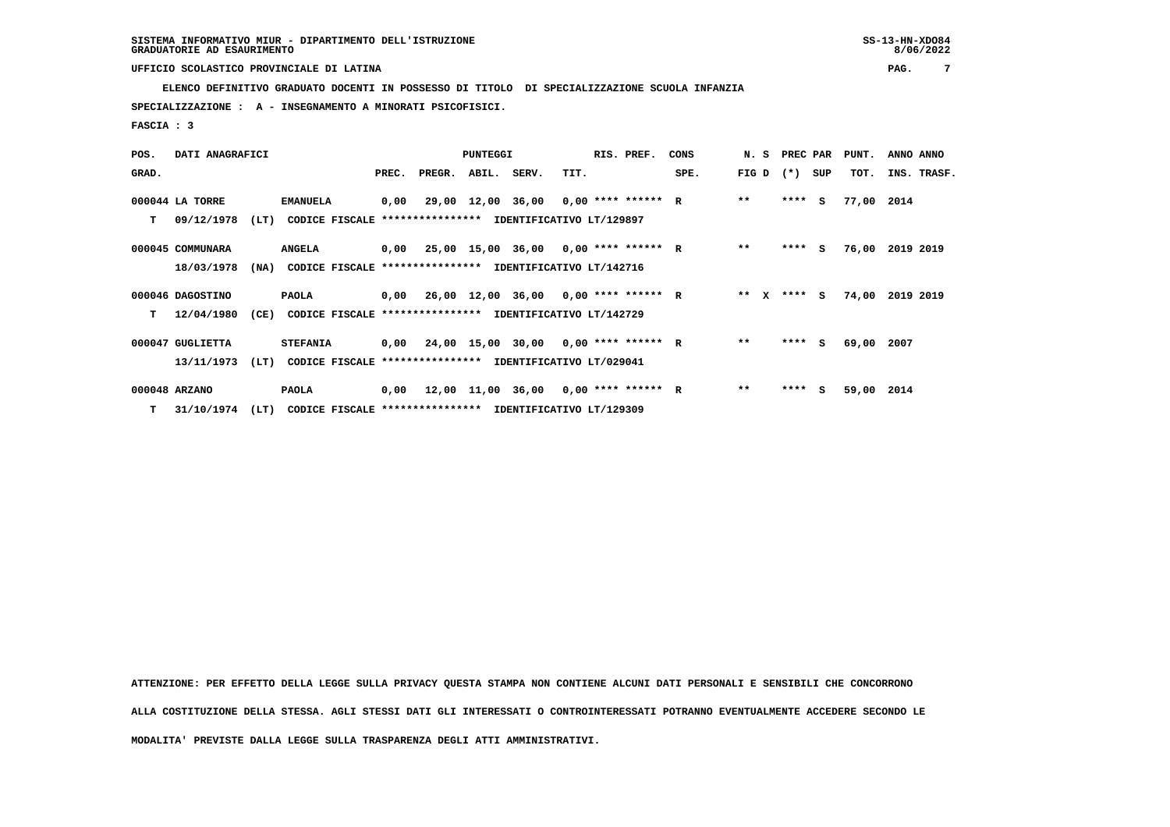**ELENCO DEFINITIVO GRADUATO DOCENTI IN POSSESSO DI TITOLO DI SPECIALIZZAZIONE SCUOLA INFANZIA**

 **SPECIALIZZAZIONE : A - INSEGNAMENTO A MINORATI PSICOFISICI.**

 **FASCIA : 3**

| POS.  | DATI ANAGRAFICI  |      |                                                               |       |              | <b>PUNTEGGI</b> |                                             |      | RIS. PREF. | CONS |        | N. S PREC PAR |     | PUNT.      | ANNO ANNO       |
|-------|------------------|------|---------------------------------------------------------------|-------|--------------|-----------------|---------------------------------------------|------|------------|------|--------|---------------|-----|------------|-----------------|
| GRAD. |                  |      |                                                               | PREC. | PREGR. ABIL. |                 | SERV.                                       | TIT. |            | SPE. | FIG D  | $(* )$        | SUP | TOT.       | INS. TRASF.     |
|       | 000044 LA TORRE  |      | <b>EMANUELA</b>                                               | 0,00  |              |                 | 29,00 12,00 36,00 0,00 **** ****** R        |      |            |      | $**$   | $***$ S       |     | 77,00 2014 |                 |
| т     | 09/12/1978       | (LT) | CODICE FISCALE **************** IDENTIFICATIVO LT/129897      |       |              |                 |                                             |      |            |      |        |               |     |            |                 |
|       | 000045 COMMUNARA |      | <b>ANGELA</b>                                                 |       |              |                 | $0,00$ 25,00 15,00 36,00 0,00 **** ****** R |      |            |      | $* *$  | $***$ S       |     |            | 76,00 2019 2019 |
|       | 18/03/1978       |      | (NA) CODICE FISCALE **************** IDENTIFICATIVO LT/142716 |       |              |                 |                                             |      |            |      |        |               |     |            |                 |
|       | 000046 DAGOSTINO |      | PAOLA                                                         |       |              |                 | $0,00$ 26,00 12,00 36,00 0,00 **** ****** R |      |            |      | ** $X$ | $***$ S       |     |            | 74,00 2019 2019 |
| т     | 12/04/1980       | (CE) | <b>CODICE FISCALE</b>                                         |       |              |                 | **************** IDENTIFICATIVO LT/142729   |      |            |      |        |               |     |            |                 |
|       | 000047 GUGLIETTA |      | <b>STEFANIA</b>                                               |       |              |                 | $0,00$ 24,00 15,00 30,00 0,00 **** ****** R |      |            |      | $***$  | **** S        |     | 69,00 2007 |                 |
|       | 13/11/1973       | (LT) | CODICE FISCALE **************** IDENTIFICATIVO LT/029041      |       |              |                 |                                             |      |            |      |        |               |     |            |                 |
|       | 000048 ARZANO    |      | PAOLA                                                         |       |              |                 | $0,00$ 12,00 11,00 36,00 0,00 **** ****** R |      |            |      | $***$  | ****          | S.  | 59,00 2014 |                 |
|       | T 31/10/1974     | (LT) | CODICE FISCALE **************** IDENTIFICATIVO LT/129309      |       |              |                 |                                             |      |            |      |        |               |     |            |                 |

 **ATTENZIONE: PER EFFETTO DELLA LEGGE SULLA PRIVACY QUESTA STAMPA NON CONTIENE ALCUNI DATI PERSONALI E SENSIBILI CHE CONCORRONO**

 **ALLA COSTITUZIONE DELLA STESSA. AGLI STESSI DATI GLI INTERESSATI O CONTROINTERESSATI POTRANNO EVENTUALMENTE ACCEDERE SECONDO LE**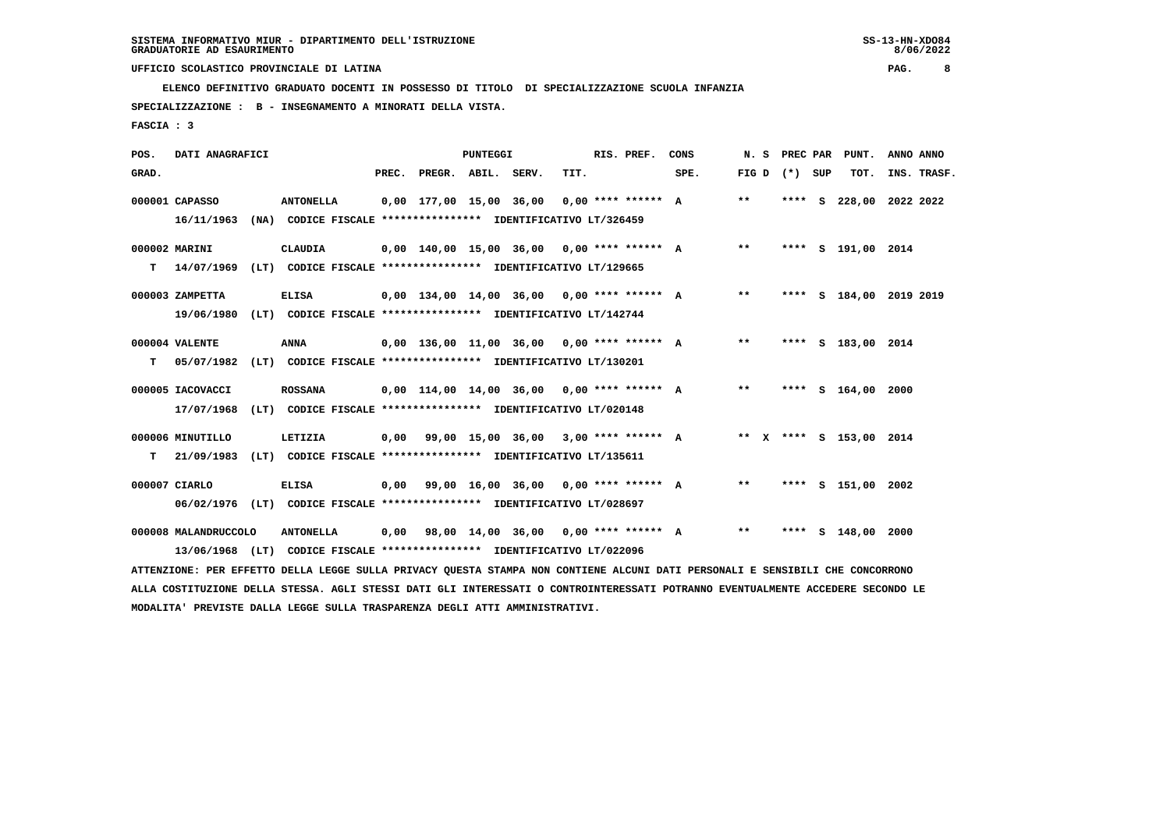**ELENCO DEFINITIVO GRADUATO DOCENTI IN POSSESSO DI TITOLO DI SPECIALIZZAZIONE SCUOLA INFANZIA**

 **SPECIALIZZAZIONE : B - INSEGNAMENTO A MINORATI DELLA VISTA.**

 **FASCIA : 3**

| POS.  | DATI ANAGRAFICI      |                                                                                                                               |       |                    | <b>PUNTEGGI</b> |                                              |      | RIS. PREF.           | CONS | N.S   | <b>PREC PAR</b>   | PUNT.                   | ANNO ANNO |             |
|-------|----------------------|-------------------------------------------------------------------------------------------------------------------------------|-------|--------------------|-----------------|----------------------------------------------|------|----------------------|------|-------|-------------------|-------------------------|-----------|-------------|
| GRAD. |                      |                                                                                                                               | PREC. | PREGR. ABIL. SERV. |                 |                                              | TIT. |                      | SPE. |       | FIG $D$ $(*)$ SUP | тот.                    |           | INS. TRASF. |
|       | 000001 CAPASSO       | <b>ANTONELLA</b>                                                                                                              |       |                    |                 | 0,00 177,00 15,00 36,00                      |      | $0.00$ **** ****** A |      | $***$ |                   | **** S 228,00 2022 2022 |           |             |
|       | 16/11/1963           | (NA) CODICE FISCALE **************** IDENTIFICATIVO LT/326459                                                                 |       |                    |                 |                                              |      |                      |      |       |                   |                         |           |             |
|       | 000002 MARINI        | CLAUDIA                                                                                                                       |       |                    |                 | $0,00$ 140,00 15,00 36,00 0,00 **** ****** A |      |                      |      | $***$ |                   | **** S 191,00 2014      |           |             |
| T.    |                      | 14/07/1969 (LT) CODICE FISCALE **************** IDENTIFICATIVO LT/129665                                                      |       |                    |                 |                                              |      |                      |      |       |                   |                         |           |             |
|       | 000003 ZAMPETTA      | <b>ELISA</b>                                                                                                                  |       |                    |                 | $0.00$ 134,00 14,00 36,00 0,00 **** ****** A |      |                      |      | $***$ |                   | **** S 184,00 2019 2019 |           |             |
|       | 19/06/1980           | (LT) CODICE FISCALE **************** IDENTIFICATIVO LT/142744                                                                 |       |                    |                 |                                              |      |                      |      |       |                   |                         |           |             |
|       |                      |                                                                                                                               |       |                    |                 |                                              |      |                      |      |       |                   |                         |           |             |
|       | 000004 VALENTE       | <b>ANNA</b>                                                                                                                   |       |                    |                 | $0,00$ 136,00 11,00 36,00 0,00 **** ****** A |      |                      |      | $***$ |                   | **** S 183,00 2014      |           |             |
| T.    | 05/07/1982           | (LT) CODICE FISCALE **************** IDENTIFICATIVO LT/130201                                                                 |       |                    |                 |                                              |      |                      |      |       |                   |                         |           |             |
|       | 000005 IACOVACCI     | <b>ROSSANA</b>                                                                                                                |       |                    |                 | $0,00$ 114,00 14,00 36,00 0,00 **** ****** A |      |                      |      | $***$ |                   | **** S 164,00 2000      |           |             |
|       | 17/07/1968           | (LT) CODICE FISCALE **************** IDENTIFICATIVO LT/020148                                                                 |       |                    |                 |                                              |      |                      |      |       |                   |                         |           |             |
|       | 000006 MINUTILLO     | LETIZIA                                                                                                                       |       |                    |                 | $0,00$ 99,00 15,00 36,00 3,00 **** ****** A  |      |                      |      |       |                   | ** X **** S 153,00 2014 |           |             |
| т     | 21/09/1983           | (LT) CODICE FISCALE **************** IDENTIFICATIVO LT/135611                                                                 |       |                    |                 |                                              |      |                      |      |       |                   |                         |           |             |
|       |                      |                                                                                                                               |       |                    |                 |                                              |      |                      |      |       |                   |                         |           |             |
|       | 000007 CIARLO        | <b>ELISA</b>                                                                                                                  |       |                    |                 | $0.00$ 99.00 16.00 36.00 0.00 **** ****** A  |      |                      |      | $* *$ |                   | **** S 151,00 2002      |           |             |
|       |                      | 06/02/1976 (LT) CODICE FISCALE *************** IDENTIFICATIVO LT/028697                                                       |       |                    |                 |                                              |      |                      |      |       |                   |                         |           |             |
|       | 000008 MALANDRUCCOLO | <b>ANTONELLA</b>                                                                                                              | 0,00  |                    |                 | 98,00 14,00 36,00 0,00 **** ****** A         |      |                      |      | $* *$ |                   | **** $S$ 148,00         | 2000      |             |
|       |                      | 13/06/1968 (LT) CODICE FISCALE **************** IDENTIFICATIVO LT/022096                                                      |       |                    |                 |                                              |      |                      |      |       |                   |                         |           |             |
|       |                      | ATTENZIONE: PER EFFETTO DELLA LEGGE SULLA PRIVACY QUESTA STAMPA NON CONTIENE ALCUNI DATI PERSONALI E SENSIBILI CHE CONCORRONO |       |                    |                 |                                              |      |                      |      |       |                   |                         |           |             |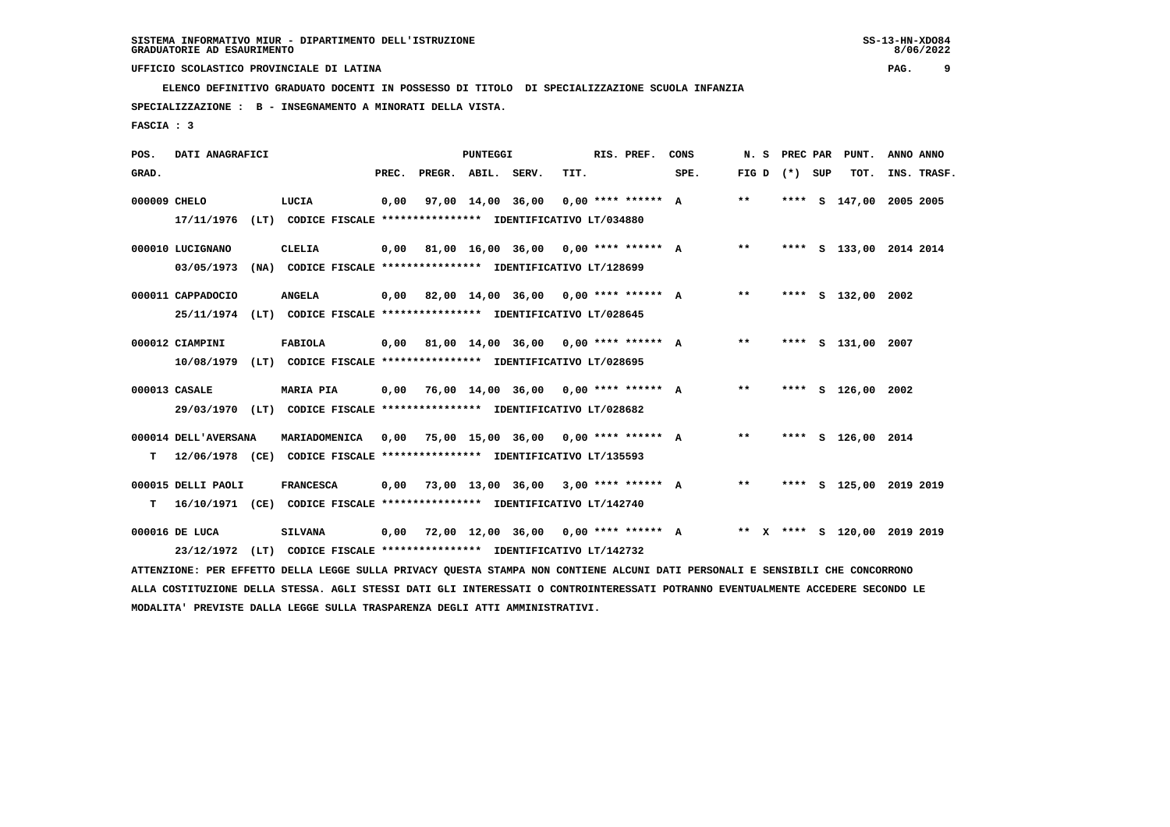**ELENCO DEFINITIVO GRADUATO DOCENTI IN POSSESSO DI TITOLO DI SPECIALIZZAZIONE SCUOLA INFANZIA**

 **SPECIALIZZAZIONE : B - INSEGNAMENTO A MINORATI DELLA VISTA.**

 **FASCIA : 3**

| POS.         | DATI ANAGRAFICI                |                                                                                                                                                                                                                             |       |                    | <b>PUNTEGGI</b> |                                             |      | RIS. PREF. | CONS                                      | N.S             |  | PREC PAR PUNT.               | ANNO ANNO |             |
|--------------|--------------------------------|-----------------------------------------------------------------------------------------------------------------------------------------------------------------------------------------------------------------------------|-------|--------------------|-----------------|---------------------------------------------|------|------------|-------------------------------------------|-----------------|--|------------------------------|-----------|-------------|
| GRAD.        |                                |                                                                                                                                                                                                                             | PREC. | PREGR. ABIL. SERV. |                 |                                             | TIT. |            | SPE.                                      | FIG D $(*)$ SUP |  | тот.                         |           | INS. TRASF. |
| 000009 CHELO | 17/11/1976                     | LUCIA<br>(LT) CODICE FISCALE **************** IDENTIFICATIVO LT/034880                                                                                                                                                      | 0,00  |                    |                 | 97,00 14,00 36,00 0,00 **** ****** A        |      |            |                                           | $***$           |  | **** S 147,00 2005 2005      |           |             |
|              | 000010 LUCIGNANO<br>03/05/1973 | CLELIA<br>(NA) CODICE FISCALE **************** IDENTIFICATIVO LT/128699                                                                                                                                                     |       |                    |                 |                                             |      |            | 0,00 81,00 16,00 36,00 0,00 **** ****** A | $***$           |  | **** S 133,00 2014 2014      |           |             |
|              | 000011 CAPPADOCIO              | <b>ANGELA</b><br>25/11/1974 (LT) CODICE FISCALE *************** IDENTIFICATIVO LT/028645                                                                                                                                    |       |                    |                 |                                             |      |            | 0,00 82,00 14,00 36,00 0,00 **** ****** A | $***$           |  | **** S 132,00 2002           |           |             |
|              | 000012 CIAMPINI<br>10/08/1979  | FABIOLA<br>(LT) CODICE FISCALE **************** IDENTIFICATIVO LT/028695                                                                                                                                                    |       |                    |                 | $0,00$ 81,00 14,00 36,00 0,00 **** ****** A |      |            |                                           | $***$           |  | **** S 131,00 2007           |           |             |
|              | 000013 CASALE                  | <b>MARIA PIA</b><br>29/03/1970 (LT) CODICE FISCALE *************** IDENTIFICATIVO LT/028682                                                                                                                                 |       |                    |                 | $0,00$ 76,00 14,00 36,00 0,00 **** ****** A |      |            |                                           | $**$            |  | **** S 126,00 2002           |           |             |
| т            | 000014 DELL'AVERSANA           | MARIADOMENICA<br>12/06/1978 (CE) CODICE FISCALE **************** IDENTIFICATIVO LT/135593                                                                                                                                   | 0,00  |                    |                 | 75,00 15,00 36,00 0,00 **** ****** A        |      |            |                                           | $***$           |  | **** S 126,00 2014           |           |             |
| т            | 000015 DELLI PAOLI             | <b>FRANCESCA</b><br>16/10/1971 (CE) CODICE FISCALE **************** IDENTIFICATIVO LT/142740                                                                                                                                | 0,00  |                    |                 | 73,00 13,00 36,00 3,00 **** ****** A        |      |            |                                           | $***$           |  | **** S 125,00 2019 2019      |           |             |
|              | 000016 DE LUCA                 | <b>SILVANA</b><br>23/12/1972 (LT) CODICE FISCALE **************** IDENTIFICATIVO LT/142732<br>ATTENZIONE: PER EFFETTO DELLA LEGGE SULLA PRIVACY QUESTA STAMPA NON CONTIENE ALCUNI DATI PERSONALI E SENSIBILI CHE CONCORRONO |       |                    |                 | $0,00$ 72,00 12,00 36,00 0,00 **** ****** A |      |            |                                           |                 |  | ** X **** S 120.00 2019 2019 |           |             |
|              |                                |                                                                                                                                                                                                                             |       |                    |                 |                                             |      |            |                                           |                 |  |                              |           |             |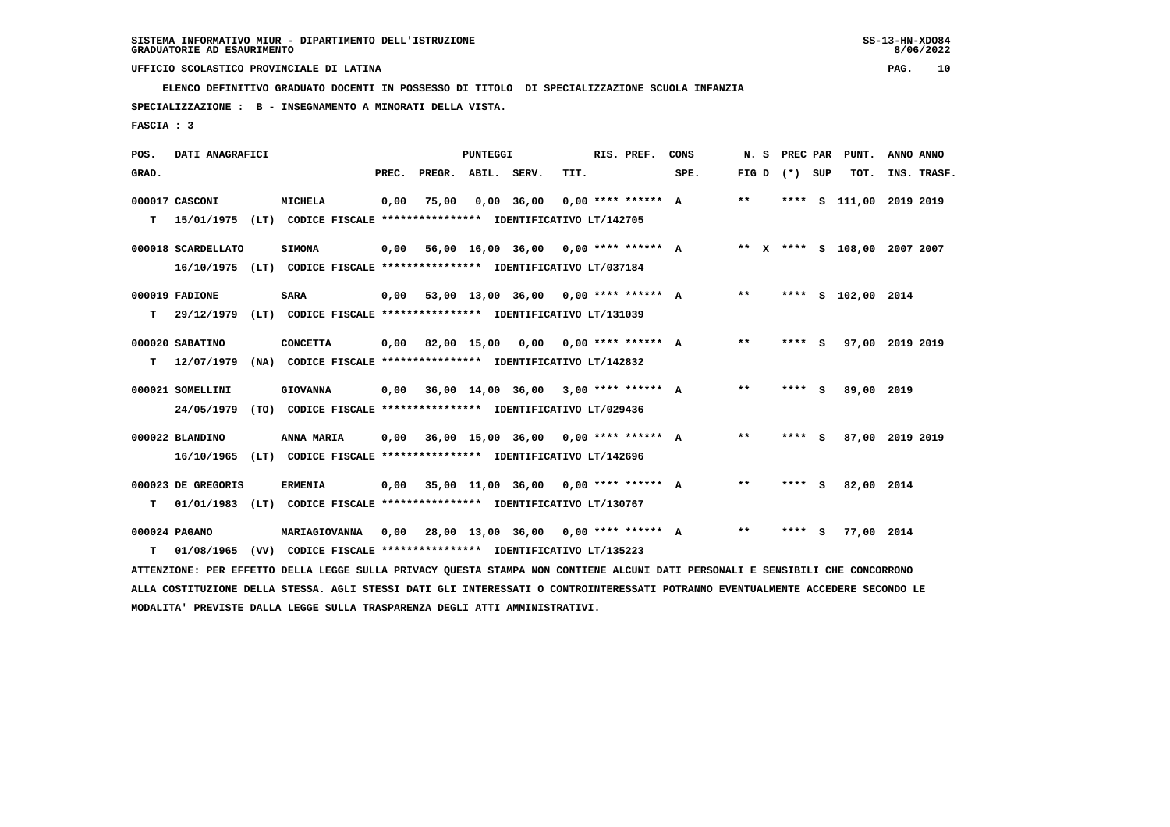**ELENCO DEFINITIVO GRADUATO DOCENTI IN POSSESSO DI TITOLO DI SPECIALIZZAZIONE SCUOLA INFANZIA**

 **SPECIALIZZAZIONE : B - INSEGNAMENTO A MINORATI DELLA VISTA.**

 **FASCIA : 3**

| POS.  | DATI ANAGRAFICI    |                                                                                                                               |       |                    | <b>PUNTEGGI</b> |                                             |      | RIS. PREF.           | CONS | N. S  | PREC PAR | PUNT.                        | ANNO ANNO |             |
|-------|--------------------|-------------------------------------------------------------------------------------------------------------------------------|-------|--------------------|-----------------|---------------------------------------------|------|----------------------|------|-------|----------|------------------------------|-----------|-------------|
| GRAD. |                    |                                                                                                                               | PREC. | PREGR. ABIL. SERV. |                 |                                             | TIT. |                      | SPE. | FIG D | (*) SUP  | TOT.                         |           | INS. TRASF. |
|       | 000017 CASCONI     | MICHELA                                                                                                                       | 0,00  | 75,00              |                 | $0,00$ 36,00                                |      | $0.00$ **** ****** A |      | $***$ |          | **** S 111,00 2019 2019      |           |             |
| т     |                    | 15/01/1975 (LT) CODICE FISCALE **************** IDENTIFICATIVO LT/142705                                                      |       |                    |                 |                                             |      |                      |      |       |          |                              |           |             |
|       | 000018 SCARDELLATO | <b>SIMONA</b>                                                                                                                 | 0,00  |                    |                 | 56,00 16,00 36,00 0,00 **** ****** A        |      |                      |      |       |          | ** X **** S 108,00 2007 2007 |           |             |
|       |                    | 16/10/1975 (LT) CODICE FISCALE *************** IDENTIFICATIVO LT/037184                                                       |       |                    |                 |                                             |      |                      |      |       |          |                              |           |             |
|       | 000019 FADIONE     | <b>SARA</b>                                                                                                                   | 0.00  |                    |                 | 53,00 13,00 36,00 0,00 **** ****** A        |      |                      |      | $***$ |          | **** S 102,00 2014           |           |             |
| т     | 29/12/1979         | (LT) CODICE FISCALE **************** IDENTIFICATIVO LT/131039                                                                 |       |                    |                 |                                             |      |                      |      |       |          |                              |           |             |
|       | 000020 SABATINO    | <b>CONCETTA</b>                                                                                                               | 0.00  |                    |                 |                                             |      |                      |      | $***$ | **** S   | 97,00 2019 2019              |           |             |
| т     | 12/07/1979         | (NA) CODICE FISCALE **************** IDENTIFICATIVO LT/142832                                                                 |       |                    |                 |                                             |      |                      |      |       |          |                              |           |             |
|       | 000021 SOMELLINI   | <b>GIOVANNA</b>                                                                                                               | 0.00  |                    |                 | 36,00 14,00 36,00 3,00 **** ****** A        |      |                      |      | $***$ | **** S   | 89,00 2019                   |           |             |
|       | 24/05/1979         | (TO) CODICE FISCALE **************** IDENTIFICATIVO LT/029436                                                                 |       |                    |                 |                                             |      |                      |      |       |          |                              |           |             |
|       | 000022 BLANDINO    | ANNA MARIA                                                                                                                    | 0,00  |                    |                 | 36,00 15,00 36,00 0,00 **** ****** A        |      |                      |      | $***$ | **** S   | 87,00 2019 2019              |           |             |
|       | 16/10/1965         | (LT) CODICE FISCALE **************** IDENTIFICATIVO LT/142696                                                                 |       |                    |                 |                                             |      |                      |      |       |          |                              |           |             |
|       |                    |                                                                                                                               |       |                    |                 | $0,00$ 35,00 11,00 36,00 0,00 **** ****** A |      |                      |      | $* *$ |          |                              |           |             |
|       | 000023 DE GREGORIS | <b>ERMENIA</b>                                                                                                                |       |                    |                 |                                             |      |                      |      |       | **** S   | 82,00 2014                   |           |             |
| т     |                    | 01/01/1983 (LT) CODICE FISCALE **************** IDENTIFICATIVO LT/130767                                                      |       |                    |                 |                                             |      |                      |      |       |          |                              |           |             |
|       | 000024 PAGANO      | MARIAGIOVANNA                                                                                                                 | 0,00  |                    |                 | 28,00 13,00 36,00 0,00 **** ****** A        |      |                      |      | $***$ | **** S   | 77,00 2014                   |           |             |
| т     | 01/08/1965         | (VV) CODICE FISCALE **************** IDENTIFICATIVO LT/135223                                                                 |       |                    |                 |                                             |      |                      |      |       |          |                              |           |             |
|       |                    | ATTENZIONE: PER EFFETTO DELLA LEGGE SULLA PRIVACY QUESTA STAMPA NON CONTIENE ALCUNI DATI PERSONALI E SENSIBILI CHE CONCORRONO |       |                    |                 |                                             |      |                      |      |       |          |                              |           |             |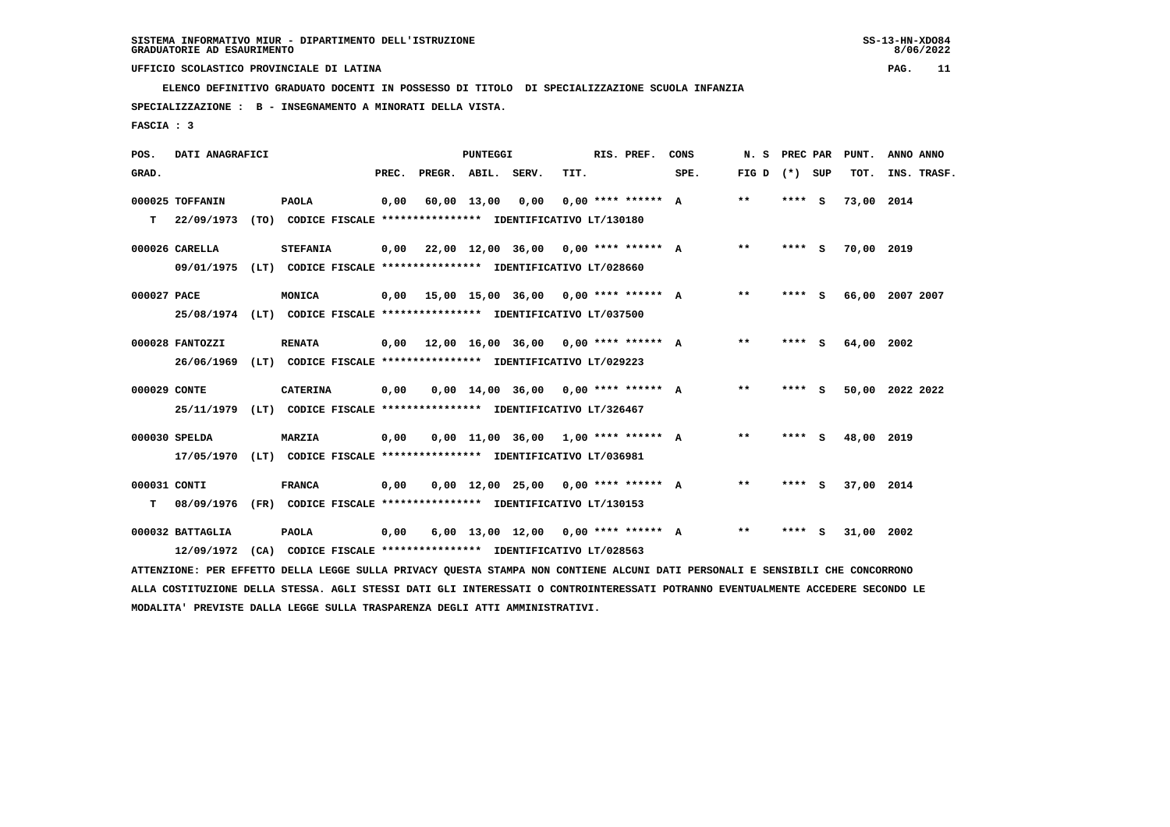**ELENCO DEFINITIVO GRADUATO DOCENTI IN POSSESSO DI TITOLO DI SPECIALIZZAZIONE SCUOLA INFANZIA**

 **SPECIALIZZAZIONE : B - INSEGNAMENTO A MINORATI DELLA VISTA.**

 **FASCIA : 3**

| POS.         | DATI ANAGRAFICI  |                                                                                                                               |       |                    | PUNTEGGI    |                                             |      | RIS. PREF.           | CONS | N. S         | PREC PAR |     | PUNT.      | ANNO ANNO       |
|--------------|------------------|-------------------------------------------------------------------------------------------------------------------------------|-------|--------------------|-------------|---------------------------------------------|------|----------------------|------|--------------|----------|-----|------------|-----------------|
| GRAD.        |                  |                                                                                                                               | PREC. | PREGR. ABIL. SERV. |             |                                             | TIT. |                      | SPE. | FIG D        | (*) SUP  |     | TOT.       | INS. TRASF.     |
|              | 000025 TOFFANIN  | <b>PAOLA</b>                                                                                                                  | 0,00  |                    | 60,00 13,00 | 0,00                                        |      | $0.00$ **** ****** A |      | $\star\star$ | $***$ S  |     | 73,00 2014 |                 |
| т            | 22/09/1973       | (TO) CODICE FISCALE **************** IDENTIFICATIVO LT/130180                                                                 |       |                    |             |                                             |      |                      |      |              |          |     |            |                 |
|              | 000026 CARELLA   | <b>STEFANIA</b>                                                                                                               |       |                    |             | $0.00$ 22.00 12.00 36.00 0.00 **** ****** A |      |                      |      | $***$        | $***$ S  |     | 70,00 2019 |                 |
|              | 09/01/1975       | (LT) CODICE FISCALE **************** IDENTIFICATIVO LT/028660                                                                 |       |                    |             |                                             |      |                      |      |              |          |     |            |                 |
| 000027 PACE  |                  | MONICA                                                                                                                        |       |                    |             | $0,00$ 15,00 15,00 36,00 0,00 **** ****** A |      |                      |      | $* *$        | **** S   |     |            | 66,00 2007 2007 |
|              | 25/08/1974       | (LT) CODICE FISCALE **************** IDENTIFICATIVO LT/037500                                                                 |       |                    |             |                                             |      |                      |      |              |          |     |            |                 |
|              | 000028 FANTOZZI  | <b>RENATA</b>                                                                                                                 |       |                    |             | $0,00$ 12,00 16,00 36,00 0,00 **** ****** A |      |                      |      | $* *$        | **** S   |     | 64,00 2002 |                 |
|              | 26/06/1969       | (LT) CODICE FISCALE **************** IDENTIFICATIVO LT/029223                                                                 |       |                    |             |                                             |      |                      |      |              |          |     |            |                 |
| 000029 CONTE |                  | <b>CATERINA</b>                                                                                                               | 0,00  |                    |             | $0.00$ 14.00 36.00 0.00 **** ****** A       |      |                      |      | $* *$        | **** S   |     |            | 50,00 2022 2022 |
|              | 25/11/1979       | (LT) CODICE FISCALE **************** IDENTIFICATIVO LT/326467                                                                 |       |                    |             |                                             |      |                      |      |              |          |     |            |                 |
|              | 000030 SPELDA    | <b>MARZIA</b>                                                                                                                 | 0,00  |                    |             | $0,00$ 11,00 36,00 1,00 **** ****** A       |      |                      |      | $* *$        | **** S   |     | 48,00 2019 |                 |
|              | 17/05/1970       | (LT) CODICE FISCALE **************** IDENTIFICATIVO LT/036981                                                                 |       |                    |             |                                             |      |                      |      |              |          |     |            |                 |
| 000031 CONTI |                  | <b>FRANCA</b>                                                                                                                 | 0,00  |                    |             | $0,00$ 12,00 25,00 0,00 **** ****** A       |      |                      |      | $***$        | **** S   |     | 37,00 2014 |                 |
| т            | 08/09/1976       | (FR) CODICE FISCALE **************** IDENTIFICATIVO LT/130153                                                                 |       |                    |             |                                             |      |                      |      |              |          |     |            |                 |
|              | 000032 BATTAGLIA | <b>PAOLA</b>                                                                                                                  | 0,00  |                    |             | $6,00$ 13,00 12,00 0,00 **** ****** A       |      |                      |      | $* *$        | ****     | - S | 31,00      | 2002            |
|              | 12/09/1972       | (CA) CODICE FISCALE **************** IDENTIFICATIVO LT/028563                                                                 |       |                    |             |                                             |      |                      |      |              |          |     |            |                 |
|              |                  | ATTENZIONE: PER EFFETTO DELLA LEGGE SULLA PRIVACY QUESTA STAMPA NON CONTIENE ALCUNI DATI PERSONALI E SENSIBILI CHE CONCORRONO |       |                    |             |                                             |      |                      |      |              |          |     |            |                 |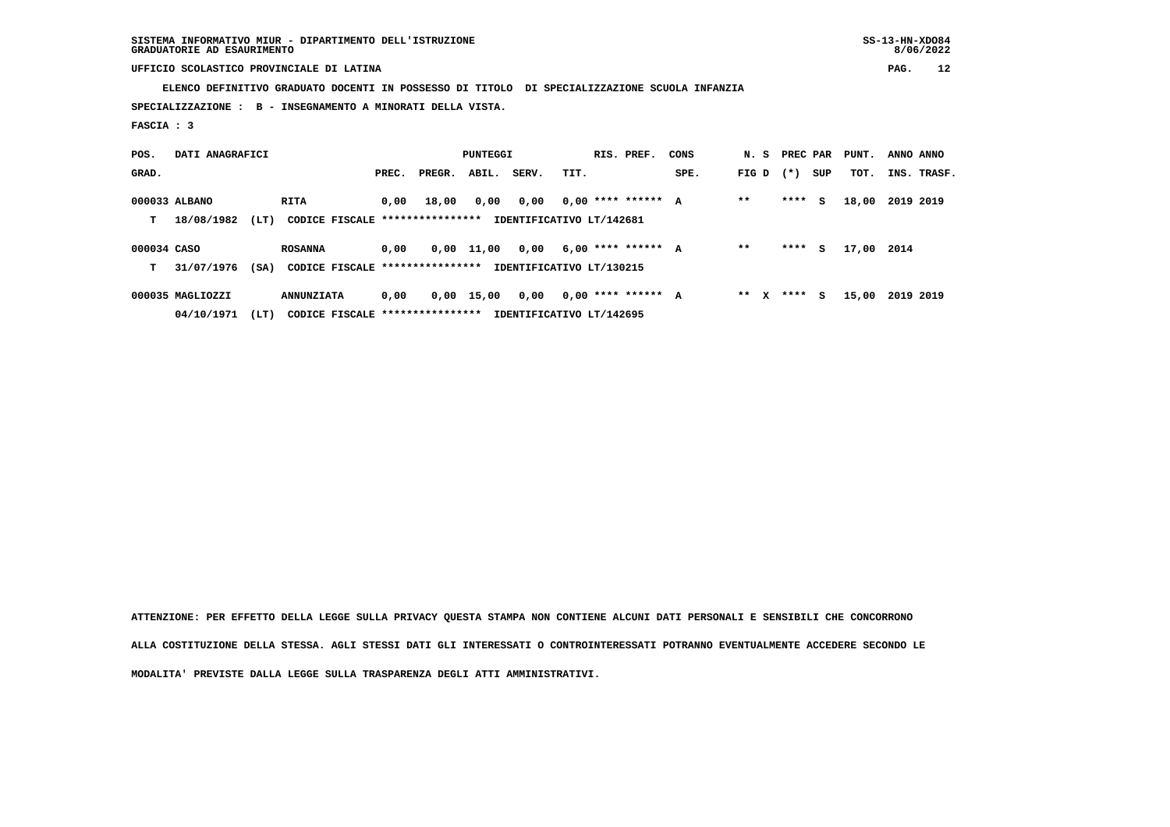**SISTEMA INFORMATIVO MIUR - DIPARTIMENTO DELL'ISTRUZIONE SS-13-HN-XDO84 GRADUATORIE AD ESAURIMENTO 8/06/2022**

# **UFFICIO SCOLASTICO PROVINCIALE DI LATINA PAG. 12**

 **ELENCO DEFINITIVO GRADUATO DOCENTI IN POSSESSO DI TITOLO DI SPECIALIZZAZIONE SCUOLA INFANZIA**

 **SPECIALIZZAZIONE : B - INSEGNAMENTO A MINORATI DELLA VISTA.**

 **FASCIA : 3**

| POS.        | DATI ANAGRAFICI  |      |                                  |       |        | <b>PUNTEGGI</b> |                          |      | RIS. PREF.           | CONS | N. S PREC PAR |        |     | PUNT. | ANNO ANNO |             |
|-------------|------------------|------|----------------------------------|-------|--------|-----------------|--------------------------|------|----------------------|------|---------------|--------|-----|-------|-----------|-------------|
| GRAD.       |                  |      |                                  | PREC. | PREGR. | ABIL.           | SERV.                    | TIT. |                      | SPE. | FIG D         | $(* )$ | SUP | TOT.  |           | INS. TRASF. |
|             | 000033 ALBANO    |      | RITA                             | 0.00  | 18,00  | 0,00            | 0,00                     |      | $0,00$ **** ****** A |      | $* *$         | ****   | s   | 18,00 | 2019 2019 |             |
| т           | 18/08/1982       | (LT) | CODICE FISCALE ****************  |       |        |                 | IDENTIFICATIVO LT/142681 |      |                      |      |               |        |     |       |           |             |
| 000034 CASO |                  |      | <b>ROSANNA</b>                   | 0.00  |        | $0,00$ 11,00    | 0,00                     |      | $6,00$ **** ****** A |      | $* *$         | ****   | s   | 17,00 | 2014      |             |
| т           | 31/07/1976       | (SA) | CODICE FISCALE ****************  |       |        |                 | IDENTIFICATIVO LT/130215 |      |                      |      |               |        |     |       |           |             |
|             | 000035 MAGLIOZZI |      | <b>ANNUNZIATA</b>                | 0,00  |        | 0,00 15,00      | 0,00                     |      | $0.00$ **** ****** A |      | $***$ X       | ****   | s   | 15,00 | 2019 2019 |             |
|             | 04/10/1971       | (LT) | CODICE FISCALE ***************** |       |        |                 | IDENTIFICATIVO LT/142695 |      |                      |      |               |        |     |       |           |             |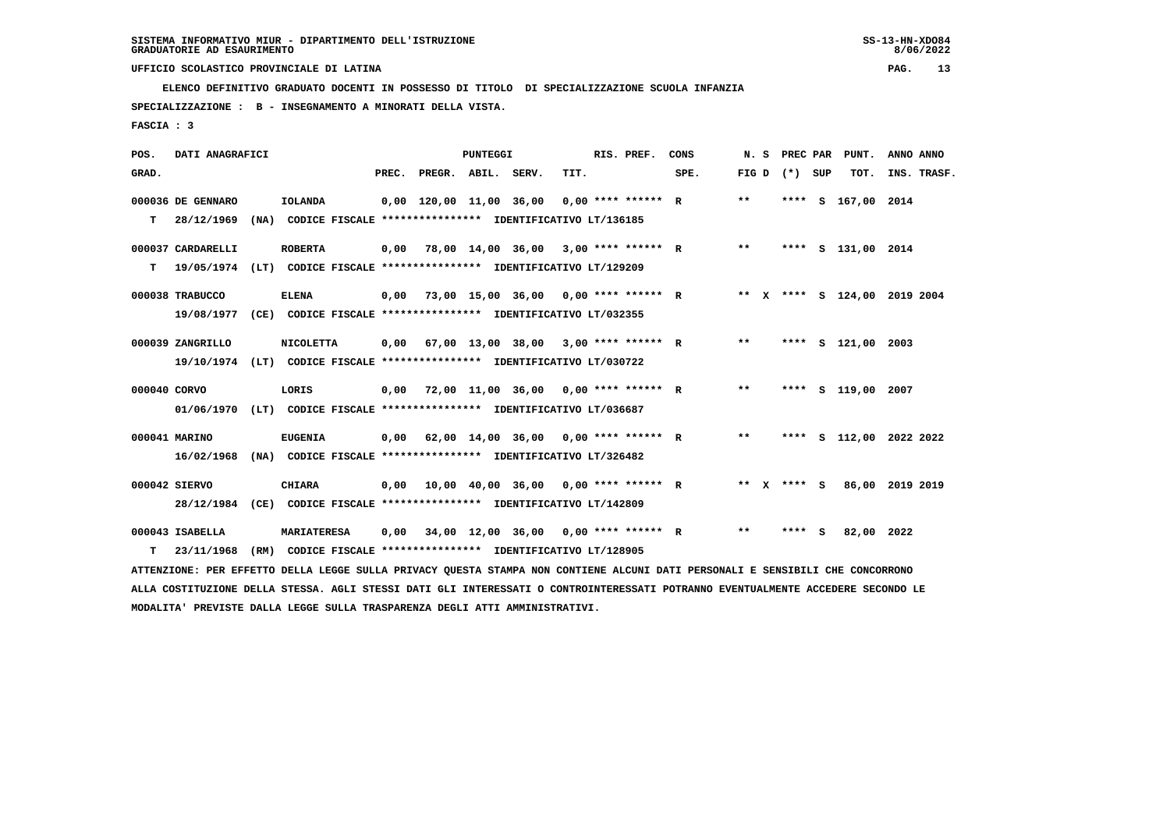**ELENCO DEFINITIVO GRADUATO DOCENTI IN POSSESSO DI TITOLO DI SPECIALIZZAZIONE SCUOLA INFANZIA**

 **SPECIALIZZAZIONE : B - INSEGNAMENTO A MINORATI DELLA VISTA.**

 **FASCIA : 3**

| POS.         | DATI ANAGRAFICI   |                                                                                                                                 |       |                                      | PUNTEGGI |                                                   |      | RIS. PREF.           | CONS | N.S   | <b>PREC PAR</b> |   | PUNT.                        | ANNO ANNO |             |
|--------------|-------------------|---------------------------------------------------------------------------------------------------------------------------------|-------|--------------------------------------|----------|---------------------------------------------------|------|----------------------|------|-------|-----------------|---|------------------------------|-----------|-------------|
| GRAD.        |                   |                                                                                                                                 | PREC. | PREGR. ABIL. SERV.                   |          |                                                   | TIT. |                      | SPE. | FIG D | (*) SUP         |   | TOT.                         |           | INS. TRASF. |
|              | 000036 DE GENNARO | <b>IOLANDA</b>                                                                                                                  |       | 0,00 120,00 11,00 36,00              |          |                                                   |      | $0,00$ **** ****** R |      | $***$ | ****            | s | 167,00                       | 2014      |             |
| т            | 28/12/1969        | (NA) CODICE FISCALE **************** IDENTIFICATIVO LT/136185                                                                   |       |                                      |          |                                                   |      |                      |      |       |                 |   |                              |           |             |
|              | 000037 CARDARELLI | <b>ROBERTA</b>                                                                                                                  | 0,00  | 78,00 14,00 36,00 3,00 **** ****** R |          |                                                   |      |                      |      | $***$ |                 |   | **** S 131,00 2014           |           |             |
| т            | 19/05/1974        | (LT) CODICE FISCALE **************** IDENTIFICATIVO LT/129209                                                                   |       |                                      |          |                                                   |      |                      |      |       |                 |   |                              |           |             |
|              | 000038 TRABUCCO   | <b>ELENA</b>                                                                                                                    | 0,00  | 73,00 15,00 36,00 0,00 **** ****** R |          |                                                   |      |                      |      |       |                 |   | ** X **** S 124,00 2019 2004 |           |             |
|              | 19/08/1977        | (CE) CODICE FISCALE **************** IDENTIFICATIVO LT/032355                                                                   |       |                                      |          |                                                   |      |                      |      |       |                 |   |                              |           |             |
|              | 000039 ZANGRILLO  | <b>NICOLETTA</b>                                                                                                                | 0,00  | 67,00 13,00 38,00 3,00 **** ****** R |          |                                                   |      |                      |      | $***$ |                 |   | **** S 121,00 2003           |           |             |
|              | 19/10/1974        | (LT) CODICE FISCALE **************** IDENTIFICATIVO LT/030722                                                                   |       |                                      |          |                                                   |      |                      |      |       |                 |   |                              |           |             |
| 000040 CORVO |                   | LORIS                                                                                                                           | 0,00  | 72,00 11,00 36,00 0,00 **** ****** R |          |                                                   |      |                      |      | $* *$ |                 |   | **** S 119,00 2007           |           |             |
|              | 01/06/1970        | (LT) CODICE FISCALE **************** IDENTIFICATIVO LT/036687                                                                   |       |                                      |          |                                                   |      |                      |      |       |                 |   |                              |           |             |
|              | 000041 MARINO     | <b>EUGENIA</b>                                                                                                                  | 0,00  | 62,00 14,00 36,00 0,00 **** ****** R |          |                                                   |      |                      |      | $* *$ |                 |   | **** S 112,00 2022 2022      |           |             |
|              | 16/02/1968        | (NA) CODICE FISCALE **************** IDENTIFICATIVO LT/326482                                                                   |       |                                      |          |                                                   |      |                      |      |       |                 |   |                              |           |             |
|              | 000042 SIERVO     | <b>CHIARA</b>                                                                                                                   | 0,00  |                                      |          | $10,00$ $40,00$ $36,00$ $0,00$ $***$ **** ***** R |      |                      |      |       | ** x **** S     |   | 86,00 2019 2019              |           |             |
|              | 28/12/1984        | (CE) CODICE FISCALE **************** IDENTIFICATIVO LT/142809                                                                   |       |                                      |          |                                                   |      |                      |      |       |                 |   |                              |           |             |
|              | 000043 ISABELLA   | <b>MARIATERESA</b>                                                                                                              | 0,00  | 34,00 12,00 36,00 0,00 **** ****** R |          |                                                   |      |                      |      | $* *$ | **** S          |   | 82,00 2022                   |           |             |
| т            | 23/11/1968        | (RM) CODICE FISCALE **************** IDENTIFICATIVO LT/128905                                                                   |       |                                      |          |                                                   |      |                      |      |       |                 |   |                              |           |             |
|              |                   | ATTENZIONE: PER EFFETTO DELLA LEGGE SULLA PRIVACY QUESTA STAMPA NON CONTIENE ALCUNI DATI PERSONALI E SENSIBILI CHE CONCORRONO   |       |                                      |          |                                                   |      |                      |      |       |                 |   |                              |           |             |
|              |                   | ALLA COSTITUZIONE DELLA STESSA. AGLI STESSI DATI GLI INTERESSATI O CONTROINTERESSATI POTRANNO EVENTUALMENTE ACCEDERE SECONDO LE |       |                                      |          |                                                   |      |                      |      |       |                 |   |                              |           |             |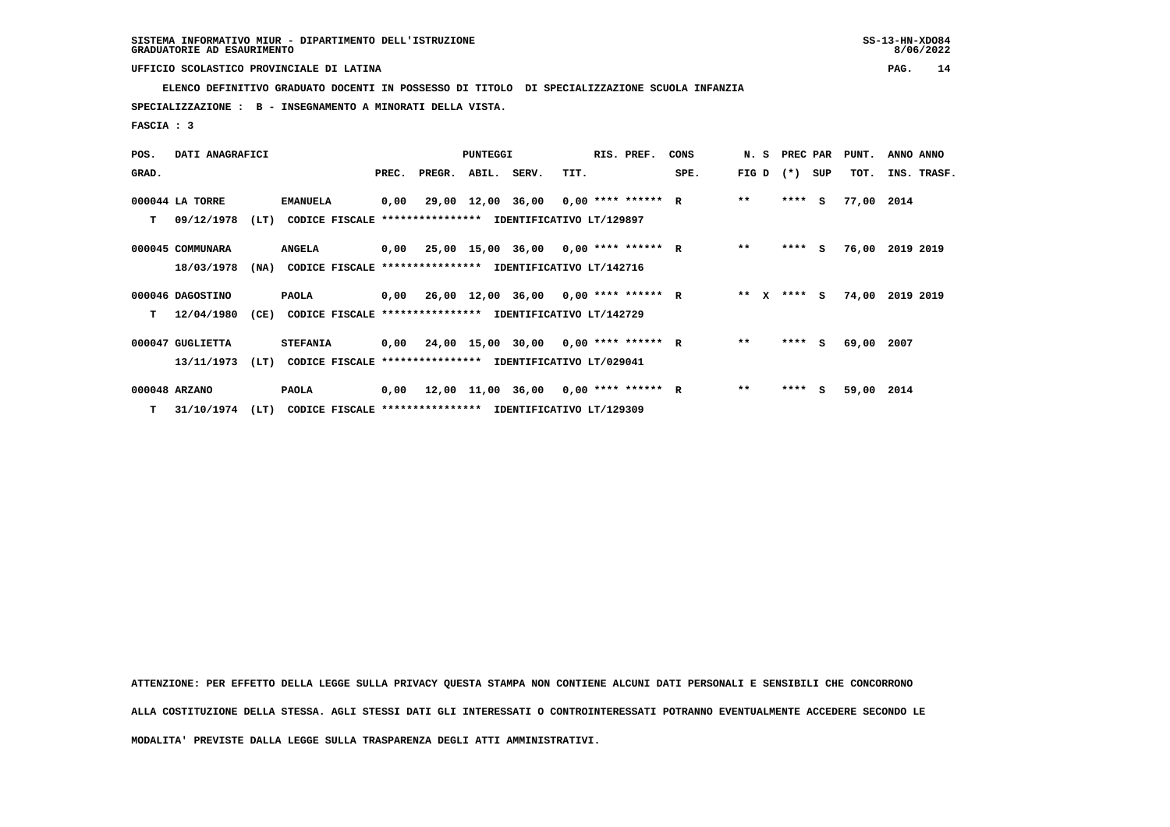**ELENCO DEFINITIVO GRADUATO DOCENTI IN POSSESSO DI TITOLO DI SPECIALIZZAZIONE SCUOLA INFANZIA**

 **SPECIALIZZAZIONE : B - INSEGNAMENTO A MINORATI DELLA VISTA.**

 **FASCIA : 3**

| POS.  | DATI ANAGRAFICI  |      |                                                               |       |              | <b>PUNTEGGI</b> |                                             |      | RIS. PREF. | CONS |        | N. S PREC PAR |     | PUNT.      | ANNO ANNO       |
|-------|------------------|------|---------------------------------------------------------------|-------|--------------|-----------------|---------------------------------------------|------|------------|------|--------|---------------|-----|------------|-----------------|
| GRAD. |                  |      |                                                               | PREC. | PREGR. ABIL. |                 | SERV.                                       | TIT. |            | SPE. | FIG D  | $(* )$        | SUP | TOT.       | INS. TRASF.     |
|       | 000044 LA TORRE  |      | <b>EMANUELA</b>                                               | 0,00  |              |                 | 29,00 12,00 36,00 0,00 **** ****** R        |      |            |      | $**$   | $***$ S       |     | 77,00 2014 |                 |
| т     | 09/12/1978       | (LT) | CODICE FISCALE **************** IDENTIFICATIVO LT/129897      |       |              |                 |                                             |      |            |      |        |               |     |            |                 |
|       | 000045 COMMUNARA |      | <b>ANGELA</b>                                                 |       |              |                 | $0,00$ 25,00 15,00 36,00 0,00 **** ****** R |      |            |      | $* *$  | $***$ S       |     |            | 76,00 2019 2019 |
|       | 18/03/1978       |      | (NA) CODICE FISCALE **************** IDENTIFICATIVO LT/142716 |       |              |                 |                                             |      |            |      |        |               |     |            |                 |
|       | 000046 DAGOSTINO |      | PAOLA                                                         |       |              |                 | $0,00$ 26,00 12,00 36,00 0,00 **** ****** R |      |            |      | ** $X$ | $***$ S       |     |            | 74,00 2019 2019 |
| т     | 12/04/1980       | (CE) | <b>CODICE FISCALE</b>                                         |       |              |                 | **************** IDENTIFICATIVO LT/142729   |      |            |      |        |               |     |            |                 |
|       | 000047 GUGLIETTA |      | <b>STEFANIA</b>                                               |       |              |                 | $0,00$ 24,00 15,00 30,00 0,00 **** ****** R |      |            |      | $***$  | **** S        |     | 69,00 2007 |                 |
|       | 13/11/1973       | (LT) | CODICE FISCALE **************** IDENTIFICATIVO LT/029041      |       |              |                 |                                             |      |            |      |        |               |     |            |                 |
|       | 000048 ARZANO    |      | PAOLA                                                         |       |              |                 | $0,00$ 12,00 11,00 36,00 0,00 **** ****** R |      |            |      | $***$  | ****          | S.  | 59,00 2014 |                 |
|       | T 31/10/1974     | (LT) | CODICE FISCALE **************** IDENTIFICATIVO LT/129309      |       |              |                 |                                             |      |            |      |        |               |     |            |                 |

 **ATTENZIONE: PER EFFETTO DELLA LEGGE SULLA PRIVACY QUESTA STAMPA NON CONTIENE ALCUNI DATI PERSONALI E SENSIBILI CHE CONCORRONO ALLA COSTITUZIONE DELLA STESSA. AGLI STESSI DATI GLI INTERESSATI O CONTROINTERESSATI POTRANNO EVENTUALMENTE ACCEDERE SECONDO LE**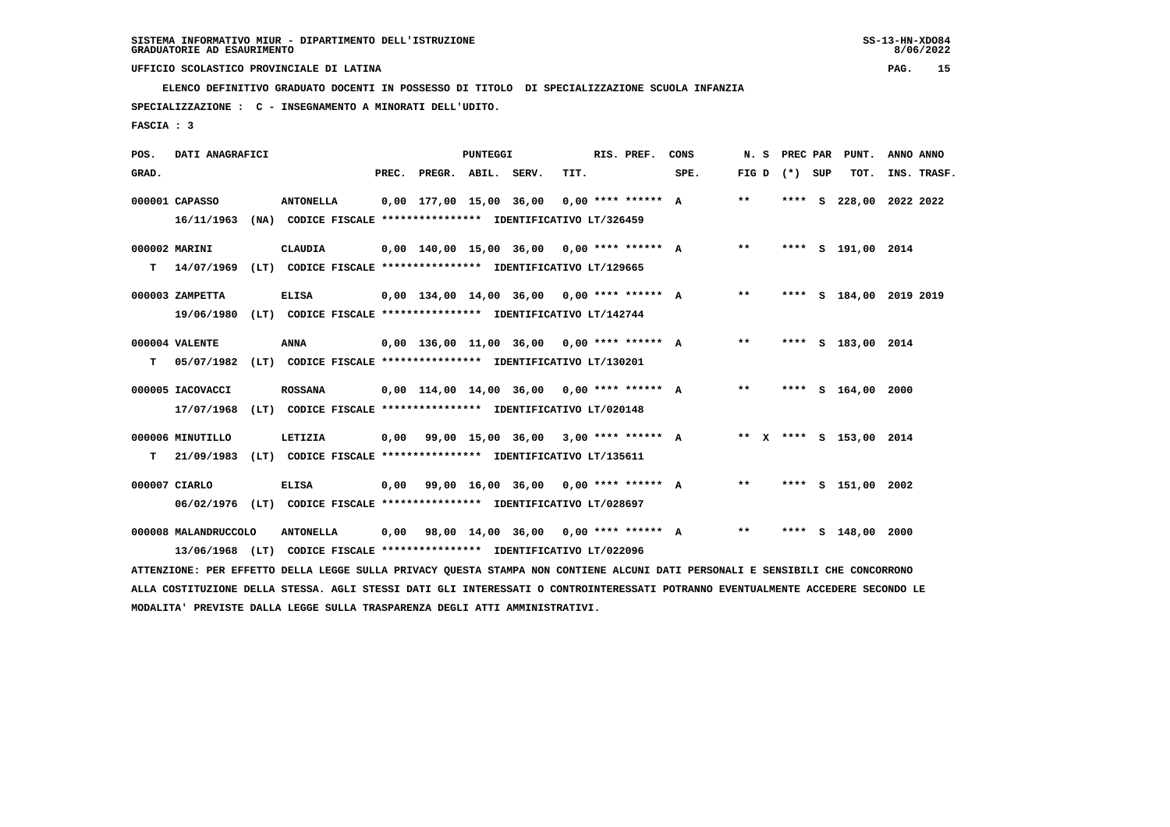**ELENCO DEFINITIVO GRADUATO DOCENTI IN POSSESSO DI TITOLO DI SPECIALIZZAZIONE SCUOLA INFANZIA**

 **SPECIALIZZAZIONE : C - INSEGNAMENTO A MINORATI DELL'UDITO.**

 **FASCIA : 3**

| POS.  | DATI ANAGRAFICI      |                                                                                                                               |       |                         | <b>PUNTEGGI</b> |                                              |      | RIS. PREF.           | CONS | N. S  | PREC PAR          | PUNT.                   | ANNO ANNO |             |
|-------|----------------------|-------------------------------------------------------------------------------------------------------------------------------|-------|-------------------------|-----------------|----------------------------------------------|------|----------------------|------|-------|-------------------|-------------------------|-----------|-------------|
| GRAD. |                      |                                                                                                                               | PREC. | PREGR. ABIL. SERV.      |                 |                                              | TIT. |                      | SPE. |       | FIG $D$ $(*)$ SUP | TOT.                    |           | INS. TRASF. |
|       | 000001 CAPASSO       | <b>ANTONELLA</b>                                                                                                              |       | 0,00 177,00 15,00 36,00 |                 |                                              |      | $0.00$ **** ****** A |      | $***$ | **** S            | 228,00 2022 2022        |           |             |
|       | 16/11/1963           | (NA) CODICE FISCALE **************** IDENTIFICATIVO LT/326459                                                                 |       |                         |                 |                                              |      |                      |      |       |                   |                         |           |             |
|       | 000002 MARINI        | <b>CLAUDIA</b>                                                                                                                |       |                         |                 | $0,00$ 140,00 15,00 36,00 0,00 **** ****** A |      |                      |      | $* *$ |                   | **** S 191,00 2014      |           |             |
|       | $T = 14/07/1969$     | (LT) CODICE FISCALE **************** IDENTIFICATIVO LT/129665                                                                 |       |                         |                 |                                              |      |                      |      |       |                   |                         |           |             |
|       | 000003 ZAMPETTA      | <b>ELISA</b>                                                                                                                  |       |                         |                 | 0,00 134,00 14,00 36,00 0,00 **** ****** A   |      |                      |      | $***$ |                   | **** S 184,00 2019 2019 |           |             |
|       | 19/06/1980           | (LT) CODICE FISCALE **************** IDENTIFICATIVO LT/142744                                                                 |       |                         |                 |                                              |      |                      |      |       |                   |                         |           |             |
|       | 000004 VALENTE       | <b>ANNA</b>                                                                                                                   |       |                         |                 | $0,00$ 136,00 11,00 36,00 0,00 **** ****** A |      |                      |      | $***$ |                   | **** S 183.00 2014      |           |             |
| т     | 05/07/1982           | (LT) CODICE FISCALE **************** IDENTIFICATIVO LT/130201                                                                 |       |                         |                 |                                              |      |                      |      |       |                   |                         |           |             |
|       | 000005 IACOVACCI     | <b>ROSSANA</b>                                                                                                                |       |                         |                 | $0,00$ 114,00 14,00 36,00 0,00 **** ****** A |      |                      |      | **    |                   | **** S 164,00 2000      |           |             |
|       | 17/07/1968           | (LT) CODICE FISCALE **************** IDENTIFICATIVO LT/020148                                                                 |       |                         |                 |                                              |      |                      |      |       |                   |                         |           |             |
|       | 000006 MINUTILLO     | LETIZIA                                                                                                                       | 0,00  |                         |                 | 99,00 15,00 36,00 3,00 **** ****** A         |      |                      |      |       |                   | ** X **** S 153,00 2014 |           |             |
| т     | 21/09/1983           | (LT) CODICE FISCALE **************** IDENTIFICATIVO LT/135611                                                                 |       |                         |                 |                                              |      |                      |      |       |                   |                         |           |             |
|       | 000007 CIARLO        | <b>ELISA</b>                                                                                                                  | 0,00  |                         |                 | 99,00 16,00 36,00 0,00 **** ****** A         |      |                      |      | $* *$ |                   | **** S 151,00 2002      |           |             |
|       |                      | 06/02/1976 (LT) CODICE FISCALE *************** IDENTIFICATIVO LT/028697                                                       |       |                         |                 |                                              |      |                      |      |       |                   |                         |           |             |
|       | 000008 MALANDRUCCOLO | <b>ANTONELLA</b>                                                                                                              | 0,00  |                         |                 | 98,00 14,00 36,00 0,00 **** ****** A         |      |                      |      | $***$ |                   | **** S 148,00           | 2000      |             |
|       |                      | 13/06/1968 (LT) CODICE FISCALE *************** IDENTIFICATIVO LT/022096                                                       |       |                         |                 |                                              |      |                      |      |       |                   |                         |           |             |
|       |                      | ATTENZIONE: PER EFFETTO DELLA LEGGE SULLA PRIVACY QUESTA STAMPA NON CONTIENE ALCUNI DATI PERSONALI E SENSIBILI CHE CONCORRONO |       |                         |                 |                                              |      |                      |      |       |                   |                         |           |             |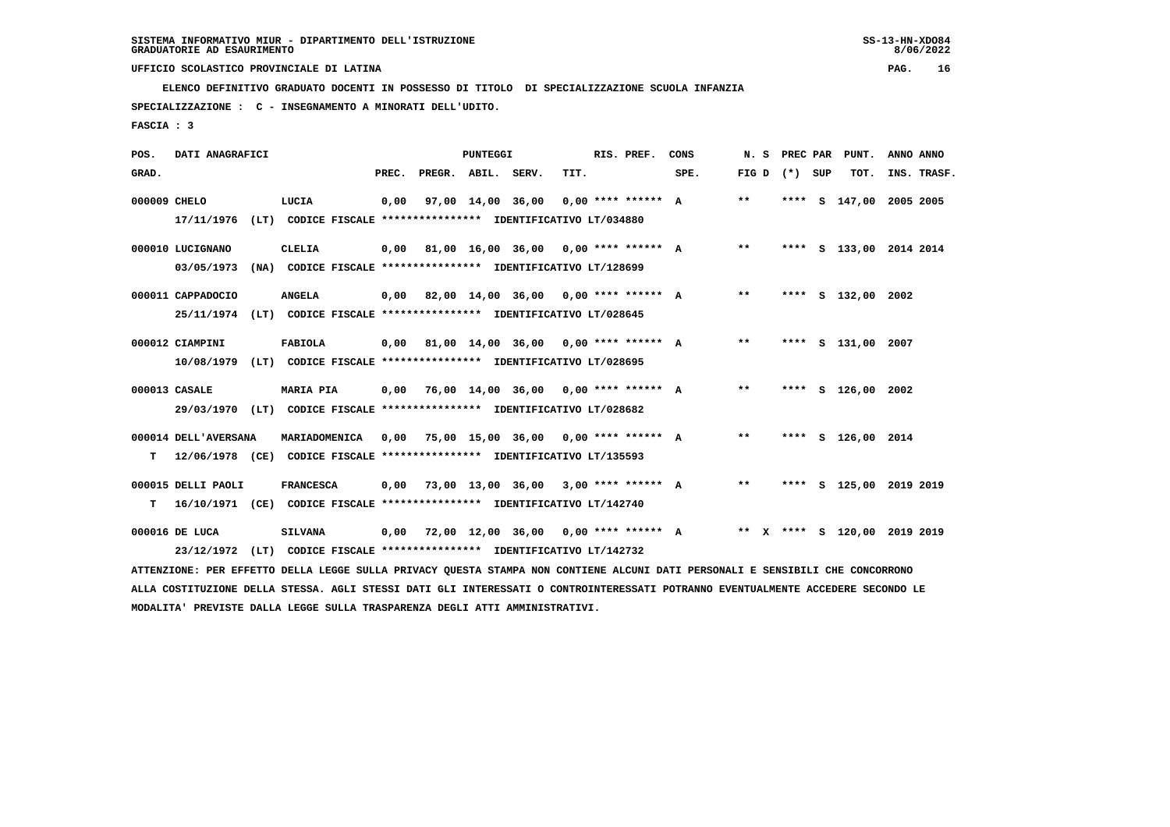**ELENCO DEFINITIVO GRADUATO DOCENTI IN POSSESSO DI TITOLO DI SPECIALIZZAZIONE SCUOLA INFANZIA**

 **SPECIALIZZAZIONE : C - INSEGNAMENTO A MINORATI DELL'UDITO.**

 **FASCIA : 3**

| POS.         | DATI ANAGRAFICI      |      |                                                                                                                               |       |                    | PUNTEGGI |                                             |      | RIS. PREF.           | CONS                                      | N. S  | PREC PAR | PUNT.                        | ANNO ANNO |             |
|--------------|----------------------|------|-------------------------------------------------------------------------------------------------------------------------------|-------|--------------------|----------|---------------------------------------------|------|----------------------|-------------------------------------------|-------|----------|------------------------------|-----------|-------------|
| GRAD.        |                      |      |                                                                                                                               | PREC. | PREGR. ABIL. SERV. |          |                                             | TIT. |                      | SPE.                                      | FIG D | (*) SUP  | TOT.                         |           | INS. TRASF. |
| 000009 CHELO |                      |      | LUCIA                                                                                                                         | 0,00  |                    |          | 97,00 14,00 36,00                           |      | $0.00$ **** ****** A |                                           | $* *$ |          | **** S 147,00                | 2005 2005 |             |
|              | 17/11/1976           |      | (LT) CODICE FISCALE **************** IDENTIFICATIVO LT/034880                                                                 |       |                    |          |                                             |      |                      |                                           |       |          |                              |           |             |
|              | 000010 LUCIGNANO     |      | CLELIA                                                                                                                        |       |                    |          | $0.00$ 81.00 16.00 36.00 0.00 **** ****** A |      |                      |                                           | $***$ |          | **** S 133,00 2014 2014      |           |             |
|              | 03/05/1973           |      | (NA) CODICE FISCALE **************** IDENTIFICATIVO LT/128699                                                                 |       |                    |          |                                             |      |                      |                                           |       |          |                              |           |             |
|              | 000011 CAPPADOCIO    |      | <b>ANGELA</b>                                                                                                                 |       |                    |          | $0,00$ 82,00 14,00 36,00 0,00 **** ****** A |      |                      |                                           | $***$ |          | **** S 132,00 2002           |           |             |
|              |                      |      | 25/11/1974 (LT) CODICE FISCALE *************** IDENTIFICATIVO LT/028645                                                       |       |                    |          |                                             |      |                      |                                           |       |          |                              |           |             |
|              |                      |      |                                                                                                                               |       |                    |          |                                             |      |                      |                                           |       |          |                              |           |             |
|              | 000012 CIAMPINI      |      | FABIOLA                                                                                                                       |       |                    |          |                                             |      |                      | 0,00 81,00 14,00 36,00 0,00 **** ****** A | $***$ |          | **** S 131,00 2007           |           |             |
|              | 10/08/1979           |      | (LT) CODICE FISCALE **************** IDENTIFICATIVO LT/028695                                                                 |       |                    |          |                                             |      |                      |                                           |       |          |                              |           |             |
|              | 000013 CASALE        |      | <b>MARIA PIA</b>                                                                                                              |       |                    |          | $0,00$ 76,00 14,00 36,00 0,00 **** ****** A |      |                      |                                           | $***$ |          | **** S 126,00 2002           |           |             |
|              |                      |      | 29/03/1970 (LT) CODICE FISCALE *************** IDENTIFICATIVO LT/028682                                                       |       |                    |          |                                             |      |                      |                                           |       |          |                              |           |             |
|              | 000014 DELL'AVERSANA |      | MARIADOMENICA                                                                                                                 |       |                    |          | $0,00$ 75,00 15,00 36,00 0,00 **** ****** A |      |                      |                                           | $***$ |          | **** S 126,00 2014           |           |             |
| т            |                      |      | 12/06/1978 (CE) CODICE FISCALE **************** IDENTIFICATIVO LT/135593                                                      |       |                    |          |                                             |      |                      |                                           |       |          |                              |           |             |
|              |                      |      |                                                                                                                               |       |                    |          |                                             |      |                      |                                           |       |          |                              |           |             |
|              | 000015 DELLI PAOLI   |      | <b>FRANCESCA</b>                                                                                                              | 0,00  |                    |          | 73,00 13,00 36,00 3,00 **** ****** A        |      |                      |                                           | $***$ |          | **** S 125,00 2019 2019      |           |             |
| т            |                      |      | 16/10/1971 (CE) CODICE FISCALE *************** IDENTIFICATIVO LT/142740                                                       |       |                    |          |                                             |      |                      |                                           |       |          |                              |           |             |
|              | 000016 DE LUCA       |      | <b>SILVANA</b>                                                                                                                | 0,00  |                    |          | 72,00 12,00 36,00 0,00 **** ****** A        |      |                      |                                           |       |          | ** X **** S 120,00 2019 2019 |           |             |
|              | 23/12/1972           | (LT) | CODICE FISCALE **************** IDENTIFICATIVO LT/142732                                                                      |       |                    |          |                                             |      |                      |                                           |       |          |                              |           |             |
|              |                      |      | ATTENZIONE: PER EFFETTO DELLA LEGGE SULLA PRIVACY QUESTA STAMPA NON CONTIENE ALCUNI DATI PERSONALI E SENSIBILI CHE CONCORRONO |       |                    |          |                                             |      |                      |                                           |       |          |                              |           |             |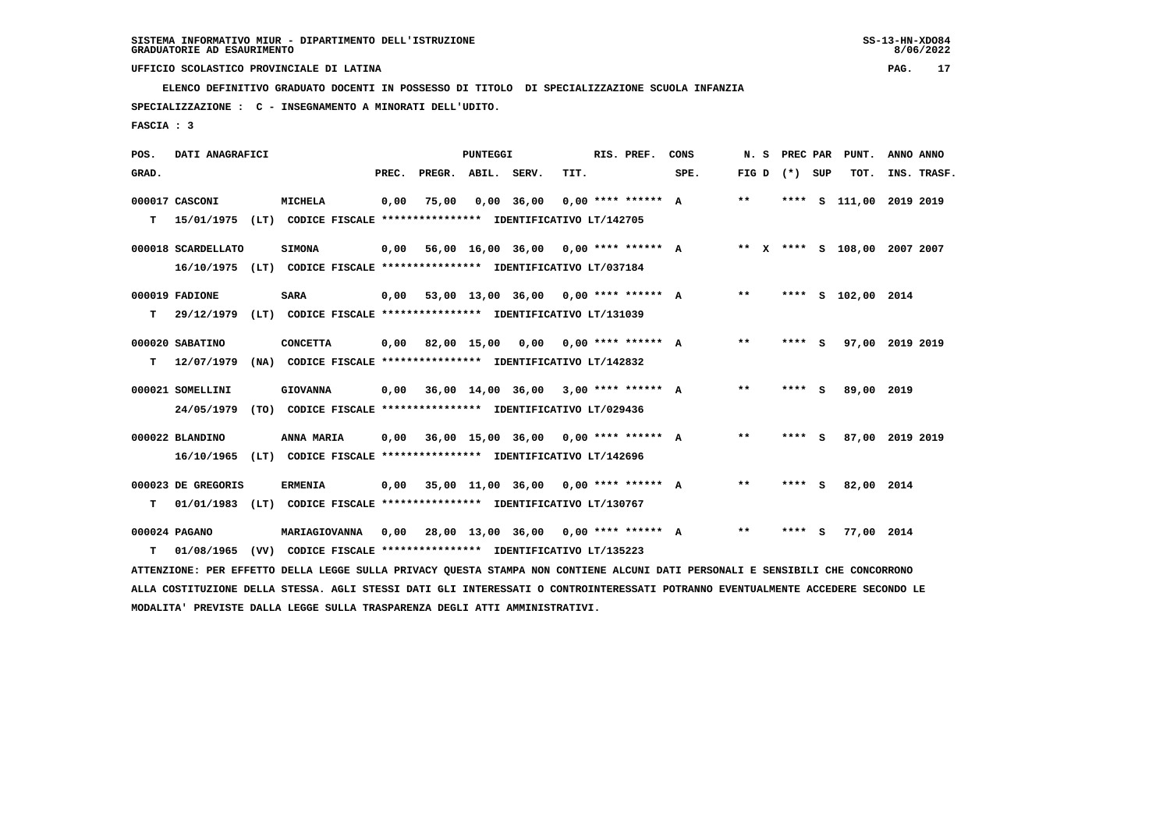**ELENCO DEFINITIVO GRADUATO DOCENTI IN POSSESSO DI TITOLO DI SPECIALIZZAZIONE SCUOLA INFANZIA**

 **SPECIALIZZAZIONE : C - INSEGNAMENTO A MINORATI DELL'UDITO.**

 **FASCIA : 3**

| POS.  | DATI ANAGRAFICI    |                                                                                                                               |       |                    | <b>PUNTEGGI</b> |                                             |      | RIS. PREF.           | CONS | N. S  | PREC PAR        | PUNT.                        | ANNO ANNO |             |
|-------|--------------------|-------------------------------------------------------------------------------------------------------------------------------|-------|--------------------|-----------------|---------------------------------------------|------|----------------------|------|-------|-----------------|------------------------------|-----------|-------------|
| GRAD. |                    |                                                                                                                               | PREC. | PREGR. ABIL. SERV. |                 |                                             | TIT. |                      | SPE. |       | FIG D $(*)$ SUP | TOT.                         |           | INS. TRASF. |
|       | 000017 CASCONI     | <b>MICHELA</b>                                                                                                                | 0,00  | 75,00              |                 | $0,00$ 36,00                                |      | $0,00$ **** ****** A |      | $***$ |                 | **** S 111,00 2019 2019      |           |             |
| т     | 15/01/1975         | (LT) CODICE FISCALE *************** IDENTIFICATIVO LT/142705                                                                  |       |                    |                 |                                             |      |                      |      |       |                 |                              |           |             |
|       | 000018 SCARDELLATO | <b>SIMONA</b>                                                                                                                 | 0,00  |                    |                 | 56,00 16,00 36,00 0,00 **** ****** A        |      |                      |      |       |                 | ** X **** S 108,00 2007 2007 |           |             |
|       |                    | 16/10/1975 (LT) CODICE FISCALE *************** IDENTIFICATIVO LT/037184                                                       |       |                    |                 |                                             |      |                      |      |       |                 |                              |           |             |
|       | 000019 FADIONE     | <b>SARA</b>                                                                                                                   | 0,00  |                    |                 | 53,00 13,00 36,00 0,00 **** ****** A        |      |                      |      | $***$ |                 | **** S 102,00 2014           |           |             |
| T.    | 29/12/1979         | (LT) CODICE FISCALE **************** IDENTIFICATIVO LT/131039                                                                 |       |                    |                 |                                             |      |                      |      |       |                 |                              |           |             |
|       | 000020 SABATINO    | <b>CONCETTA</b>                                                                                                               | 0,00  |                    |                 | 82,00 15,00 0,00 0,00 **** ****** A         |      |                      |      | $***$ | **** S          | 97,00 2019 2019              |           |             |
| т     | 12/07/1979         | (NA) CODICE FISCALE **************** IDENTIFICATIVO LT/142832                                                                 |       |                    |                 |                                             |      |                      |      |       |                 |                              |           |             |
|       | 000021 SOMELLINI   | <b>GIOVANNA</b>                                                                                                               | 0,00  |                    |                 | 36,00 14,00 36,00 3,00 **** ****** A        |      |                      |      | $***$ | $***$ S         | 89,00 2019                   |           |             |
|       | 24/05/1979         | (TO) CODICE FISCALE **************** IDENTIFICATIVO LT/029436                                                                 |       |                    |                 |                                             |      |                      |      |       |                 |                              |           |             |
|       | 000022 BLANDINO    | ANNA MARIA                                                                                                                    |       |                    |                 | $0,00$ 36,00 15,00 36,00 0,00 **** ****** A |      |                      |      | $* *$ | **** S          | 87,00 2019 2019              |           |             |
|       | 16/10/1965         | (LT) CODICE FISCALE **************** IDENTIFICATIVO LT/142696                                                                 |       |                    |                 |                                             |      |                      |      |       |                 |                              |           |             |
|       | 000023 DE GREGORIS | <b>ERMENIA</b>                                                                                                                |       |                    |                 | $0,00$ 35,00 11,00 36,00 0,00 **** ****** A |      |                      |      | $* *$ | **** S          | 82,00 2014                   |           |             |
| т     |                    | 01/01/1983 (LT) CODICE FISCALE **************** IDENTIFICATIVO LT/130767                                                      |       |                    |                 |                                             |      |                      |      |       |                 |                              |           |             |
|       | 000024 PAGANO      | MARIAGIOVANNA                                                                                                                 | 0,00  |                    |                 | 28,00 13,00 36,00 0,00 **** ****** A        |      |                      |      | $***$ | **** S          | 77,00 2014                   |           |             |
| т     | 01/08/1965         | (VV) CODICE FISCALE **************** IDENTIFICATIVO LT/135223                                                                 |       |                    |                 |                                             |      |                      |      |       |                 |                              |           |             |
|       |                    | ATTENZIONE: PER EFFETTO DELLA LEGGE SULLA PRIVACY QUESTA STAMPA NON CONTIENE ALCUNI DATI PERSONALI E SENSIBILI CHE CONCORRONO |       |                    |                 |                                             |      |                      |      |       |                 |                              |           |             |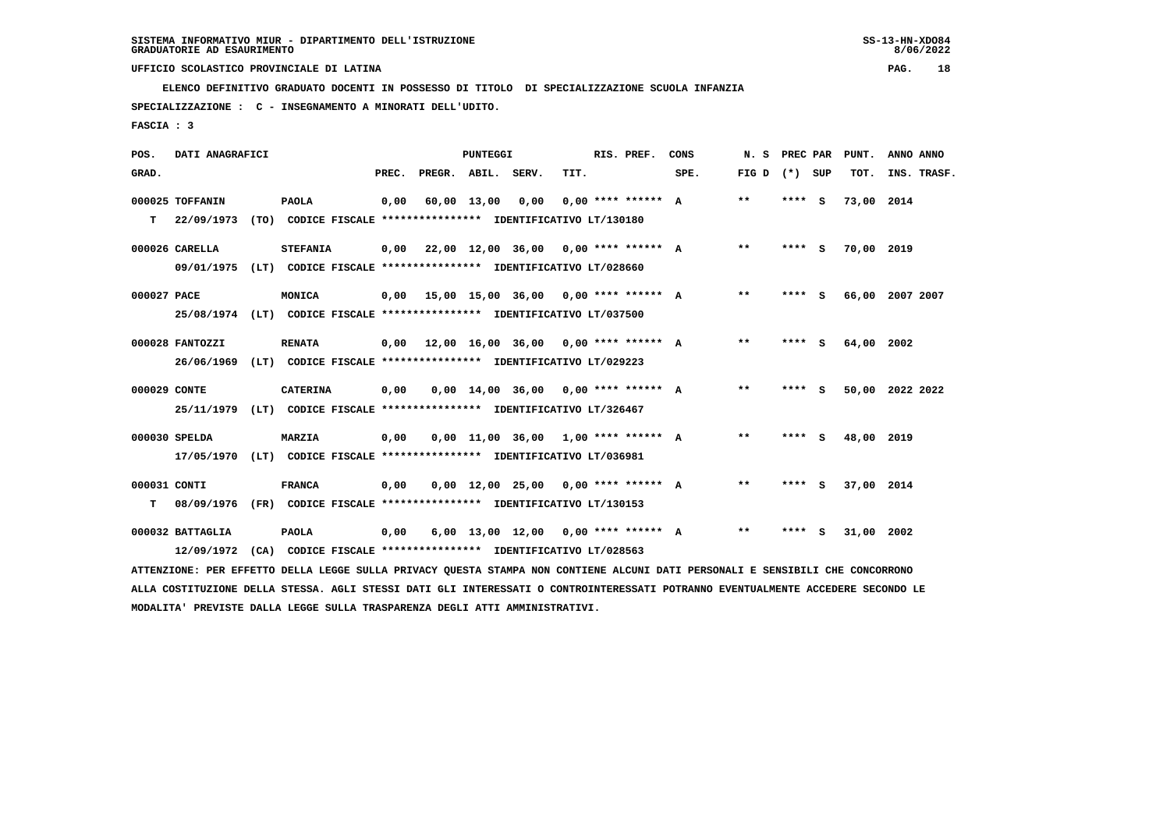**ELENCO DEFINITIVO GRADUATO DOCENTI IN POSSESSO DI TITOLO DI SPECIALIZZAZIONE SCUOLA INFANZIA**

 **SPECIALIZZAZIONE : C - INSEGNAMENTO A MINORATI DELL'UDITO.**

 **FASCIA : 3**

| POS.         | DATI ANAGRAFICI  |                                                                                                                               |      |                          | <b>PUNTEGGI</b>  |                                             |      | RIS. PREF.           | CONS |       | N. S PREC PAR | PUNT.           | ANNO ANNO |             |
|--------------|------------------|-------------------------------------------------------------------------------------------------------------------------------|------|--------------------------|------------------|---------------------------------------------|------|----------------------|------|-------|---------------|-----------------|-----------|-------------|
| GRAD.        |                  |                                                                                                                               |      | PREC. PREGR. ABIL. SERV. |                  |                                             | TIT. |                      | SPE. | FIG D | (*) SUP       | TOT.            |           | INS. TRASF. |
|              | 000025 TOFFANIN  | <b>PAOLA</b>                                                                                                                  | 0,00 |                          | 60,00 13,00 0,00 |                                             |      | $0.00$ **** ****** A |      | $***$ | **** S        | 73,00 2014      |           |             |
| т            | 22/09/1973       | (TO) CODICE FISCALE **************** IDENTIFICATIVO LT/130180                                                                 |      |                          |                  |                                             |      |                      |      |       |               |                 |           |             |
|              | 000026 CARELLA   | <b>STEFANIA</b>                                                                                                               |      |                          |                  | $0,00$ 22,00 12,00 36,00 0,00 **** ****** A |      |                      |      | $* *$ | $***$ S       | 70,00           | 2019      |             |
|              | 09/01/1975       | (LT) CODICE FISCALE *************** IDENTIFICATIVO LT/028660                                                                  |      |                          |                  |                                             |      |                      |      |       |               |                 |           |             |
| 000027 PACE  |                  | MONICA                                                                                                                        |      |                          |                  | $0,00$ 15,00 15,00 36,00 0,00 **** ****** A |      |                      |      | $* *$ | $***$ S       | 66,00 2007 2007 |           |             |
|              |                  | 25/08/1974 (LT) CODICE FISCALE *************** IDENTIFICATIVO LT/037500                                                       |      |                          |                  |                                             |      |                      |      |       |               |                 |           |             |
|              | 000028 FANTOZZI  | <b>RENATA</b>                                                                                                                 |      |                          |                  | $0,00$ 12,00 16,00 36,00 0,00 **** ****** A |      |                      |      | $* *$ | **** S        | 64,00           | 2002      |             |
|              | 26/06/1969       | (LT) CODICE FISCALE **************** IDENTIFICATIVO LT/029223                                                                 |      |                          |                  |                                             |      |                      |      |       |               |                 |           |             |
| 000029 CONTE |                  | <b>CATERINA</b>                                                                                                               | 0,00 |                          |                  | $0,00$ 14,00 36,00 0,00 **** ****** A       |      |                      |      | **    | **** S        | 50,00           | 2022 2022 |             |
|              | 25/11/1979       | (LT) CODICE FISCALE *************** IDENTIFICATIVO LT/326467                                                                  |      |                          |                  |                                             |      |                      |      |       |               |                 |           |             |
|              | 000030 SPELDA    | <b>MARZIA</b>                                                                                                                 | 0,00 |                          |                  | $0,00$ 11,00 36,00 1,00 **** ****** A       |      |                      |      | $***$ | **** S        | 48,00 2019      |           |             |
|              | 17/05/1970       | (LT) CODICE FISCALE **************** IDENTIFICATIVO LT/036981                                                                 |      |                          |                  |                                             |      |                      |      |       |               |                 |           |             |
| 000031 CONTI |                  | <b>FRANCA</b>                                                                                                                 | 0,00 |                          |                  | $0,00$ 12,00 25,00 0,00 **** ****** A       |      |                      |      | $***$ | $***$ S       | 37,00 2014      |           |             |
| т            | 08/09/1976       | (FR) CODICE FISCALE **************** IDENTIFICATIVO LT/130153                                                                 |      |                          |                  |                                             |      |                      |      |       |               |                 |           |             |
|              | 000032 BATTAGLIA | <b>PAOLA</b>                                                                                                                  | 0,00 |                          |                  | $6.00$ 13.00 12.00 0.00 **** ****** A       |      |                      |      | $* *$ | **** S        | 31,00           | 2002      |             |
|              | 12/09/1972       | (CA) CODICE FISCALE **************** IDENTIFICATIVO LT/028563                                                                 |      |                          |                  |                                             |      |                      |      |       |               |                 |           |             |
|              |                  | ATTENZIONE: PER EFFETTO DELLA LEGGE SULLA PRIVACY QUESTA STAMPA NON CONTIENE ALCUNI DATI PERSONALI E SENSIBILI CHE CONCORRONO |      |                          |                  |                                             |      |                      |      |       |               |                 |           |             |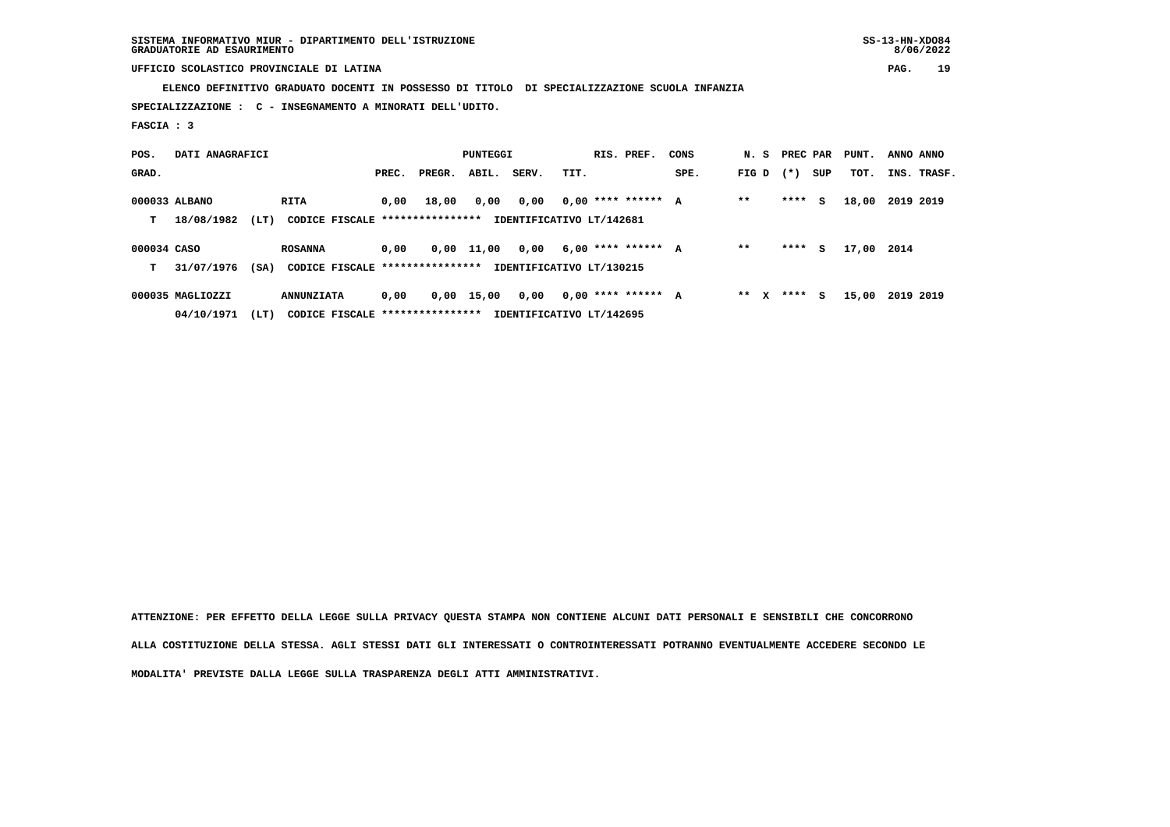**SISTEMA INFORMATIVO MIUR - DIPARTIMENTO DELL'ISTRUZIONE SS-13-HN-XDO84 GRADUATORIE AD ESAURIMENTO 8/06/2022**

# **UFFICIO SCOLASTICO PROVINCIALE DI LATINA PAG. 19**

 **ELENCO DEFINITIVO GRADUATO DOCENTI IN POSSESSO DI TITOLO DI SPECIALIZZAZIONE SCUOLA INFANZIA**

 **SPECIALIZZAZIONE : C - INSEGNAMENTO A MINORATI DELL'UDITO.**

 **FASCIA : 3**

| POS.        | DATI ANAGRAFICI  |      |                                  |       |        | <b>PUNTEGGI</b> |                          |      | RIS. PREF.           | CONS | N. S PREC PAR |        |     | PUNT. | ANNO ANNO |             |
|-------------|------------------|------|----------------------------------|-------|--------|-----------------|--------------------------|------|----------------------|------|---------------|--------|-----|-------|-----------|-------------|
| GRAD.       |                  |      |                                  | PREC. | PREGR. | ABIL.           | SERV.                    | TIT. |                      | SPE. | FIG D         | $(* )$ | SUP | TOT.  |           | INS. TRASF. |
|             | 000033 ALBANO    |      | RITA                             | 0.00  | 18,00  | 0,00            | 0,00                     |      | $0,00$ **** ****** A |      | $* *$         | ****   | s   | 18,00 | 2019 2019 |             |
| т           | 18/08/1982       | (LT) | CODICE FISCALE ****************  |       |        |                 | IDENTIFICATIVO LT/142681 |      |                      |      |               |        |     |       |           |             |
| 000034 CASO |                  |      | <b>ROSANNA</b>                   | 0.00  |        | $0,00$ 11,00    | 0,00                     |      | $6,00$ **** ****** A |      | $* *$         | ****   | s   | 17,00 | 2014      |             |
| т           | 31/07/1976       | (SA) | CODICE FISCALE ****************  |       |        |                 | IDENTIFICATIVO LT/130215 |      |                      |      |               |        |     |       |           |             |
|             | 000035 MAGLIOZZI |      | <b>ANNUNZIATA</b>                | 0,00  |        | 0,00 15,00      | 0,00                     |      | $0.00$ **** ****** A |      | $***$ X       | ****   | s   | 15,00 | 2019 2019 |             |
|             | 04/10/1971       | (LT) | CODICE FISCALE ***************** |       |        |                 | IDENTIFICATIVO LT/142695 |      |                      |      |               |        |     |       |           |             |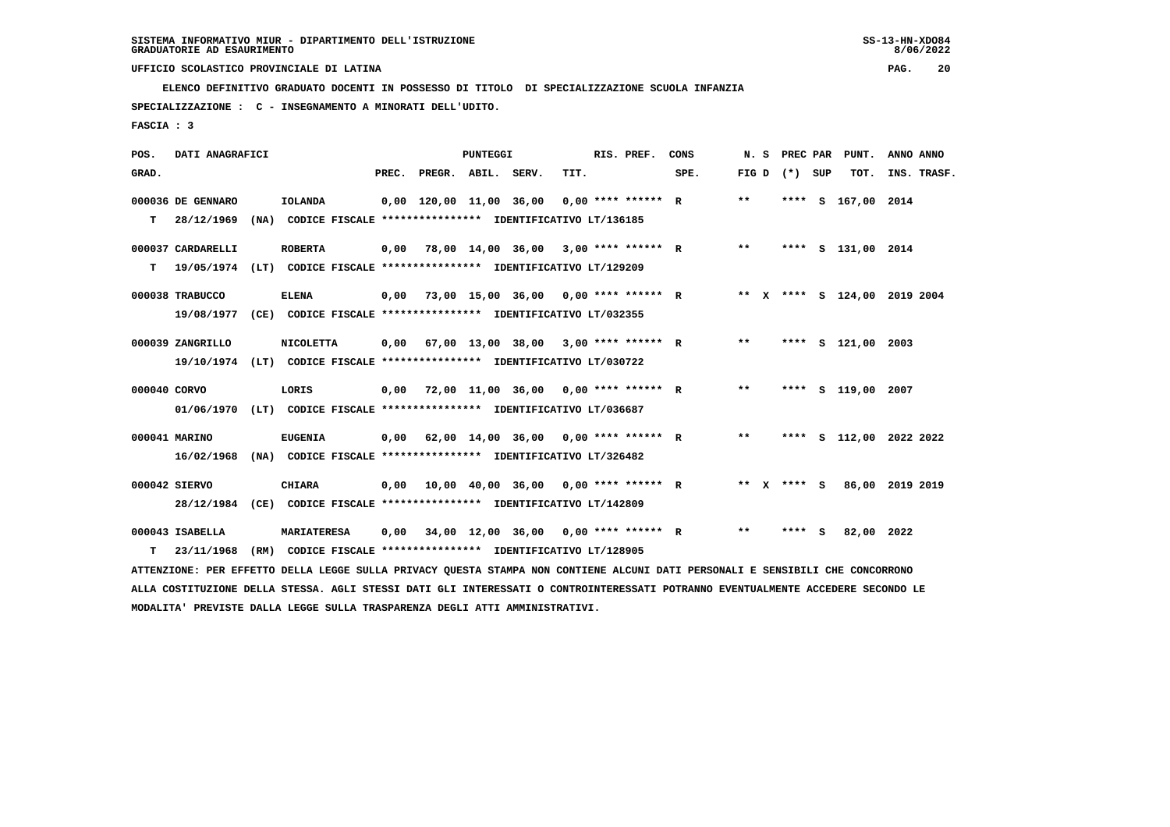**ELENCO DEFINITIVO GRADUATO DOCENTI IN POSSESSO DI TITOLO DI SPECIALIZZAZIONE SCUOLA INFANZIA**

 **SPECIALIZZAZIONE : C - INSEGNAMENTO A MINORATI DELL'UDITO.**

 **FASCIA : 3**

| POS.         | DATI ANAGRAFICI   |                                                                                                                                 |      |                                              | <b>PUNTEGGI</b> |                                      |      | RIS. PREF. | CONS |       |                   | N. S PREC PAR PUNT.          | ANNO ANNO |             |
|--------------|-------------------|---------------------------------------------------------------------------------------------------------------------------------|------|----------------------------------------------|-----------------|--------------------------------------|------|------------|------|-------|-------------------|------------------------------|-----------|-------------|
| GRAD.        |                   |                                                                                                                                 |      | PREC. PREGR. ABIL. SERV.                     |                 |                                      | TIT. |            | SPE. |       | FIG $D$ $(*)$ SUP | TOT.                         |           | INS. TRASF. |
|              | 000036 DE GENNARO | IOLANDA                                                                                                                         |      | $0,00$ 120,00 11,00 36,00 0,00 **** ****** R |                 |                                      |      |            |      | $* *$ |                   | **** S 167,00 2014           |           |             |
| т            | 28/12/1969        | (NA) CODICE FISCALE **************** IDENTIFICATIVO LT/136185                                                                   |      |                                              |                 |                                      |      |            |      |       |                   |                              |           |             |
|              | 000037 CARDARELLI | <b>ROBERTA</b>                                                                                                                  | 0,00 |                                              |                 | 78,00 14,00 36,00 3,00 **** ****** R |      |            |      | $* *$ |                   | **** S 131,00 2014           |           |             |
| т            | 19/05/1974        | (LT) CODICE FISCALE **************** IDENTIFICATIVO LT/129209                                                                   |      |                                              |                 |                                      |      |            |      |       |                   |                              |           |             |
|              | 000038 TRABUCCO   | <b>ELENA</b>                                                                                                                    | 0,00 |                                              |                 | 73,00 15,00 36,00 0,00 **** ****** R |      |            |      |       |                   | ** X **** S 124,00 2019 2004 |           |             |
|              | 19/08/1977        | (CE) CODICE FISCALE **************** IDENTIFICATIVO LT/032355                                                                   |      |                                              |                 |                                      |      |            |      |       |                   |                              |           |             |
|              | 000039 ZANGRILLO  | <b>NICOLETTA</b>                                                                                                                | 0,00 | 67,00 13,00 38,00 3,00 **** ****** R         |                 |                                      |      |            |      | $***$ |                   | **** S 121,00 2003           |           |             |
|              | 19/10/1974        | (LT) CODICE FISCALE **************** IDENTIFICATIVO LT/030722                                                                   |      |                                              |                 |                                      |      |            |      |       |                   |                              |           |             |
| 000040 CORVO |                   | LORIS                                                                                                                           | 0,00 | 72,00 11,00 36,00 0,00 **** ****** R         |                 |                                      |      |            |      | $* *$ |                   | **** S 119,00 2007           |           |             |
|              | 01/06/1970        | (LT) CODICE FISCALE **************** IDENTIFICATIVO LT/036687                                                                   |      |                                              |                 |                                      |      |            |      |       |                   |                              |           |             |
|              | 000041 MARINO     | <b>EUGENIA</b>                                                                                                                  | 0,00 | 62,00 14,00 36,00 0,00 **** ****** R         |                 |                                      |      |            |      | $***$ |                   | **** S 112,00 2022 2022      |           |             |
|              | 16/02/1968        | (NA) CODICE FISCALE **************** IDENTIFICATIVO LT/326482                                                                   |      |                                              |                 |                                      |      |            |      |       |                   |                              |           |             |
|              | 000042 SIERVO     | <b>CHIARA</b>                                                                                                                   |      | $0,00$ 10,00 40,00 36,00 0,00 **** ****** R  |                 |                                      |      |            |      |       | ** x **** S       | 86,00 2019 2019              |           |             |
|              |                   | 28/12/1984 (CE) CODICE FISCALE **************** IDENTIFICATIVO LT/142809                                                        |      |                                              |                 |                                      |      |            |      |       |                   |                              |           |             |
|              | 000043 ISABELLA   | <b>MARIATERESA</b>                                                                                                              | 0,00 | 34,00 12,00 36,00 0,00 **** ****** R         |                 |                                      |      |            |      | $* *$ | **** S            | 82,00 2022                   |           |             |
| т            | 23/11/1968        | (RM) CODICE FISCALE **************** IDENTIFICATIVO LT/128905                                                                   |      |                                              |                 |                                      |      |            |      |       |                   |                              |           |             |
|              |                   | ATTENZIONE: PER EFFETTO DELLA LEGGE SULLA PRIVACY QUESTA STAMPA NON CONTIENE ALCUNI DATI PERSONALI E SENSIBILI CHE CONCORRONO   |      |                                              |                 |                                      |      |            |      |       |                   |                              |           |             |
|              |                   | ALLA COSTITUZIONE DELLA STESSA. AGLI STESSI DATI GLI INTERESSATI O CONTROINTERESSATI POTRANNO EVENTUALMENTE ACCEDERE SECONDO LE |      |                                              |                 |                                      |      |            |      |       |                   |                              |           |             |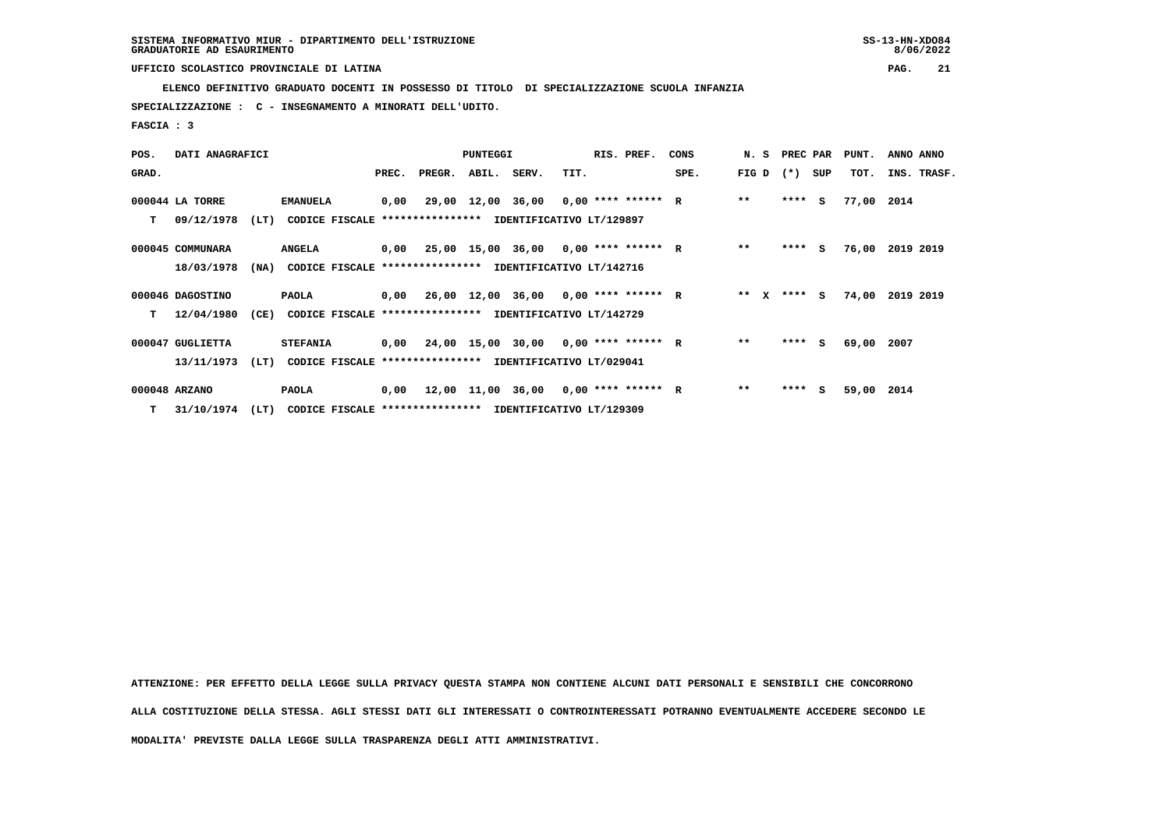**ELENCO DEFINITIVO GRADUATO DOCENTI IN POSSESSO DI TITOLO DI SPECIALIZZAZIONE SCUOLA INFANZIA**

 **SPECIALIZZAZIONE : C - INSEGNAMENTO A MINORATI DELL'UDITO.**

 **FASCIA : 3**

| POS.  | DATI ANAGRAFICI  |      |                                                          |       |        | <b>PUNTEGGI</b> |                                             |      | RIS. PREF. | CONS |                 | N. S PREC PAR |     | PUNT.      | ANNO ANNO       |
|-------|------------------|------|----------------------------------------------------------|-------|--------|-----------------|---------------------------------------------|------|------------|------|-----------------|---------------|-----|------------|-----------------|
| GRAD. |                  |      |                                                          | PREC. | PREGR. | ABIL.           | SERV.                                       | TIT. |            | SPE. | FIG D           | $(*)$         | SUP | TOT.       | INS. TRASF.     |
|       | 000044 LA TORRE  |      | <b>EMANUELA</b>                                          | 0,00  |        |                 | 29,00 12,00 36,00 0,00 **** ****** R        |      |            |      | $* *$           | $***$ S       |     | 77,00 2014 |                 |
| т     | 09/12/1978       | (LT) | CODICE FISCALE **************** IDENTIFICATIVO LT/129897 |       |        |                 |                                             |      |            |      |                 |               |     |            |                 |
|       | 000045 COMMUNARA |      | <b>ANGELA</b>                                            |       |        |                 | $0.00$ 25.00 15.00 36.00 0.00 **** ****** R |      |            |      | $* *$           | $***$ S       |     |            | 76,00 2019 2019 |
|       | 18/03/1978       | (NA) | CODICE FISCALE **************** IDENTIFICATIVO LT/142716 |       |        |                 |                                             |      |            |      |                 |               |     |            |                 |
|       | 000046 DAGOSTINO |      | <b>PAOLA</b>                                             |       |        |                 | $0,00$ 26,00 12,00 36,00 0,00 **** ****** R |      |            |      | ** $\mathbf{x}$ | **** S        |     | 74,00      | 2019 2019       |
| т     | 12/04/1980       | (CE) | CODICE FISCALE **************** IDENTIFICATIVO LT/142729 |       |        |                 |                                             |      |            |      |                 |               |     |            |                 |
|       | 000047 GUGLIETTA |      | <b>STEFANIA</b>                                          |       |        |                 | $0,00$ 24,00 15,00 30,00 0,00 **** ****** R |      |            |      | $**$            | $***5$        |     | 69,00      | 2007            |
|       | 13/11/1973       | (LT) | CODICE FISCALE **************** IDENTIFICATIVO LT/029041 |       |        |                 |                                             |      |            |      |                 |               |     |            |                 |
|       | 000048 ARZANO    |      | <b>PAOLA</b>                                             |       |        |                 | $0,00$ 12,00 11,00 36,00 0,00 **** ****** R |      |            |      | $* *$           | ****          | S.  | 59,00 2014 |                 |
| т     | 31/10/1974       | (LT) | CODICE FISCALE **************** IDENTIFICATIVO LT/129309 |       |        |                 |                                             |      |            |      |                 |               |     |            |                 |

 **ATTENZIONE: PER EFFETTO DELLA LEGGE SULLA PRIVACY QUESTA STAMPA NON CONTIENE ALCUNI DATI PERSONALI E SENSIBILI CHE CONCORRONO ALLA COSTITUZIONE DELLA STESSA. AGLI STESSI DATI GLI INTERESSATI O CONTROINTERESSATI POTRANNO EVENTUALMENTE ACCEDERE SECONDO LE**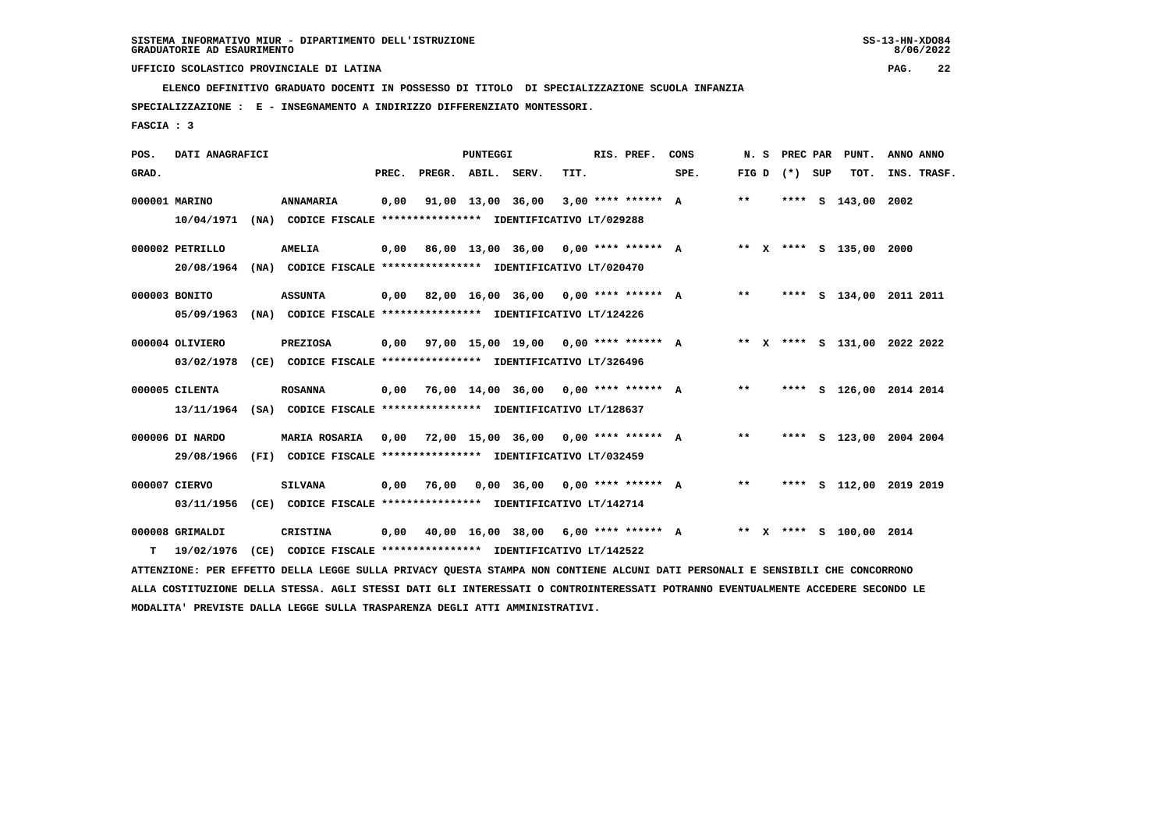**SPECIALIZZAZIONE : E - INSEGNAMENTO A INDIRIZZO DIFFERENZIATO MONTESSORI.**

 **FASCIA : 3**

| POS.  | DATI ANAGRAFICI |      |                                                                                                                               |       |                    | <b>PUNTEGGI</b> |                                             |      | RIS. PREF.         | CONS                                      | N.S   |                   | PREC PAR PUNT.          | ANNO ANNO                    |
|-------|-----------------|------|-------------------------------------------------------------------------------------------------------------------------------|-------|--------------------|-----------------|---------------------------------------------|------|--------------------|-------------------------------------------|-------|-------------------|-------------------------|------------------------------|
| GRAD. |                 |      |                                                                                                                               | PREC. | PREGR. ABIL. SERV. |                 |                                             | TIT. |                    | SPE.                                      |       | FIG $D$ $(*)$ SUP | тот.                    | INS. TRASF.                  |
|       | 000001 MARINO   |      | ANNAMARIA                                                                                                                     | 0,00  |                    |                 | 91,00 13,00 36,00                           |      | 3,00 **** ****** A |                                           | $* *$ |                   | **** S 143,00 2002      |                              |
|       | 10/04/1971      |      | (NA) CODICE FISCALE **************** IDENTIFICATIVO LT/029288                                                                 |       |                    |                 |                                             |      |                    |                                           |       |                   |                         |                              |
|       | 000002 PETRILLO |      | <b>AMELIA</b>                                                                                                                 |       |                    |                 | $0,00$ 86,00 13,00 36,00 0,00 **** ****** A |      |                    |                                           |       |                   | ** X **** S 135,00 2000 |                              |
|       | 20/08/1964      |      | (NA) CODICE FISCALE **************** IDENTIFICATIVO LT/020470                                                                 |       |                    |                 |                                             |      |                    |                                           |       |                   |                         |                              |
|       | 000003 BONITO   |      | <b>ASSUNTA</b>                                                                                                                |       |                    |                 | $0,00$ 82,00 16,00 36,00 0,00 **** ****** A |      |                    |                                           | $***$ |                   |                         | **** S 134,00 2011 2011      |
|       | 05/09/1963      |      | (NA) CODICE FISCALE **************** IDENTIFICATIVO LT/124226                                                                 |       |                    |                 |                                             |      |                    |                                           |       |                   |                         |                              |
|       | 000004 OLIVIERO |      | <b>PREZIOSA</b>                                                                                                               |       |                    |                 |                                             |      |                    | 0,00 97,00 15,00 19,00 0,00 **** ****** A |       |                   |                         | ** X **** S 131,00 2022 2022 |
|       | 03/02/1978      |      | (CE) CODICE FISCALE **************** IDENTIFICATIVO LT/326496                                                                 |       |                    |                 |                                             |      |                    |                                           |       |                   |                         |                              |
|       | 000005 CILENTA  |      | <b>ROSANNA</b>                                                                                                                |       |                    |                 | $0,00$ 76,00 14,00 36,00 0,00 **** ****** A |      |                    |                                           | $***$ |                   |                         | **** S 126,00 2014 2014      |
|       |                 |      | 13/11/1964 (SA) CODICE FISCALE **************** IDENTIFICATIVO LT/128637                                                      |       |                    |                 |                                             |      |                    |                                           |       |                   |                         |                              |
|       | 000006 DI NARDO |      | <b>MARIA ROSARIA</b>                                                                                                          |       |                    |                 | $0,00$ 72,00 15,00 36,00 0,00 **** ****** A |      |                    |                                           | $***$ |                   |                         | **** S 123,00 2004 2004      |
|       | 29/08/1966      |      | (FI) CODICE FISCALE **************** IDENTIFICATIVO LT/032459                                                                 |       |                    |                 |                                             |      |                    |                                           |       |                   |                         |                              |
|       | 000007 CIERVO   |      | <b>SILVANA</b>                                                                                                                | 0,00  | 76,00              |                 | $0,00$ 36,00 0,00 **** ****** A             |      |                    |                                           | $***$ |                   |                         | **** S 112,00 2019 2019      |
|       | 03/11/1956      |      | (CE) CODICE FISCALE **************** IDENTIFICATIVO LT/142714                                                                 |       |                    |                 |                                             |      |                    |                                           |       |                   |                         |                              |
|       | 000008 GRIMALDI |      | <b>CRISTINA</b>                                                                                                               | 0,00  |                    |                 | 40,00 16,00 38,00 6,00 **** ****** A        |      |                    |                                           |       |                   | ** X **** S 100,00 2014 |                              |
| т     | 19/02/1976      | (CE) | CODICE FISCALE **************** IDENTIFICATIVO LT/142522                                                                      |       |                    |                 |                                             |      |                    |                                           |       |                   |                         |                              |
|       |                 |      | ATTENZIONE: PER EFFETTO DELLA LEGGE SULLA PRIVACY QUESTA STAMPA NON CONTIENE ALCUNI DATI PERSONALI E SENSIBILI CHE CONCORRONO |       |                    |                 |                                             |      |                    |                                           |       |                   |                         |                              |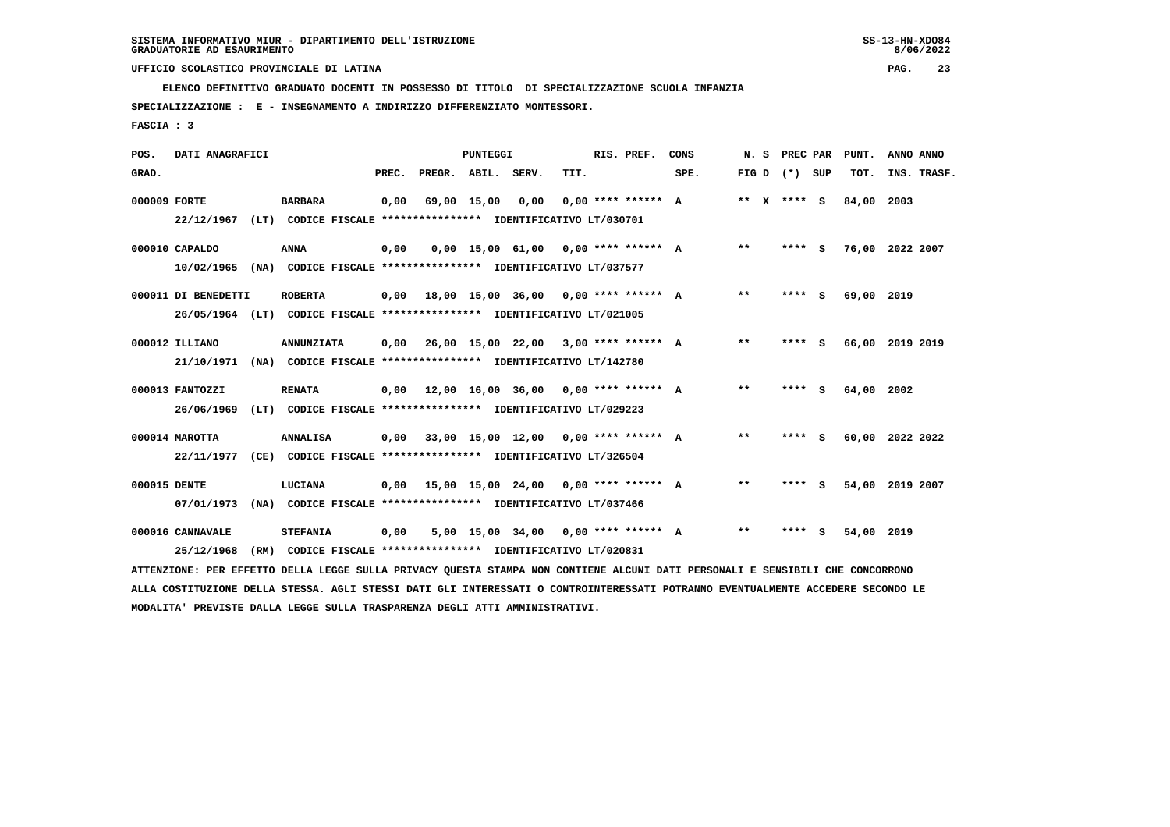**SPECIALIZZAZIONE : E - INSEGNAMENTO A INDIRIZZO DIFFERENZIATO MONTESSORI.**

 **FASCIA : 3**

| POS.         | DATI ANAGRAFICI                |      |                                                                             |       |                    | <b>PUNTEGGI</b>   |                                                    |      | RIS. PREF.           | CONS | N. S          |      | PREC PAR | PUNT.      | ANNO ANNO       |
|--------------|--------------------------------|------|-----------------------------------------------------------------------------|-------|--------------------|-------------------|----------------------------------------------------|------|----------------------|------|---------------|------|----------|------------|-----------------|
| GRAD.        |                                |      |                                                                             | PREC. | PREGR. ABIL. SERV. |                   |                                                    | TIT. |                      | SPE. | FIG D         |      | (*) SUP  | TOT.       | INS. TRASF.     |
| 000009 FORTE | 22/12/1967                     | (LT) | <b>BARBARA</b><br>CODICE FISCALE **************** IDENTIFICATIVO LT/030701  | 0,00  |                    | 69,00 15,00       | 0,00                                               |      | $0.00$ **** ****** A |      | ** $X$ **** S |      |          | 84,00      | 2003            |
|              | 000010 CAPALDO                 |      | <b>ANNA</b>                                                                 | 0,00  |                    |                   | $0.00$ 15.00 61.00 0.00 **** ****** A              |      |                      |      | $***$         |      | **** S   | 76,00      | 2022 2007       |
|              | 10/02/1965                     | (NA) | CODICE FISCALE **************** IDENTIFICATIVO LT/037577                    |       |                    |                   |                                                    |      |                      |      |               |      |          |            |                 |
|              | 000011 DI BENEDETTI            |      | <b>ROBERTA</b>                                                              | 0,00  |                    |                   | 18,00 15,00 36,00 0,00 **** ****** A               |      |                      |      | $* *$         | **** | - S      | 69,00 2019 |                 |
|              | 26/05/1964                     | (LT) | CODICE FISCALE **************** IDENTIFICATIVO LT/021005                    |       |                    |                   |                                                    |      |                      |      |               |      |          |            |                 |
|              | 000012 ILLIANO                 |      | <b>ANNUNZIATA</b>                                                           | 0,00  |                    | 26,00 15,00 22,00 |                                                    |      | $3.00$ **** ****** A |      | $***$         | **** | - 5      |            | 66,00 2019 2019 |
|              | 21/10/1971                     | (NA) | CODICE FISCALE **************** IDENTIFICATIVO LT/142780                    |       |                    |                   |                                                    |      |                      |      |               |      |          |            |                 |
|              | 000013 FANTOZZI                |      | <b>RENATA</b>                                                               | 0.00  |                    |                   | $12.00$ $16.00$ $36.00$ $0.00$ $***$ **** ****** A |      |                      |      | $* *$         |      | **** S   | 64,00      | 2002            |
|              | 26/06/1969                     | (LT) | CODICE FISCALE **************** IDENTIFICATIVO LT/029223                    |       |                    |                   |                                                    |      |                      |      |               |      |          |            |                 |
|              | 000014 MAROTTA                 |      | <b>ANNALISA</b>                                                             | 0,00  |                    |                   | $33,00$ 15,00 12,00 0,00 **** ****** A             |      |                      |      | $* *$         | **** | - 5      | 60,00      | 2022 2022       |
|              | 22/11/1977                     |      | (CE) CODICE FISCALE **************** IDENTIFICATIVO LT/326504               |       |                    |                   |                                                    |      |                      |      |               |      |          |            |                 |
| 000015 DENTE |                                |      | LUCIANA                                                                     | 0,00  |                    |                   | $15,00$ $15,00$ $24,00$ $0,00$ $***$ **** ****** A |      |                      |      | $* *$         |      | **** S   | 54,00      | 2019 2007       |
|              | 07/01/1973                     | (NA) | CODICE FISCALE **************** IDENTIFICATIVO LT/037466                    |       |                    |                   |                                                    |      |                      |      |               |      |          |            |                 |
|              | 000016 CANNAVALE<br>25/12/1968 | (RM) | <b>STEFANIA</b><br>CODICE FISCALE **************** IDENTIFICATIVO LT/020831 | 0,00  |                    | 5,00 15,00 34,00  |                                                    |      | $0.00$ **** ****** A |      | $* *$         | **** | s        | 54,00      | 2019            |
|              |                                |      |                                                                             |       |                    |                   |                                                    |      |                      |      |               |      |          |            |                 |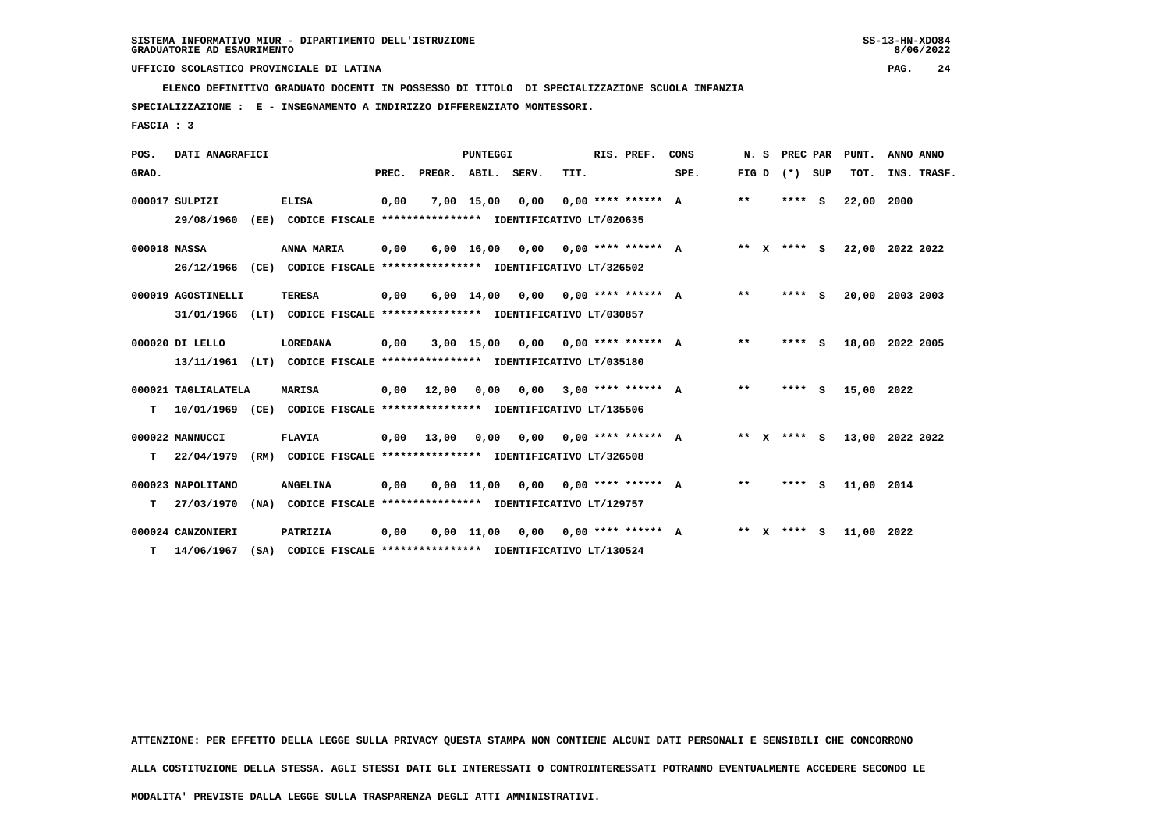**SPECIALIZZAZIONE : E - INSEGNAMENTO A INDIRIZZO DIFFERENZIATO MONTESSORI.**

 **FASCIA : 3**

| POS.         | DATI ANAGRAFICI                   |      |                                                                                  |       |        | PUNTEGGI           |       |                      | RIS. PREF. | CONS | N.S    |              | PREC PAR  |     | PUNT.      | ANNO ANNO       |
|--------------|-----------------------------------|------|----------------------------------------------------------------------------------|-------|--------|--------------------|-------|----------------------|------------|------|--------|--------------|-----------|-----|------------|-----------------|
| GRAD.        |                                   |      |                                                                                  | PREC. | PREGR. | ABIL.              | SERV. | TIT.                 |            | SPE. | FIG D  |              | $(*)$ SUP |     | TOT.       | INS. TRASF.     |
|              | 000017 SULPIZI<br>29/08/1960      | (EE) | <b>ELISA</b><br>CODICE FISCALE **************** IDENTIFICATIVO LT/020635         | 0,00  |        | 7,00 15,00         | 0,00  | $0.00$ **** ****** A |            |      | $***$  |              | ****      | - S | 22,00      | 2000            |
| 000018 NASSA | 26/12/1966                        | (CE) | ANNA MARIA<br>CODICE FISCALE **************** IDENTIFICATIVO LT/326502           | 0,00  |        | $6,00$ 16,00       | 0.00  | $0.00$ **** ****** A |            |      | ** X   |              | **** S    |     |            | 22,00 2022 2022 |
|              | 000019 AGOSTINELLI<br>31/01/1966  | (LT) | <b>TERESA</b><br>CODICE FISCALE **************** IDENTIFICATIVO LT/030857        | 0,00  |        | $6,00 \quad 14,00$ | 0.00  | $0.00$ **** ****** A |            |      | $**$   |              | **** S    |     | 20,00      | 2003 2003       |
|              | 000020 DI LELLO<br>13/11/1961     |      | LOREDANA<br>(LT) CODICE FISCALE **************** IDENTIFICATIVO LT/035180        | 0,00  |        | $3,00$ 15,00       | 0,00  | $0.00$ **** ****** A |            |      | $* *$  |              | **** S    |     |            | 18,00 2022 2005 |
| т            | 000021 TAGLIALATELA<br>10/01/1969 | (CE) | <b>MARISA</b><br>CODICE FISCALE **************** IDENTIFICATIVO LT/135506        | 0,00  | 12,00  | 0,00               | 0.00  | $3.00$ **** ****** A |            |      | **     |              | ****      | - S | 15,00      | 2022            |
| т            | 000022 MANNUCCI<br>22/04/1979     | (RM) | <b>FLAVIA</b><br>CODICE FISCALE **************** IDENTIFICATIVO LT/326508        | 0,00  | 13,00  | 0,00               | 0,00  | $0.00$ **** ****** A |            |      | ** $X$ |              | **** S    |     |            | 13,00 2022 2022 |
| т            | 000023 NAPOLITANO<br>27/03/1970   |      | <b>ANGELINA</b><br>(NA) CODICE FISCALE **************** IDENTIFICATIVO LT/129757 | 0,00  |        | $0.00$ 11.00       | 0.00  | $0.00$ **** ****** A |            |      | **     |              | ****      | - 5 | 11,00 2014 |                 |
| т            | 000024 CANZONIERI<br>14/06/1967   | (SA) | PATRIZIA<br>CODICE FISCALE **************** IDENTIFICATIVO LT/130524             | 0,00  |        | $0.00$ 11.00       | 0.00  | $0.00$ **** ****** A |            |      | $***$  | $\mathbf{x}$ | **** S    |     | 11,00 2022 |                 |

 **ATTENZIONE: PER EFFETTO DELLA LEGGE SULLA PRIVACY QUESTA STAMPA NON CONTIENE ALCUNI DATI PERSONALI E SENSIBILI CHE CONCORRONO**

 **ALLA COSTITUZIONE DELLA STESSA. AGLI STESSI DATI GLI INTERESSATI O CONTROINTERESSATI POTRANNO EVENTUALMENTE ACCEDERE SECONDO LE**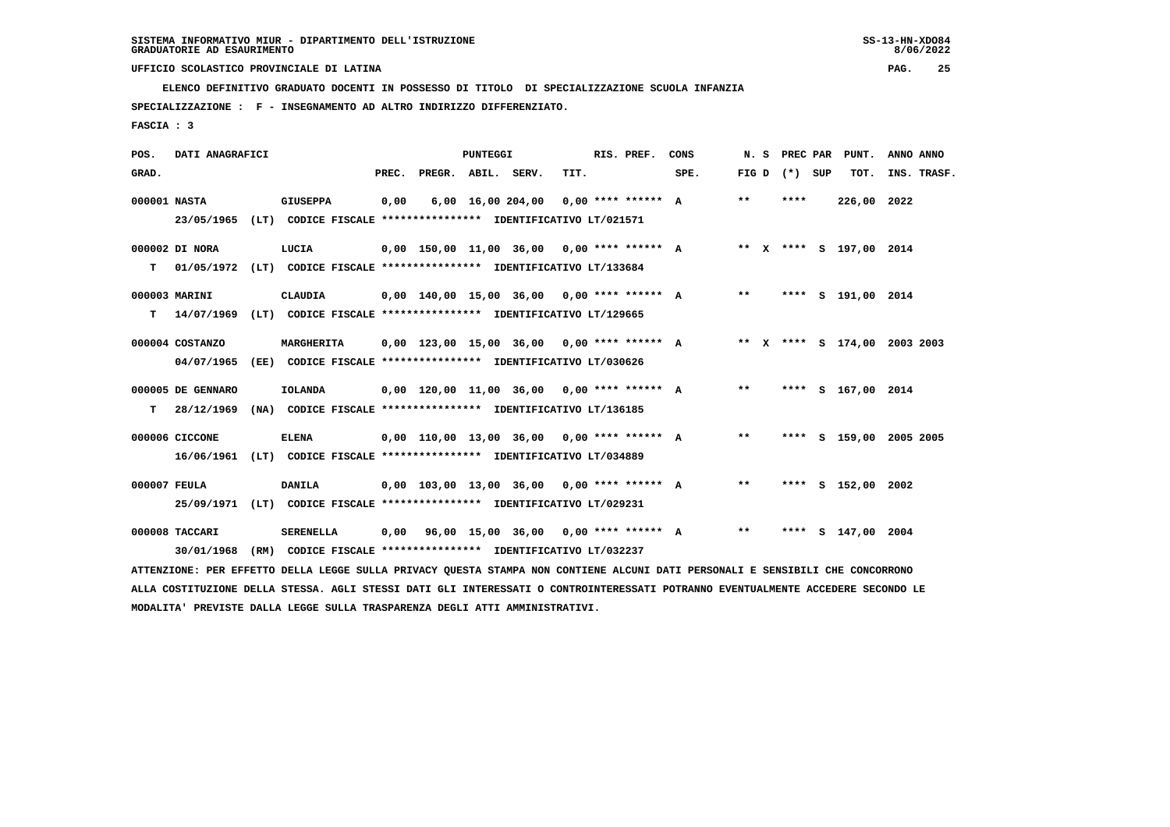**ELENCO DEFINITIVO GRADUATO DOCENTI IN POSSESSO DI TITOLO DI SPECIALIZZAZIONE SCUOLA INFANZIA**

 **SPECIALIZZAZIONE : F - INSEGNAMENTO AD ALTRO INDIRIZZO DIFFERENZIATO.**

 **FASCIA : 3**

| POS.  | DATI ANAGRAFICI   |                                                                                                                               |       |                    | <b>PUNTEGGI</b> |                                              |      | RIS. PREF. | CONS                                         |       |                   | N. S PREC PAR PUNT.          | ANNO ANNO |             |
|-------|-------------------|-------------------------------------------------------------------------------------------------------------------------------|-------|--------------------|-----------------|----------------------------------------------|------|------------|----------------------------------------------|-------|-------------------|------------------------------|-----------|-------------|
| GRAD. |                   |                                                                                                                               | PREC. | PREGR. ABIL. SERV. |                 |                                              | TIT. |            | SPE.                                         |       | FIG $D$ $(*)$ SUP | TOT.                         |           | INS. TRASF. |
|       | 000001 NASTA      | <b>GIUSEPPA</b>                                                                                                               | 0,00  |                    |                 | 6,00 16,00 204,00 0,00 **** ****** A         |      |            |                                              | $***$ | ****              | 226,00 2022                  |           |             |
|       |                   | 23/05/1965 (LT) CODICE FISCALE *************** IDENTIFICATIVO LT/021571                                                       |       |                    |                 |                                              |      |            |                                              |       |                   |                              |           |             |
|       | 000002 DI NORA    | LUCIA                                                                                                                         |       |                    |                 | $0,00$ 150,00 11,00 36,00 0,00 **** ****** A |      |            |                                              |       |                   | ** X **** S 197,00 2014      |           |             |
| T.    |                   | 01/05/1972 (LT) CODICE FISCALE **************** IDENTIFICATIVO LT/133684                                                      |       |                    |                 |                                              |      |            |                                              |       |                   |                              |           |             |
|       | 000003 MARINI     | CLAUDIA                                                                                                                       |       |                    |                 | 0,00 140,00 15,00 36,00 0,00 **** ****** A   |      |            |                                              | $***$ |                   | **** S 191,00 2014           |           |             |
| T.    |                   | 14/07/1969 (LT) CODICE FISCALE **************** IDENTIFICATIVO LT/129665                                                      |       |                    |                 |                                              |      |            |                                              |       |                   |                              |           |             |
|       | 000004 COSTANZO   | <b>MARGHERITA</b>                                                                                                             |       |                    |                 |                                              |      |            | $0,00$ 123,00 15,00 36,00 0,00 **** ****** A |       |                   | ** X **** S 174,00 2003 2003 |           |             |
|       | 04/07/1965        | (EE) CODICE FISCALE **************** IDENTIFICATIVO LT/030626                                                                 |       |                    |                 |                                              |      |            |                                              |       |                   |                              |           |             |
|       | 000005 DE GENNARO | <b>IOLANDA</b>                                                                                                                |       |                    |                 |                                              |      |            | 0,00 120,00 11,00 36,00 0,00 **** ****** A   | $***$ |                   | **** S 167,00 2014           |           |             |
| T.    | 28/12/1969        | (NA) CODICE FISCALE **************** IDENTIFICATIVO LT/136185                                                                 |       |                    |                 |                                              |      |            |                                              |       |                   |                              |           |             |
|       | 000006 CICCONE    | <b>ELENA</b>                                                                                                                  |       |                    |                 | $0,00$ 110,00 13,00 36,00 0,00 **** ****** A |      |            |                                              | $**$  |                   | **** S 159,00 2005 2005      |           |             |
|       |                   | 16/06/1961 (LT) CODICE FISCALE *************** IDENTIFICATIVO LT/034889                                                       |       |                    |                 |                                              |      |            |                                              |       |                   |                              |           |             |
|       | 000007 FEULA      | <b>DANILA</b>                                                                                                                 |       |                    |                 | $0.00$ 103.00 13.00 36.00 0.00 **** ****** A |      |            |                                              | $* *$ |                   | **** S 152,00 2002           |           |             |
|       |                   | 25/09/1971 (LT) CODICE FISCALE *************** IDENTIFICATIVO LT/029231                                                       |       |                    |                 |                                              |      |            |                                              |       |                   |                              |           |             |
|       | 000008 TACCARI    | <b>SERENELLA</b>                                                                                                              | 0,00  |                    |                 | 96,00 15,00 36,00 0,00 **** ****** A         |      |            |                                              | $***$ |                   | **** S 147,00 2004           |           |             |
|       | 30/01/1968        | (RM) CODICE FISCALE **************** IDENTIFICATIVO LT/032237                                                                 |       |                    |                 |                                              |      |            |                                              |       |                   |                              |           |             |
|       |                   | ATTENZIONE: PER EFFETTO DELLA LEGGE SULLA PRIVACY QUESTA STAMPA NON CONTIENE ALCUNI DATI PERSONALI E SENSIBILI CHE CONCORRONO |       |                    |                 |                                              |      |            |                                              |       |                   |                              |           |             |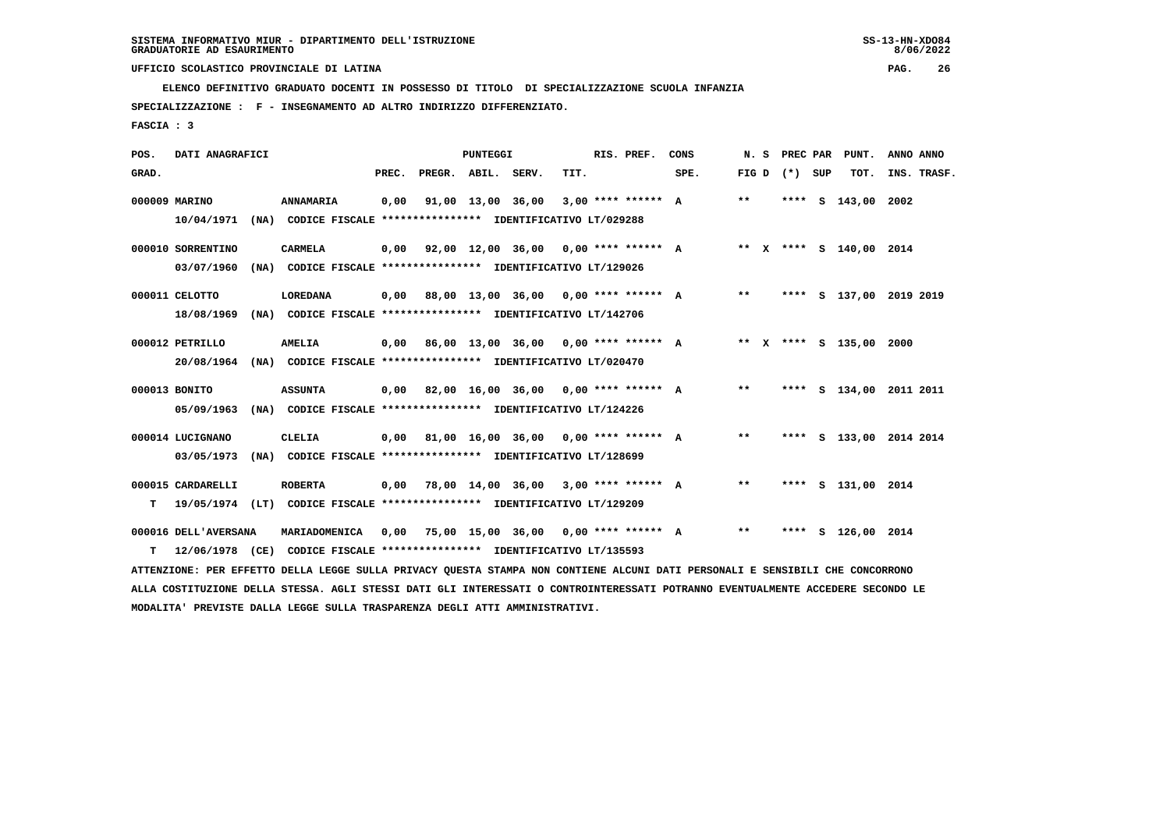**SPECIALIZZAZIONE : F - INSEGNAMENTO AD ALTRO INDIRIZZO DIFFERENZIATO.**

 **FASCIA : 3**

| POS.  | DATI ANAGRAFICI                                                                                  |                                                                                 |       |                    | <b>PUNTEGGI</b> |                                                     |      | RIS. PREF. | CONS                                 | N. S  | PREC PAR | PUNT.                   | ANNO ANNO               |
|-------|--------------------------------------------------------------------------------------------------|---------------------------------------------------------------------------------|-------|--------------------|-----------------|-----------------------------------------------------|------|------------|--------------------------------------|-------|----------|-------------------------|-------------------------|
| GRAD. |                                                                                                  |                                                                                 | PREC. | PREGR. ABIL. SERV. |                 |                                                     | TIT. |            | SPE.                                 | FIG D | (*) SUP  | TOT.                    | INS. TRASF.             |
|       | 000009 MARINO<br>10/04/1971                                                                      | ANNAMARIA<br>(NA) CODICE FISCALE **************** IDENTIFICATIVO LT/029288      | 0,00  |                    |                 | $91,00$ $13,00$ $36,00$ $3,00$ **** ****** A        |      |            |                                      | **    |          | **** $S$ 143,00         | 2002                    |
|       | 000010 SORRENTINO<br>03/07/1960                                                                  | <b>CARMELA</b><br>(NA) CODICE FISCALE **************** IDENTIFICATIVO LT/129026 |       |                    |                 | $0,00$ $92,00$ $12,00$ $36,00$ $0,00$ **** ****** A |      |            |                                      |       |          | ** X **** S 140,00 2014 |                         |
|       | 000011 CELOTTO<br>18/08/1969<br>(NA)                                                             | <b>LOREDANA</b><br>CODICE FISCALE **************** IDENTIFICATIVO LT/142706     | 0,00  |                    |                 |                                                     |      |            | 88,00 13,00 36,00 0,00 **** ****** A | $***$ |          |                         | **** S 137,00 2019 2019 |
|       | 000012 PETRILLO<br>20/08/1964                                                                    | <b>AMELIA</b><br>(NA) CODICE FISCALE **************** IDENTIFICATIVO LT/020470  | 0,00  |                    |                 | 86,00 13,00 36,00 0,00 **** ****** A                |      |            |                                      |       |          | ** X **** S 135,00 2000 |                         |
|       | 000013 BONITO<br>05/09/1963                                                                      | <b>ASSUNTA</b><br>(NA) CODICE FISCALE **************** IDENTIFICATIVO LT/124226 |       |                    |                 | $0,00$ 82,00 16,00 36,00 0,00 **** ****** A         |      |            |                                      | **    |          |                         | **** S 134,00 2011 2011 |
|       | 000014 LUCIGNANO<br>03/05/1973                                                                   | CLELIA<br>(NA) CODICE FISCALE **************** IDENTIFICATIVO LT/128699         |       |                    |                 | $0,00$ 81,00 16,00 36,00 0,00 **** ****** A         |      |            |                                      | $***$ |          |                         | **** S 133,00 2014 2014 |
| т     | 000015 CARDARELLI<br>19/05/1974 (LT) CODICE FISCALE **************** IDENTIFICATIVO LT/129209    | <b>ROBERTA</b>                                                                  | 0,00  |                    |                 | 78,00 14,00 36,00 3,00 **** ****** A                |      |            |                                      | $* *$ |          | **** S 131,00 2014      |                         |
| т     | 000016 DELL'AVERSANA<br>12/06/1978 (CE) CODICE FISCALE **************** IDENTIFICATIVO LT/135593 | MARIADOMENICA                                                                   | 0,00  |                    |                 | 75,00 15,00 36,00 0,00 **** ****** A                |      |            |                                      | $**$  |          | **** S 126,00 2014      |                         |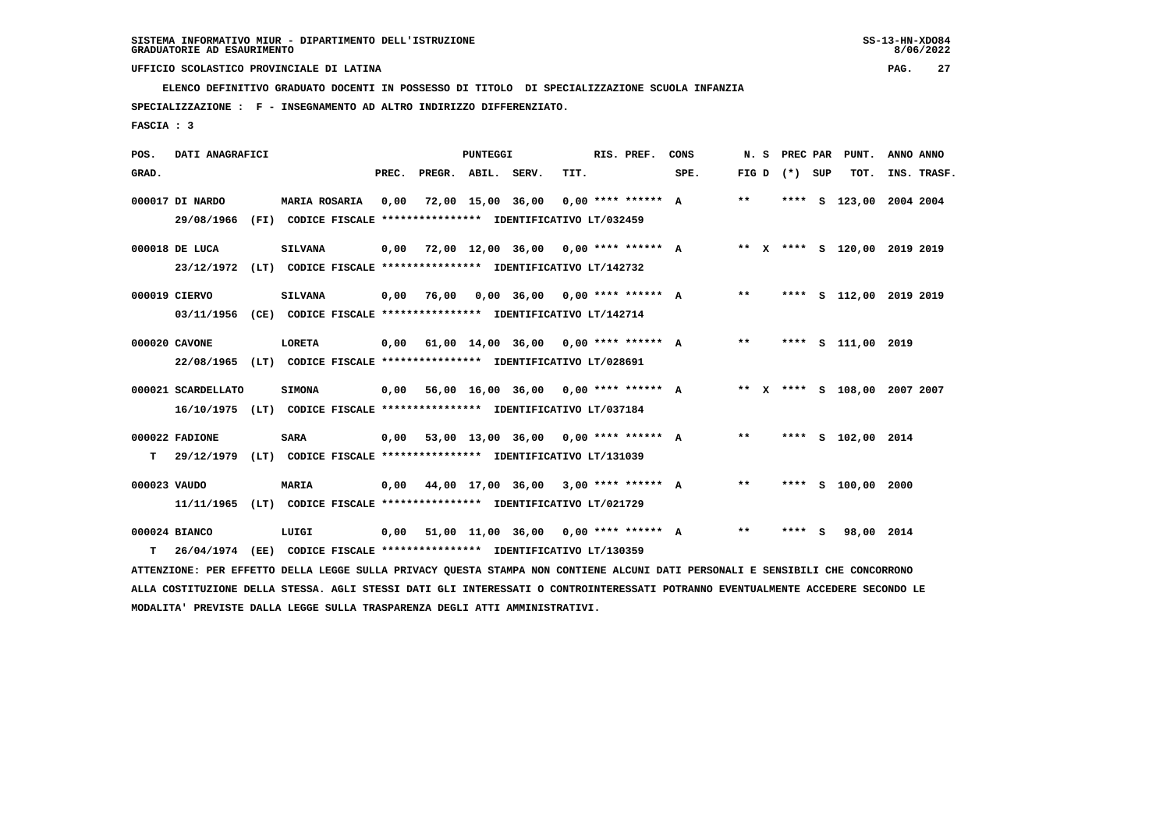**SPECIALIZZAZIONE : F - INSEGNAMENTO AD ALTRO INDIRIZZO DIFFERENZIATO.**

 **FASCIA : 3**

| POS.         | DATI ANAGRAFICI               |                                                                                                                               |       |                    | <b>PUNTEGGI</b> |                                             |      | RIS. PREF. | CONS                                        | N.S   |                   | PREC PAR PUNT.               | ANNO ANNO |             |
|--------------|-------------------------------|-------------------------------------------------------------------------------------------------------------------------------|-------|--------------------|-----------------|---------------------------------------------|------|------------|---------------------------------------------|-------|-------------------|------------------------------|-----------|-------------|
| GRAD.        |                               |                                                                                                                               | PREC. | PREGR. ABIL. SERV. |                 |                                             | TIT. |            | SPE.                                        |       | FIG $D$ $(*)$ SUP | тот.                         |           | INS. TRASF. |
|              | 000017 DI NARDO<br>29/08/1966 | <b>MARIA ROSARIA</b><br>(FI) CODICE FISCALE **************** IDENTIFICATIVO LT/032459                                         | 0.00  |                    |                 | 72,00 15,00 36,00 0,00 **** ****** A        |      |            |                                             | $***$ |                   | **** S 123,00 2004 2004      |           |             |
|              | 000018 DE LUCA                | <b>SILVANA</b><br>23/12/1972 (LT) CODICE FISCALE **************** IDENTIFICATIVO LT/142732                                    |       |                    |                 | $0,00$ 72,00 12,00 36,00 0,00 **** ****** A |      |            |                                             |       |                   | ** X **** S 120,00 2019 2019 |           |             |
|              | 000019 CIERVO                 | <b>SILVANA</b>                                                                                                                |       | 0,00 76,00         |                 | $0.00$ 36.00 0.00 **** ****** A             |      |            |                                             | $***$ |                   | **** S 112,00 2019 2019      |           |             |
|              |                               | 03/11/1956 (CE) CODICE FISCALE *************** IDENTIFICATIVO LT/142714                                                       |       |                    |                 |                                             |      |            |                                             |       |                   |                              |           |             |
|              | 000020 CAVONE                 | <b>LORETA</b>                                                                                                                 |       |                    |                 |                                             |      |            | $0,00$ 61,00 14,00 36,00 0,00 **** ****** A | $***$ |                   | **** S 111,00 2019           |           |             |
|              |                               | 22/08/1965 (LT) CODICE FISCALE **************** IDENTIFICATIVO LT/028691                                                      |       |                    |                 |                                             |      |            |                                             |       |                   |                              |           |             |
|              | 000021 SCARDELLATO            | <b>SIMONA</b>                                                                                                                 |       |                    |                 | $0,00$ 56,00 16,00 36,00 0,00 **** ****** A |      |            |                                             |       |                   | ** X **** S 108,00 2007 2007 |           |             |
|              |                               | 16/10/1975 (LT) CODICE FISCALE *************** IDENTIFICATIVO LT/037184                                                       |       |                    |                 |                                             |      |            |                                             |       |                   |                              |           |             |
|              | 000022 FADIONE                | <b>SARA</b>                                                                                                                   |       |                    |                 | $0,00$ 53,00 13,00 36,00 0,00 **** ****** A |      |            |                                             | $**$  |                   | **** S 102,00 2014           |           |             |
| т            |                               | 29/12/1979 (LT) CODICE FISCALE **************** IDENTIFICATIVO LT/131039                                                      |       |                    |                 |                                             |      |            |                                             |       |                   |                              |           |             |
| 000023 VAUDO |                               | MARIA                                                                                                                         | 0,00  |                    |                 | 44,00 17,00 36,00 3,00 **** ****** A        |      |            |                                             | $***$ |                   | **** S 100,00 2000           |           |             |
|              | 11/11/1965                    | (LT) CODICE FISCALE **************** IDENTIFICATIVO LT/021729                                                                 |       |                    |                 |                                             |      |            |                                             |       |                   |                              |           |             |
|              | 000024 BIANCO                 | LUIGI                                                                                                                         |       |                    |                 | $0,00$ 51,00 11,00 36,00 0,00 **** ****** A |      |            |                                             | $***$ | **** S            | 98,00 2014                   |           |             |
| т            | 26/04/1974                    | (EE) CODICE FISCALE **************** IDENTIFICATIVO LT/130359                                                                 |       |                    |                 |                                             |      |            |                                             |       |                   |                              |           |             |
|              |                               | ATTENZIONE: PER EFFETTO DELLA LEGGE SULLA PRIVACY QUESTA STAMPA NON CONTIENE ALCUNI DATI PERSONALI E SENSIBILI CHE CONCORRONO |       |                    |                 |                                             |      |            |                                             |       |                   |                              |           |             |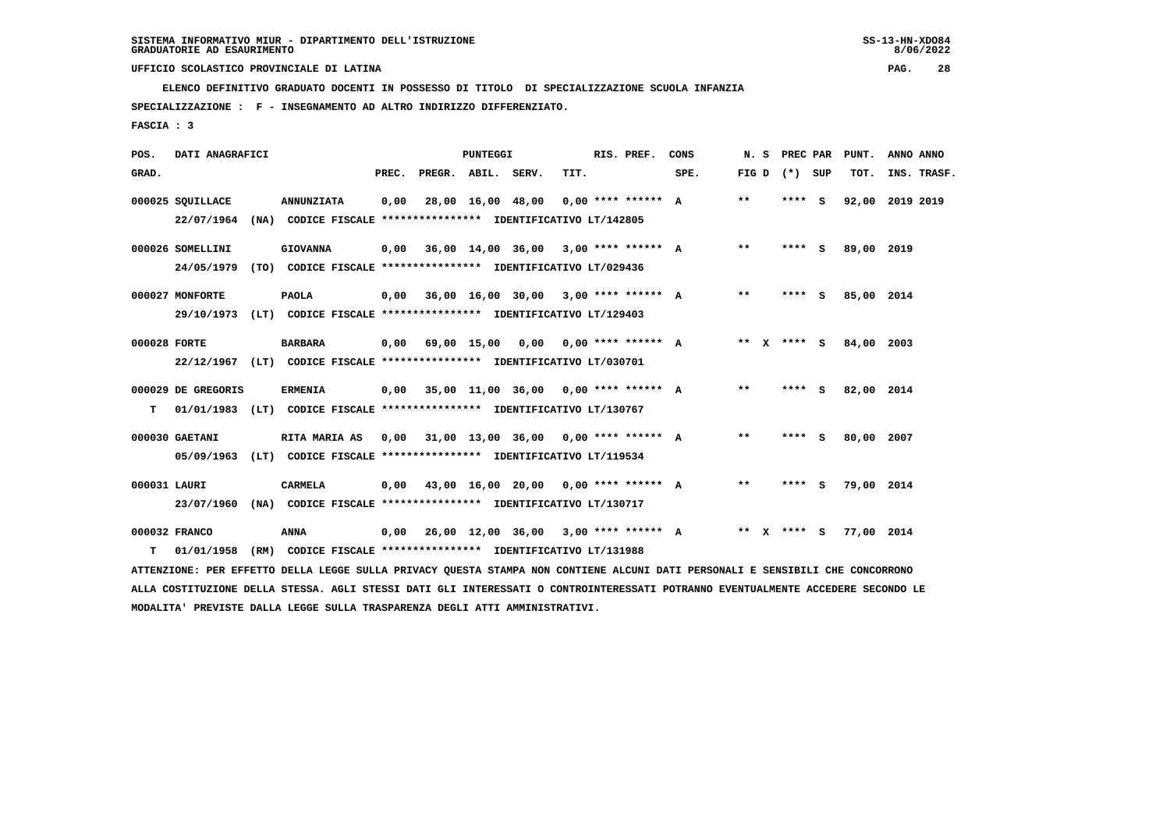**SPECIALIZZAZIONE : F - INSEGNAMENTO AD ALTRO INDIRIZZO DIFFERENZIATO.**

 **FASCIA : 3**

| POS.         | DATI ANAGRAFICI                |                                                                                                                               |       |                    | <b>PUNTEGGI</b> |                                             |      | RIS. PREF.           | CONS | N. S        |                 | PREC PAR | PUNT.      | ANNO ANNO       |
|--------------|--------------------------------|-------------------------------------------------------------------------------------------------------------------------------|-------|--------------------|-----------------|---------------------------------------------|------|----------------------|------|-------------|-----------------|----------|------------|-----------------|
| GRAD.        |                                |                                                                                                                               | PREC. | PREGR. ABIL. SERV. |                 |                                             | TIT. |                      | SPE. |             | FIG D $(*)$ SUP |          | тот.       | INS. TRASF.     |
|              | 000025 SQUILLACE<br>22/07/1964 | <b>ANNUNZIATA</b><br>(NA) CODICE FISCALE **************** IDENTIFICATIVO LT/142805                                            | 0,00  |                    |                 | 28,00 16,00 48,00 0,00 **** ****** A        |      |                      |      | $* *$       |                 | $***$ S  |            | 92,00 2019 2019 |
|              | 000026 SOMELLINI<br>24/05/1979 | <b>GIOVANNA</b><br>(TO) CODICE FISCALE **************** IDENTIFICATIVO LT/029436                                              | 0,00  |                    |                 | 36,00 14,00 36,00 3,00 **** ****** A        |      |                      |      | $***$       |                 | $***$ S  | 89,00 2019 |                 |
|              | 000027 MONFORTE<br>29/10/1973  | <b>PAOLA</b><br>(LT) CODICE FISCALE **************** IDENTIFICATIVO LT/129403                                                 |       |                    |                 | $0,00$ 36,00 16,00 30,00 3,00 **** ****** A |      |                      |      | $***$       |                 | **** S   | 85,00 2014 |                 |
| 000028 FORTE |                                | <b>BARBARA</b><br>22/12/1967 (LT) CODICE FISCALE *************** IDENTIFICATIVO LT/030701                                     |       |                    |                 | $0,00$ 69,00 15,00 0,00 0,00 **** ****** A  |      |                      |      | $***$ X     |                 | **** $S$ | 84,00 2003 |                 |
| т            | 000029 DE GREGORIS             | <b>ERMENIA</b><br>01/01/1983 (LT) CODICE FISCALE *************** IDENTIFICATIVO LT/130767                                     |       |                    |                 | $0,00$ 35,00 11,00 36,00 0,00 **** ****** A |      |                      |      | $* *$       |                 | **** S   | 82,00 2014 |                 |
|              | 000030 GAETANI<br>05/09/1963   | <b>RITA MARIA AS</b><br>(LT) CODICE FISCALE **************** IDENTIFICATIVO LT/119534                                         | 0,00  |                    |                 | 31,00 13,00 36,00 0,00 **** ****** A        |      |                      |      | $***$       |                 | **** S   | 80,00 2007 |                 |
| 000031 LAURI | 23/07/1960                     | <b>CARMELA</b><br>(NA) CODICE FISCALE **************** IDENTIFICATIVO LT/130717                                               | 0.00  |                    |                 | 43,00 16,00 20,00 0,00 **** ****** A        |      |                      |      | $* *$       |                 | $***$ S  | 79,00 2014 |                 |
| т            | 000032 FRANCO<br>01/01/1958    | <b>ANNA</b><br>(RM) CODICE FISCALE **************** IDENTIFICATIVO LT/131988                                                  | 0,00  |                    |                 | 26,00 12,00 36,00                           |      | $3,00$ **** ****** A |      | ** x **** S |                 |          | 77,00 2014 |                 |
|              |                                | ATTENZIONE: PER EFFETTO DELLA LEGGE SULLA PRIVACY QUESTA STAMPA NON CONTIENE ALCUNI DATI PERSONALI E SENSIBILI CHE CONCORRONO |       |                    |                 |                                             |      |                      |      |             |                 |          |            |                 |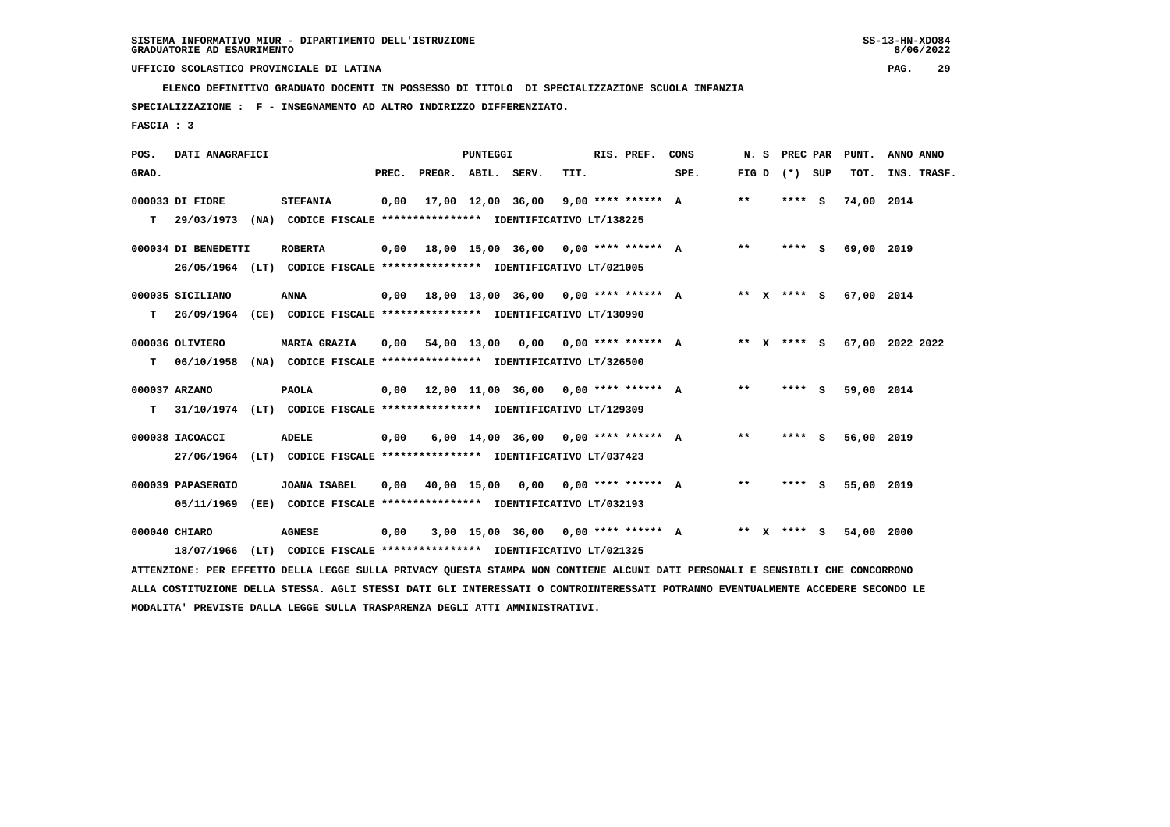$8/06/2022$ 

 **ELENCO DEFINITIVO GRADUATO DOCENTI IN POSSESSO DI TITOLO DI SPECIALIZZAZIONE SCUOLA INFANZIA**

 **SPECIALIZZAZIONE : F - INSEGNAMENTO AD ALTRO INDIRIZZO DIFFERENZIATO.**

 **FASCIA : 3**

| POS.  | DATI ANAGRAFICI     |                                                                                                                               |       |                                             | PUNTEGGI |                                       |      | RIS. PREF.         | CONS |       |                   | N. S PREC PAR PUNT. | ANNO ANNO        |
|-------|---------------------|-------------------------------------------------------------------------------------------------------------------------------|-------|---------------------------------------------|----------|---------------------------------------|------|--------------------|------|-------|-------------------|---------------------|------------------|
| GRAD. |                     |                                                                                                                               | PREC. | PREGR. ABIL. SERV.                          |          |                                       | TIT. |                    | SPE. |       | FIG $D$ $(*)$ SUP |                     | TOT. INS. TRASF. |
|       | 000033 DI FIORE     | <b>STEFANIA</b>                                                                                                               |       | 0,00 17,00 12,00 36,00                      |          |                                       |      | 9,00 **** ****** A |      | $* *$ | $***$ S           | 74,00 2014          |                  |
| T.    |                     | 29/03/1973 (NA) CODICE FISCALE *************** IDENTIFICATIVO LT/138225                                                       |       |                                             |          |                                       |      |                    |      |       |                   |                     |                  |
|       | 000034 DI BENEDETTI | <b>ROBERTA</b>                                                                                                                |       | $0,00$ 18,00 15,00 36,00 0,00 **** ****** A |          |                                       |      |                    |      | $***$ | **** S            | 69,00 2019          |                  |
|       |                     | 26/05/1964 (LT) CODICE FISCALE *************** IDENTIFICATIVO LT/021005                                                       |       |                                             |          |                                       |      |                    |      |       |                   |                     |                  |
|       | 000035 SICILIANO    | ANNA                                                                                                                          |       | $0.00$ 18.00 13.00 36.00 0.00 **** ****** A |          |                                       |      |                    |      |       | ** x **** s       | 67,00 2014          |                  |
|       |                     | T 26/09/1964 (CE) CODICE FISCALE **************** IDENTIFICATIVO LT/130990                                                    |       |                                             |          |                                       |      |                    |      |       |                   |                     |                  |
|       | 000036 OLIVIERO     | <b>MARIA GRAZIA</b>                                                                                                           |       | $0,00$ 54,00 13,00 0,00 0,00 **** ****** A  |          |                                       |      |                    |      |       | ** x **** S       |                     | 67,00 2022 2022  |
|       |                     | T 06/10/1958 (NA) CODICE FISCALE **************** IDENTIFICATIVO LT/326500                                                    |       |                                             |          |                                       |      |                    |      |       |                   |                     |                  |
|       | 000037 ARZANO       | <b>PAOLA</b>                                                                                                                  |       | $0,00$ 12,00 11,00 36,00 0,00 **** ****** A |          |                                       |      |                    |      | $***$ | **** $S$          | 59,00 2014          |                  |
| T.    |                     | 31/10/1974 (LT) CODICE FISCALE **************** IDENTIFICATIVO LT/129309                                                      |       |                                             |          |                                       |      |                    |      |       |                   |                     |                  |
|       | 000038 IACOACCI     | <b>ADELE</b>                                                                                                                  | 0,00  |                                             |          | $6.00$ 14.00 36.00 0.00 **** ****** A |      |                    |      | $***$ | $***$ S           | 56,00 2019          |                  |
|       |                     | 27/06/1964 (LT) CODICE FISCALE *************** IDENTIFICATIVO LT/037423                                                       |       |                                             |          |                                       |      |                    |      |       |                   |                     |                  |
|       | 000039 PAPASERGIO   | <b>JOANA ISABEL</b>                                                                                                           |       | $0.00$ 40.00 15.00 0.00 0.00 **** ****** A  |          |                                       |      |                    |      | $***$ | **** S            | 55,00 2019          |                  |
|       | 05/11/1969          | (EE) CODICE FISCALE **************** IDENTIFICATIVO LT/032193                                                                 |       |                                             |          |                                       |      |                    |      |       |                   |                     |                  |
|       | 000040 CHIARO       | <b>AGNESE</b>                                                                                                                 | 0,00  |                                             |          | $3.00$ 15.00 36.00 0.00 **** ****** A |      |                    |      |       | ** x **** S       | 54,00 2000          |                  |
|       |                     | 18/07/1966 (LT) CODICE FISCALE *************** IDENTIFICATIVO LT/021325                                                       |       |                                             |          |                                       |      |                    |      |       |                   |                     |                  |
|       |                     | ATTENZIONE: PER EFFETTO DELLA LEGGE SULLA PRIVACY QUESTA STAMPA NON CONTIENE ALCUNI DATI PERSONALI E SENSIBILI CHE CONCORRONO |       |                                             |          |                                       |      |                    |      |       |                   |                     |                  |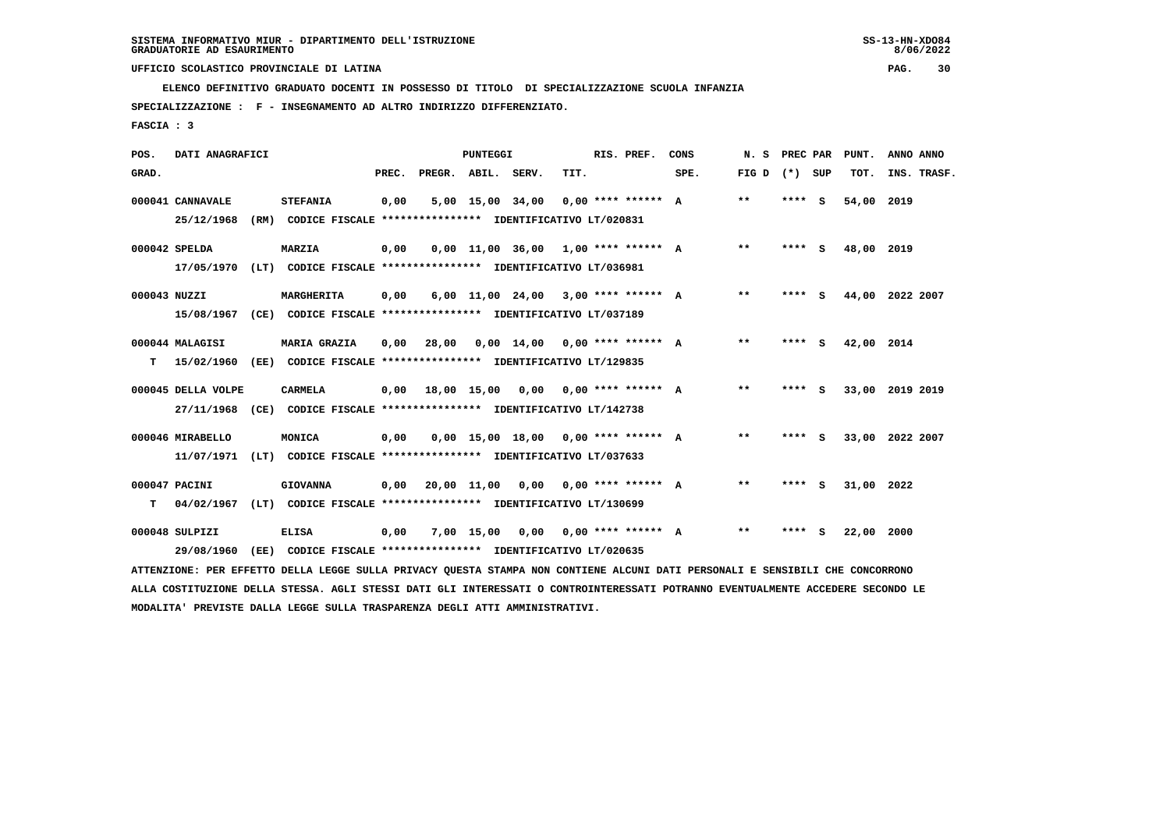**SPECIALIZZAZIONE : F - INSEGNAMENTO AD ALTRO INDIRIZZO DIFFERENZIATO.**

 **FASCIA : 3**

| POS.         | DATI ANAGRAFICI    |      |                                                                                                                               |       |                    | PUNTEGGI   |                                       |      | RIS. PREF.           | CONS | N.S             | PREC PAR | PUNT.      | ANNO ANNO       |
|--------------|--------------------|------|-------------------------------------------------------------------------------------------------------------------------------|-------|--------------------|------------|---------------------------------------|------|----------------------|------|-----------------|----------|------------|-----------------|
| GRAD.        |                    |      |                                                                                                                               | PREC. | PREGR. ABIL. SERV. |            |                                       | TIT. |                      | SPE. | FIG D $(*)$ SUP |          | TOT.       | INS. TRASF.     |
|              | 000041 CANNAVALE   |      | <b>STEFANIA</b>                                                                                                               | 0,00  |                    |            | 5,00 15,00 34,00                      |      | $0,00$ **** ****** A |      | $***$           | **** S   | 54,00      | 2019            |
|              | 25/12/1968         |      | (RM) CODICE FISCALE **************** IDENTIFICATIVO LT/020831                                                                 |       |                    |            |                                       |      |                      |      |                 |          |            |                 |
|              | 000042 SPELDA      |      | MARZIA                                                                                                                        | 0.00  |                    |            | $0.00$ 11.00 36.00 1.00 **** ****** A |      |                      |      | $***$           | **** S   | 48,00 2019 |                 |
|              | 17/05/1970         |      | (LT) CODICE FISCALE **************** IDENTIFICATIVO LT/036981                                                                 |       |                    |            |                                       |      |                      |      |                 |          |            |                 |
| 000043 NUZZI |                    |      | MARGHERITA                                                                                                                    | 0,00  |                    |            | $6,00$ 11,00 24,00 3,00 **** ****** A |      |                      |      | **              | **** S   |            | 44,00 2022 2007 |
|              | 15/08/1967         |      | (CE) CODICE FISCALE **************** IDENTIFICATIVO LT/037189                                                                 |       |                    |            |                                       |      |                      |      |                 |          |            |                 |
|              | 000044 MALAGISI    |      | <b>MARIA GRAZIA</b>                                                                                                           | 0.00  | 28,00              |            | $0.00$ 14.00 0.00 **** ****** A       |      |                      |      | $***$           | **** S   | 42,00 2014 |                 |
| т            | 15/02/1960         |      | (EE) CODICE FISCALE **************** IDENTIFICATIVO LT/129835                                                                 |       |                    |            |                                       |      |                      |      |                 |          |            |                 |
|              | 000045 DELLA VOLPE |      | <b>CARMELA</b>                                                                                                                | 0,00  |                    |            | 18,00 15,00 0,00 0,00 **** ****** A   |      |                      |      | $**$            | **** S   |            | 33,00 2019 2019 |
|              | 27/11/1968         |      | (CE) CODICE FISCALE **************** IDENTIFICATIVO LT/142738                                                                 |       |                    |            |                                       |      |                      |      |                 |          |            |                 |
|              | 000046 MIRABELLO   |      | MONICA                                                                                                                        | 0.00  |                    |            | $0.00$ 15.00 18.00 0.00 **** ****** A |      |                      |      | $* *$           | **** S   |            | 33,00 2022 2007 |
|              | 11/07/1971         |      | (LT) CODICE FISCALE **************** IDENTIFICATIVO LT/037633                                                                 |       |                    |            |                                       |      |                      |      |                 |          |            |                 |
|              | 000047 PACINI      |      | <b>GIOVANNA</b>                                                                                                               | 0,00  |                    |            | $20,00$ 11,00 0,00 0,00 **** ****** A |      |                      |      | $**$            | **** S   | 31,00 2022 |                 |
| т            | 04/02/1967         | (LT) | CODICE FISCALE **************** IDENTIFICATIVO LT/130699                                                                      |       |                    |            |                                       |      |                      |      |                 |          |            |                 |
|              | 000048 SULPIZI     |      | <b>ELISA</b>                                                                                                                  | 0,00  |                    | 7,00 15,00 | 0,00                                  |      | $0.00$ **** ****** A |      | $***$           | **** S   | 22,00      | 2000            |
|              | 29/08/1960         | (EE) | CODICE FISCALE **************** IDENTIFICATIVO LT/020635                                                                      |       |                    |            |                                       |      |                      |      |                 |          |            |                 |
|              |                    |      | ATTENZIONE: PER EFFETTO DELLA LEGGE SULLA PRIVACY QUESTA STAMPA NON CONTIENE ALCUNI DATI PERSONALI E SENSIBILI CHE CONCORRONO |       |                    |            |                                       |      |                      |      |                 |          |            |                 |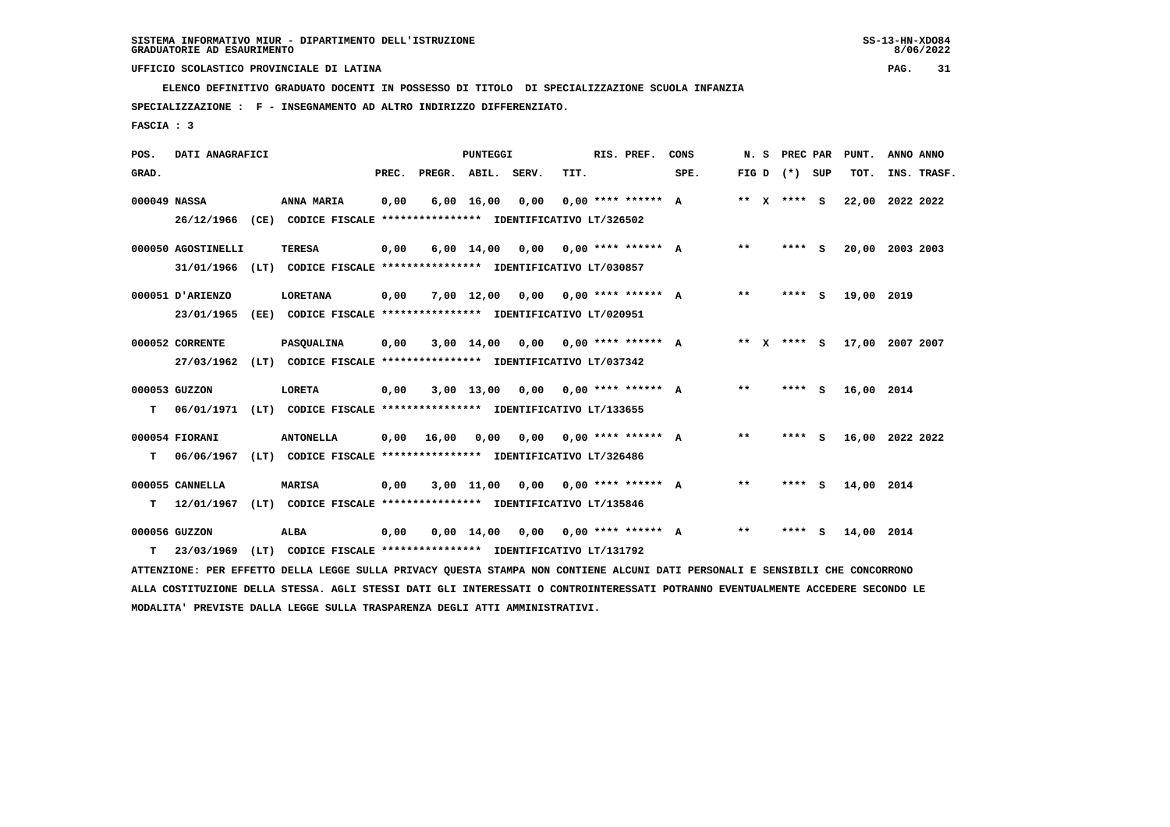$8/06/2022$ 

 **ELENCO DEFINITIVO GRADUATO DOCENTI IN POSSESSO DI TITOLO DI SPECIALIZZAZIONE SCUOLA INFANZIA**

 **SPECIALIZZAZIONE : F - INSEGNAMENTO AD ALTRO INDIRIZZO DIFFERENZIATO.**

 **FASCIA : 3**

| POS.         | DATI ANAGRAFICI                                                                                                                 |      |                                                               |       |                    | PUNTEGGI           |                                                          |      | RIS. PREF.                  | CONS |       | N.S | PREC PAR        | PUNT.           | ANNO ANNO |             |
|--------------|---------------------------------------------------------------------------------------------------------------------------------|------|---------------------------------------------------------------|-------|--------------------|--------------------|----------------------------------------------------------|------|-----------------------------|------|-------|-----|-----------------|-----------------|-----------|-------------|
| GRAD.        |                                                                                                                                 |      |                                                               | PREC. | PREGR. ABIL. SERV. |                    |                                                          | TIT. |                             | SPE. |       |     | FIG D $(*)$ SUP | TOT.            |           | INS. TRASF. |
| 000049 NASSA |                                                                                                                                 |      | ANNA MARIA                                                    | 0,00  |                    | $6,00 \quad 16,00$ | 0,00                                                     |      | $0.00$ **** ****** A        |      |       |     | ** X **** S     | 22,00           | 2022 2022 |             |
|              | 26/12/1966 (CE) CODICE FISCALE *************** IDENTIFICATIVO LT/326502                                                         |      |                                                               |       |                    |                    |                                                          |      |                             |      |       |     |                 |                 |           |             |
|              | 000050 AGOSTINELLI                                                                                                              |      | <b>TERESA</b>                                                 | 0,00  |                    | $6,00 \quad 14,00$ | 0,00                                                     |      | $0,00$ **** ****** A        |      | $***$ |     | **** S          | 20,00 2003 2003 |           |             |
|              | 31/01/1966                                                                                                                      |      | (LT) CODICE FISCALE **************** IDENTIFICATIVO LT/030857 |       |                    |                    |                                                          |      |                             |      |       |     |                 |                 |           |             |
|              | 000051 D'ARIENZO                                                                                                                |      | <b>LORETANA</b>                                               | 0,00  |                    | 7,00 12,00         | 0,00                                                     |      | $0.00$ **** ****** A        |      | $* *$ |     | **** S          | 19,00 2019      |           |             |
|              | 23/01/1965                                                                                                                      | (EE) |                                                               |       |                    |                    | CODICE FISCALE **************** IDENTIFICATIVO LT/020951 |      |                             |      |       |     |                 |                 |           |             |
|              | 000052 CORRENTE                                                                                                                 |      | PASQUALINA                                                    | 0,00  |                    | $3,00$ 14,00       | 0.00                                                     |      | $0.00$ **** ****** A        |      | ** X  |     | **** S          | 17,00 2007 2007 |           |             |
|              | 27/03/1962                                                                                                                      |      | (LT) CODICE FISCALE **************** IDENTIFICATIVO LT/037342 |       |                    |                    |                                                          |      |                             |      |       |     |                 |                 |           |             |
|              | 000053 GUZZON                                                                                                                   |      | LORETA                                                        | 0,00  |                    | $3,00$ 13,00       |                                                          |      | $0.00$ $0.00$ **** ****** A |      | $* *$ |     | **** S          | 16,00 2014      |           |             |
| т            | 06/01/1971                                                                                                                      |      | (LT) CODICE FISCALE **************** IDENTIFICATIVO LT/133655 |       |                    |                    |                                                          |      |                             |      |       |     |                 |                 |           |             |
|              | 000054 FIORANI                                                                                                                  |      | <b>ANTONELLA</b>                                              | 0,00  | 16,00              | 0,00               | 0,00                                                     |      | 0,00 **** ****** A          |      | $* *$ |     | **** S          | 16,00 2022 2022 |           |             |
| т            | 06/06/1967                                                                                                                      |      | (LT) CODICE FISCALE **************** IDENTIFICATIVO LT/326486 |       |                    |                    |                                                          |      |                             |      |       |     |                 |                 |           |             |
|              | 000055 CANNELLA                                                                                                                 |      | <b>MARISA</b>                                                 | 0,00  |                    | 3,00 11,00         | 0,00 0,00 **** ****** A                                  |      |                             |      | $* *$ |     | **** S          | 14,00 2014      |           |             |
| т            | 12/01/1967                                                                                                                      |      | (LT) CODICE FISCALE **************** IDENTIFICATIVO LT/135846 |       |                    |                    |                                                          |      |                             |      |       |     |                 |                 |           |             |
|              | 000056 GUZZON                                                                                                                   |      | ALBA                                                          | 0,00  |                    | $0,00 \quad 14,00$ | 0,00                                                     |      | $0.00$ **** ****** A        |      | $* *$ |     | **** S          | 14,00 2014      |           |             |
| т            | 23/03/1969                                                                                                                      |      | (LT) CODICE FISCALE **************** IDENTIFICATIVO LT/131792 |       |                    |                    |                                                          |      |                             |      |       |     |                 |                 |           |             |
|              | ATTENZIONE: PER EFFETTO DELLA LEGGE SULLA PRIVACY QUESTA STAMPA NON CONTIENE ALCUNI DATI PERSONALI E SENSIBILI CHE CONCORRONO   |      |                                                               |       |                    |                    |                                                          |      |                             |      |       |     |                 |                 |           |             |
|              | ALLA COSTITUZIONE DELLA STESSA. AGLI STESSI DATI GLI INTERESSATI O CONTROINTERESSATI POTRANNO EVENTUALMENTE ACCEDERE SECONDO LE |      |                                                               |       |                    |                    |                                                          |      |                             |      |       |     |                 |                 |           |             |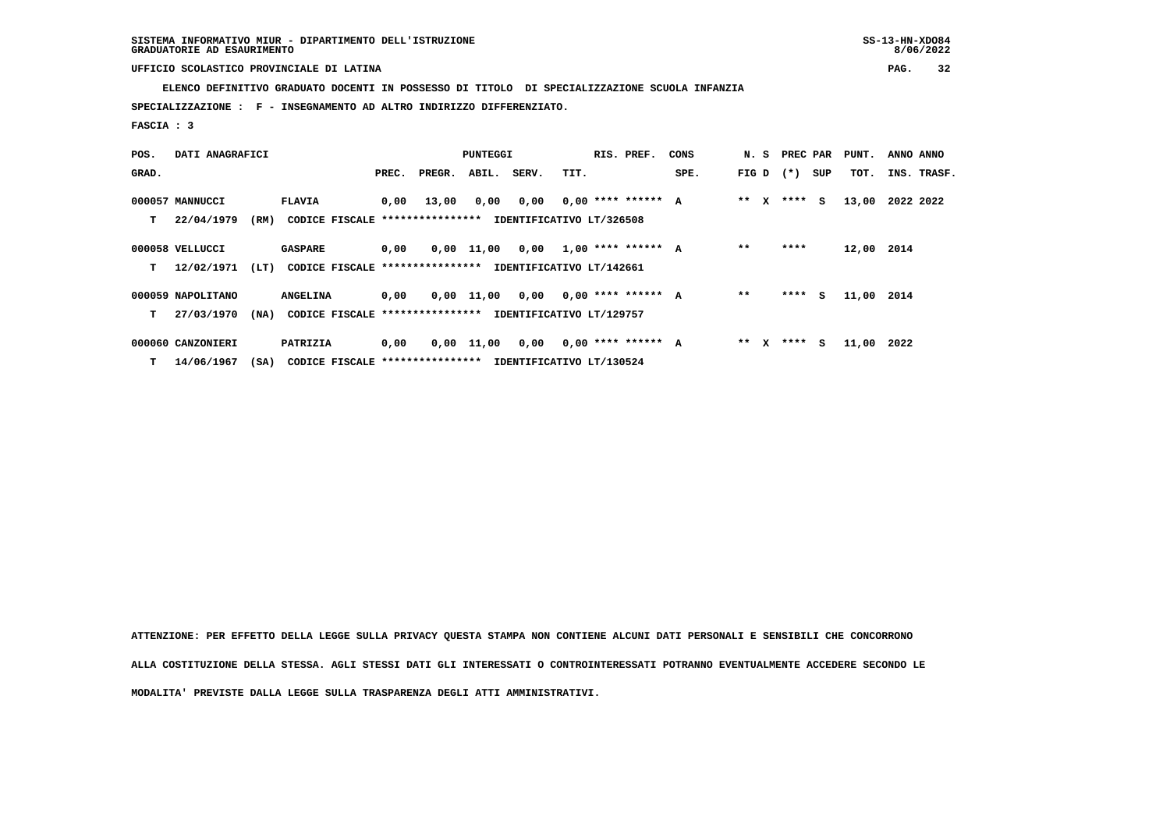**ELENCO DEFINITIVO GRADUATO DOCENTI IN POSSESSO DI TITOLO DI SPECIALIZZAZIONE SCUOLA INFANZIA**

 **SPECIALIZZAZIONE : F - INSEGNAMENTO AD ALTRO INDIRIZZO DIFFERENZIATO.**

 **FASCIA : 3**

| POS.  | DATI ANAGRAFICI   |      |                                  |       |        | PUNTEGGI     |       |                          | RIS. PREF.           | CONS | N. S        | PREC PAR | PUNT.      | ANNO ANNO   |
|-------|-------------------|------|----------------------------------|-------|--------|--------------|-------|--------------------------|----------------------|------|-------------|----------|------------|-------------|
| GRAD. |                   |      |                                  | PREC. | PREGR. | ABIL.        | SERV. | TIT.                     |                      | SPE. | FIG D $(*)$ | SUP      | TOT.       | INS. TRASF. |
|       | 000057 MANNUCCI   |      | <b>FLAVIA</b>                    | 0,00  | 13,00  | 0,00         | 0,00  |                          | $0.00$ **** ****** A |      | $***$ X     | $***$ S  | 13,00      | 2022 2022   |
| т     | 22/04/1979        | (RM) | CODICE FISCALE ***************** |       |        |              |       | IDENTIFICATIVO LT/326508 |                      |      |             |          |            |             |
|       | 000058 VELLUCCI   |      | <b>GASPARE</b>                   | 0,00  |        | $0,00$ 11,00 | 0,00  |                          | $1,00$ **** ****** A |      | $* *$       | ****     | 12,00 2014 |             |
| т     | 12/02/1971        | (LT) | CODICE FISCALE ****************  |       |        |              |       | IDENTIFICATIVO LT/142661 |                      |      |             |          |            |             |
|       | 000059 NAPOLITANO |      | <b>ANGELINA</b>                  | 0,00  |        | $0,00$ 11,00 | 0,00  |                          | $0,00$ **** ****** A |      | $* *$       | $***$ S  | 11,00 2014 |             |
| т     | 27/03/1970        | (MA) | CODICE FISCALE ***************** |       |        |              |       | IDENTIFICATIVO LT/129757 |                      |      |             |          |            |             |
|       | 000060 CANZONIERI |      | PATRIZIA                         | 0,00  |        | $0,00$ 11,00 | 0.00  |                          | $0.00$ **** ****** A |      | ** X        | **** S   | 11,00      | 2022        |
| т     | 14/06/1967        | (SA) | CODICE FISCALE ****************  |       |        |              |       | IDENTIFICATIVO LT/130524 |                      |      |             |          |            |             |